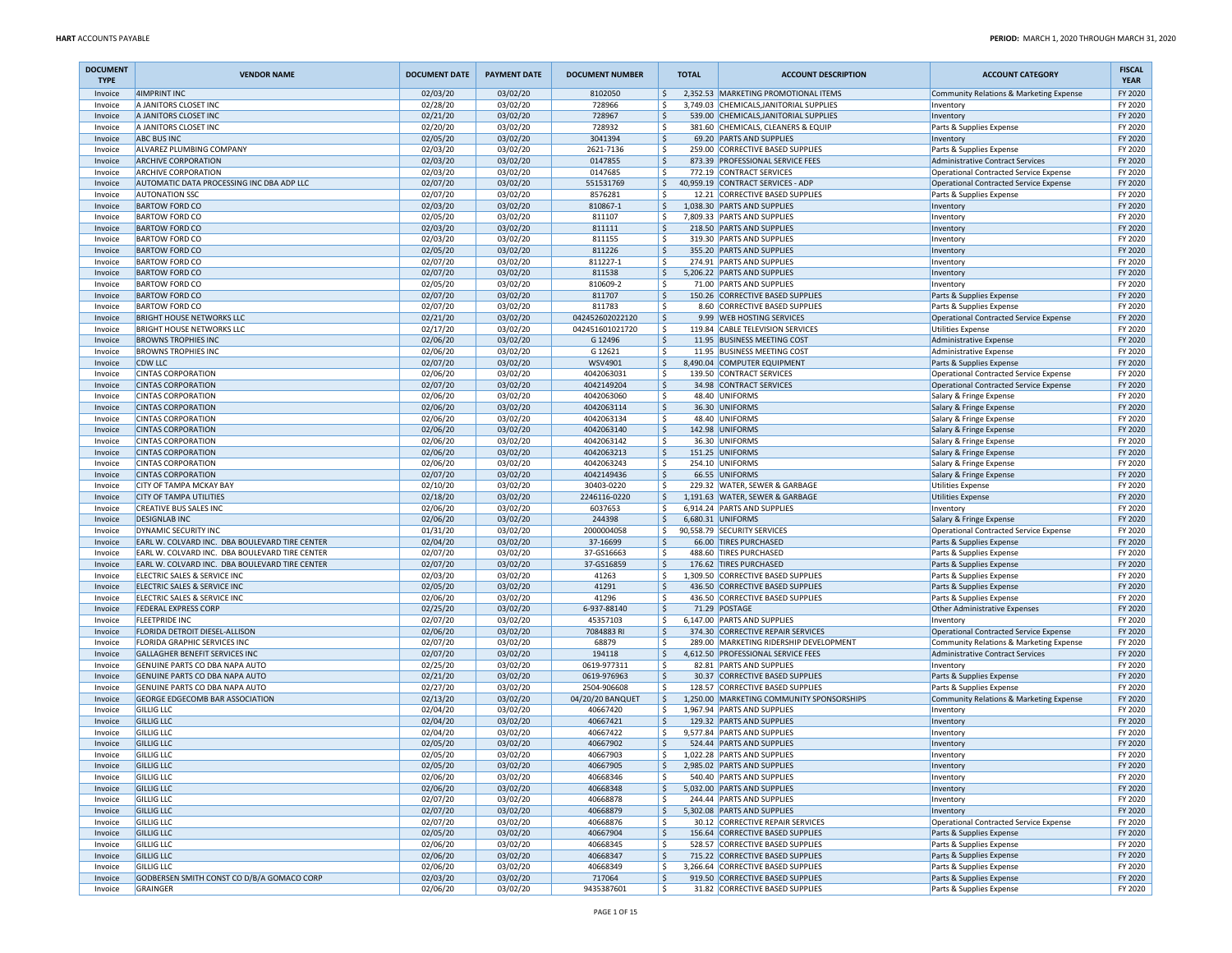| <b>DOCUMENT</b><br><b>TYPE</b> | <b>VENDOR NAME</b>                                                                               | <b>DOCUMENT DATE</b> | <b>PAYMENT DATE</b>  | <b>DOCUMENT NUMBER</b>     | <b>TOTAL</b> | <b>ACCOUNT DESCRIPTION</b>                                                  | <b>ACCOUNT CATEGORY</b>                                                           | <b>FISCAL</b><br><b>YEAR</b> |
|--------------------------------|--------------------------------------------------------------------------------------------------|----------------------|----------------------|----------------------------|--------------|-----------------------------------------------------------------------------|-----------------------------------------------------------------------------------|------------------------------|
| Invoice                        | 4IMPRINT INC                                                                                     | 02/03/20             | 03/02/20             | 8102050                    | ۱\$.         | 2,352.53 MARKETING PROMOTIONAL ITEMS                                        | Community Relations & Marketing Expense                                           | FY 2020                      |
| Invoice                        | A JANITORS CLOSET INC                                                                            | 02/28/20             | 03/02/20             | 728966                     | S,           | 3,749.03 CHEMICALS, JANITORIAL SUPPLIES                                     | Inventory                                                                         | FY 2020                      |
| Invoice                        | A JANITORS CLOSET INC                                                                            | 02/21/20             | 03/02/20             | 728967                     | ۱\$          | 539.00 CHEMICALS, JANITORIAL SUPPLIES                                       | Inventory                                                                         | FY 2020                      |
| Invoice<br>Invoice             | A JANITORS CLOSET INC<br><b>ABC BUS INC</b>                                                      | 02/20/20<br>02/05/20 | 03/02/20<br>03/02/20 | 728932<br>3041394          | l\$<br>١\$   | 381.60 CHEMICALS, CLEANERS & EQUIP<br>69.20 PARTS AND SUPPLIES              | Parts & Supplies Expense                                                          | FY 2020<br>FY 2020           |
| Invoice                        | ALVAREZ PLUMBING COMPANY                                                                         | 02/03/20             | 03/02/20             | 2621-7136                  | ١\$          | 259.00 CORRECTIVE BASED SUPPLIES                                            | Inventory<br>Parts & Supplies Expense                                             | FY 2020                      |
| Invoice                        | <b>ARCHIVE CORPORATION</b>                                                                       | 02/03/20             | 03/02/20             | 0147855                    | ١\$          | 873.39 PROFESSIONAL SERVICE FEES                                            | <b>Administrative Contract Services</b>                                           | FY 2020                      |
| Invoice                        | <b>ARCHIVE CORPORATION</b>                                                                       | 02/03/20             | 03/02/20             | 0147685                    | ١\$          | 772.19 CONTRACT SERVICES                                                    | Operational Contracted Service Expense                                            | FY 2020                      |
| Invoice                        | AUTOMATIC DATA PROCESSING INC DBA ADP LLC                                                        | 02/07/20             | 03/02/20             | 551531769                  | ۱\$          | 40,959.19 CONTRACT SERVICES - ADP                                           | Operational Contracted Service Expense                                            | FY 2020                      |
| Invoice                        | <b>AUTONATION SSC</b>                                                                            | 02/07/20             | 03/02/20             | 8576281                    | ١s           | 12.21 CORRECTIVE BASED SUPPLIES                                             | Parts & Supplies Expense                                                          | FY 2020                      |
| Invoice                        | <b>BARTOW FORD CO</b>                                                                            | 02/03/20             | 03/02/20             | 810867-1                   | ١\$          | 1,038.30 PARTS AND SUPPLIES                                                 | Inventory                                                                         | FY 2020                      |
| Invoice                        | <b>BARTOW FORD CO</b>                                                                            | 02/05/20             | 03/02/20             | 811107                     | ١\$          | 7,809.33 PARTS AND SUPPLIES                                                 | Inventory                                                                         | FY 2020                      |
| Invoice<br>Invoice             | <b>BARTOW FORD CO</b><br><b>BARTOW FORD CO</b>                                                   | 02/03/20<br>02/03/20 | 03/02/20<br>03/02/20 | 811111<br>811155           | ۱\$<br>l\$   | 218.50 PARTS AND SUPPLIES<br>319.30 PARTS AND SUPPLIES                      | Inventory                                                                         | FY 2020<br>FY 2020           |
| Invoice                        | <b>BARTOW FORD CO</b>                                                                            | 02/05/20             | 03/02/20             | 811226                     | ١\$          | 355.20 PARTS AND SUPPLIES                                                   | Inventory<br>Inventory                                                            | FY 2020                      |
| Invoice                        | <b>BARTOW FORD CO</b>                                                                            | 02/07/20             | 03/02/20             | 811227-1                   | ١\$          | 274.91 PARTS AND SUPPLIES                                                   | Inventory                                                                         | FY 2020                      |
| Invoice                        | <b>BARTOW FORD CO</b>                                                                            | 02/07/20             | 03/02/20             | 811538                     | ١\$          | 5,206.22 PARTS AND SUPPLIES                                                 | Inventory                                                                         | FY 2020                      |
| Invoice                        | <b>BARTOW FORD CO</b>                                                                            | 02/05/20             | 03/02/20             | 810609-2                   | ١\$          | 71.00 PARTS AND SUPPLIES                                                    | Inventory                                                                         | FY 2020                      |
| Invoice                        | <b>BARTOW FORD CO</b>                                                                            | 02/07/20             | 03/02/20             | 811707                     | ا \$         | 150.26 CORRECTIVE BASED SUPPLIES                                            | Parts & Supplies Expense                                                          | FY 2020                      |
| Invoice                        | <b>BARTOW FORD CO</b>                                                                            | 02/07/20             | 03/02/20             | 811783                     | ١s           | 8.60 CORRECTIVE BASED SUPPLIES                                              | Parts & Supplies Expense                                                          | FY 2020                      |
| Invoice                        | <b>BRIGHT HOUSE NETWORKS LLC</b>                                                                 | 02/21/20             | 03/02/20             | 042452602022120            | ا \$         | 9.99 WEB HOSTING SERVICES                                                   | Operational Contracted Service Expense                                            | FY 2020                      |
| Invoice<br>Invoice             | <b>BRIGHT HOUSE NETWORKS LLC</b><br><b>BROWNS TROPHIES INC</b>                                   | 02/17/20<br>02/06/20 | 03/02/20<br>03/02/20 | 042451601021720<br>G 12496 | ١\$<br>١\$   | 119.84 CABLE TELEVISION SERVICES<br>11.95 BUSINESS MEETING COST             | <b>Utilities Expense</b><br>Administrative Expense                                | FY 2020<br>FY 2020           |
| Invoice                        | <b>BROWNS TROPHIES INC</b>                                                                       | 02/06/20             | 03/02/20             | G 12621                    | l\$          | 11.95 BUSINESS MEETING COST                                                 | Administrative Expense                                                            | FY 2020                      |
| Invoice                        | CDW LLC                                                                                          | 02/07/20             | 03/02/20             | WSV4901                    | ١\$          | 8,490.04 COMPUTER EQUIPMENT                                                 | Parts & Supplies Expense                                                          | FY 2020                      |
| Invoice                        | <b>CINTAS CORPORATION</b>                                                                        | 02/06/20             | 03/02/20             | 4042063031                 | ١\$          | 139.50 CONTRACT SERVICES                                                    | Operational Contracted Service Expense                                            | FY 2020                      |
| Invoice                        | <b>CINTAS CORPORATION</b>                                                                        | 02/07/20             | 03/02/20             | 4042149204                 | ١\$          | 34.98 CONTRACT SERVICES                                                     | Operational Contracted Service Expense                                            | FY 2020                      |
| Invoice                        | <b>CINTAS CORPORATION</b>                                                                        | 02/06/20             | 03/02/20             | 4042063060                 | ١\$          | 48.40 UNIFORMS                                                              | Salary & Fringe Expense                                                           | FY 2020                      |
| Invoice                        | <b>CINTAS CORPORATION</b>                                                                        | 02/06/20             | 03/02/20             | 4042063114                 | ا \$         | 36.30 UNIFORMS                                                              | Salary & Fringe Expense                                                           | FY 2020                      |
| Invoice                        | <b>CINTAS CORPORATION</b>                                                                        | 02/06/20             | 03/02/20             | 4042063134                 | ١s           | 48.40 UNIFORMS                                                              | Salary & Fringe Expense                                                           | FY 2020                      |
| Invoice                        | <b>CINTAS CORPORATION</b>                                                                        | 02/06/20             | 03/02/20             | 4042063140                 | ١\$          | 142.98 UNIFORMS                                                             | Salary & Fringe Expense                                                           | FY 2020                      |
| Invoice<br>Invoice             | <b>CINTAS CORPORATION</b><br><b>CINTAS CORPORATION</b>                                           | 02/06/20<br>02/06/20 | 03/02/20<br>03/02/20 | 4042063142<br>4042063213   | ١\$<br>١\$   | 36.30 UNIFORMS<br>151.25 UNIFORMS                                           | Salary & Fringe Expense                                                           | FY 2020<br>FY 2020           |
| Invoice                        | <b>CINTAS CORPORATION</b>                                                                        | 02/06/20             | 03/02/20             | 4042063243                 | l\$          | 254.10 UNIFORMS                                                             | Salary & Fringe Expense<br>Salary & Fringe Expense                                | FY 2020                      |
| Invoice                        | <b>CINTAS CORPORATION</b>                                                                        | 02/07/20             | 03/02/20             | 4042149436                 | l\$          | 66.55 UNIFORMS                                                              | Salary & Fringe Expense                                                           | FY 2020                      |
| Invoice                        | CITY OF TAMPA MCKAY BAY                                                                          | 02/10/20             | 03/02/20             | 30403-0220                 | ١\$          | 229.32 WATER, SEWER & GARBAGE                                               | <b>Utilities Expense</b>                                                          | FY 2020                      |
| Invoice                        | <b>CITY OF TAMPA UTILITIES</b>                                                                   | 02/18/20             | 03/02/20             | 2246116-0220               | ١\$          | 1,191.63 WATER, SEWER & GARBAGE                                             | <b>Utilities Expense</b>                                                          | FY 2020                      |
| Invoice                        | CREATIVE BUS SALES INC                                                                           | 02/06/20             | 03/02/20             | 6037653                    | ۱\$          | 6.914.24 PARTS AND SUPPLIES                                                 | Inventory                                                                         | FY 2020                      |
| Invoice                        | <b>DESIGNLAB INC</b>                                                                             | 02/06/20             | 03/02/20             | 244398                     | ۱\$          | 6,680.31 UNIFORMS                                                           | Salary & Fringe Expense                                                           | FY 2020                      |
| Invoice                        | DYNAMIC SECURITY INC                                                                             | 01/31/20             | 03/02/20             | 2000004058                 | l \$         | 90,558.79 SECURITY SERVICES                                                 | <b>Operational Contracted Service Expense</b>                                     | FY 2020                      |
| Invoice<br>Invoice             | EARL W. COLVARD INC. DBA BOULEVARD TIRE CENTER<br>EARL W. COLVARD INC. DBA BOULEVARD TIRE CENTER | 02/04/20<br>02/07/20 | 03/02/20<br>03/02/20 | 37-16699<br>37-GS16663     | ١\$<br>١\$   | 66.00 TIRES PURCHASED<br>488.60 TIRES PURCHASED                             | Parts & Supplies Expense<br>Parts & Supplies Expense                              | FY 2020<br>FY 2020           |
| Invoice                        | EARL W. COLVARD INC. DBA BOULEVARD TIRE CENTER                                                   | 02/07/20             | 03/02/20             | 37-GS16859                 | ۱\$          | 176.62 TIRES PURCHASED                                                      | Parts & Supplies Expense                                                          | FY 2020                      |
| Invoice                        | ELECTRIC SALES & SERVICE INC                                                                     | 02/03/20             | 03/02/20             | 41263                      | l\$          | 1,309.50 CORRECTIVE BASED SUPPLIES                                          | Parts & Supplies Expense                                                          | FY 2020                      |
| Invoice                        | ELECTRIC SALES & SERVICE INC                                                                     | 02/05/20             | 03/02/20             | 41291                      | ١\$          | 436.50 CORRECTIVE BASED SUPPLIES                                            | Parts & Supplies Expense                                                          | FY 2020                      |
| Invoice                        | ELECTRIC SALES & SERVICE INC                                                                     | 02/06/20             | 03/02/20             | 41296                      | ١\$          | 436.50 CORRECTIVE BASED SUPPLIES                                            | Parts & Supplies Expense                                                          | FY 2020                      |
| Invoice                        | <b>FEDERAL EXPRESS CORP</b>                                                                      | 02/25/20             | 03/02/20             | 6-937-88140                | ١\$          | 71.29 POSTAGE                                                               | Other Administrative Expenses                                                     | FY 2020                      |
| Invoice                        | <b>FLEETPRIDE INC</b>                                                                            | 02/07/20             | 03/02/20             | 45357103                   | ١\$          | 6,147.00 PARTS AND SUPPLIES                                                 | Inventory                                                                         | FY 2020                      |
| Invoice<br>Invoice             | FLORIDA DETROIT DIESEL-ALLISON<br>FLORIDA GRAPHIC SERVICES INC                                   | 02/06/20<br>02/07/20 | 03/02/20<br>03/02/20 | 7084883 RI<br>68879        | ا \$<br>١\$  | 374.30 CORRECTIVE REPAIR SERVICES<br>289.00 MARKETING RIDERSHIP DEVELOPMENT | Operational Contracted Service Expense<br>Community Relations & Marketing Expense | FY 2020<br>FY 2020           |
| Invoice                        | <b>GALLAGHER BENEFIT SERVICES INC</b>                                                            | 02/07/20             | 03/02/20             | 194118                     | l\$          | 4,612.50 PROFESSIONAL SERVICE FEES                                          | Administrative Contract Services                                                  | FY 2020                      |
| Invoice                        | GENUINE PARTS CO DBA NAPA AUTO                                                                   | 02/25/20             | 03/02/20             | 0619-977311                | ١\$          | 82.81 PARTS AND SUPPLIES                                                    | Inventory                                                                         | FY 2020                      |
| Invoice                        | GENUINE PARTS CO DBA NAPA AUTO                                                                   | 02/21/20             | 03/02/20             | 0619-976963                | ١\$          | 30.37 CORRECTIVE BASED SUPPLIES                                             | Parts & Supplies Expense                                                          | FY 2020                      |
| Invoice                        | GENUINE PARTS CO DBA NAPA AUTO                                                                   | 02/27/20             | 03/02/20             | 2504-906608                | l\$          | 128.57 CORRECTIVE BASED SUPPLIES                                            | Parts & Supplies Expense                                                          | FY 2020                      |
| Invoice                        | <b>GEORGE EDGECOMB BAR ASSOCIATION</b>                                                           | 02/13/20             | 03/02/20             | 04/20/20 BANQUET           | l\$          | 1.250.00 MARKETING COMMUNITY SPONSORSHIPS                                   | Community Relations & Marketing Expense                                           | FY 2020                      |
| Invoice                        | <b>GILLIG LLC</b>                                                                                | 02/04/20             | 03/02/20             | 40667420                   | ١\$          | 1,967.94 PARTS AND SUPPLIES                                                 | Inventory                                                                         | FY 2020                      |
| Invoice                        | <b>GILLIG LLC</b>                                                                                | 02/04/20             | 03/02/20             | 40667421                   | ۱\$          | 129.32 PARTS AND SUPPLIES                                                   | Inventory                                                                         | FY 2020                      |
| Invoice<br>Invoice             | <b>GILLIG LLC</b><br><b>GILLIG LLC</b>                                                           | 02/04/20<br>02/05/20 | 03/02/20<br>03/02/20 | 40667422<br>40667902       | ۱\$<br>ا \$  | 9,577.84 PARTS AND SUPPLIES<br>524.44 PARTS AND SUPPLIES                    | Inventory<br>Inventory                                                            | FY 2020<br>FY 2020           |
| Invoice                        | <b>GILLIG LLC</b>                                                                                | 02/05/20             | 03/02/20             | 40667903                   | ١s           | 1,022.28 PARTS AND SUPPLIES                                                 | Inventory                                                                         | FY 2020                      |
| Invoice                        | <b>GILLIG LLC</b>                                                                                | 02/05/20             | 03/02/20             | 40667905                   | l\$          | 2,985.02 PARTS AND SUPPLIES                                                 | Inventory                                                                         | FY 2020                      |
| Invoice                        | <b>GILLIG LLC</b>                                                                                | 02/06/20             | 03/02/20             | 40668346                   | S,           | 540.40 PARTS AND SUPPLIES                                                   | Inventory                                                                         | FY 2020                      |
| Invoice                        | <b>GILLIG LLC</b>                                                                                | 02/06/20             | 03/02/20             | 40668348                   | l\$          | 5,032.00 PARTS AND SUPPLIES                                                 | Inventory                                                                         | FY 2020                      |
| Invoice                        | <b>GILLIG LLC</b>                                                                                | 02/07/20             | 03/02/20             | 40668878                   | l\$          | 244.44 PARTS AND SUPPLIES                                                   | Inventory                                                                         | FY 2020                      |
| Invoice                        | <b>GILLIG LLC</b>                                                                                | 02/07/20             | 03/02/20             | 40668879                   | l\$          | 5,302.08 PARTS AND SUPPLIES                                                 | Inventory                                                                         | FY 2020                      |
| Invoice                        | <b>GILLIG LLC</b>                                                                                | 02/07/20             | 03/02/20             | 40668876                   | ١\$          | 30.12 CORRECTIVE REPAIR SERVICES                                            | Operational Contracted Service Expense                                            | FY 2020                      |
| Invoice                        | <b>GILLIG LLC</b>                                                                                | 02/05/20             | 03/02/20             | 40667904                   | ١\$          | 156.64 CORRECTIVE BASED SUPPLIES                                            | Parts & Supplies Expense                                                          | FY 2020                      |
| Invoice<br>Invoice             | <b>GILLIG LLC</b><br><b>GILLIG LLC</b>                                                           | 02/06/20<br>02/06/20 | 03/02/20<br>03/02/20 | 40668345<br>40668347       | ١\$<br>ا \$  | 528.57 CORRECTIVE BASED SUPPLIES<br>715.22 CORRECTIVE BASED SUPPLIES        | Parts & Supplies Expense<br>Parts & Supplies Expense                              | FY 2020<br>FY 2020           |
| Invoice                        | <b>GILLIG LLC</b>                                                                                | 02/06/20             | 03/02/20             | 40668349                   | l\$          | 3,266.64 CORRECTIVE BASED SUPPLIES                                          | Parts & Supplies Expense                                                          | FY 2020                      |
| Invoice                        | GODBERSEN SMITH CONST CO D/B/A GOMACO CORP                                                       | 02/03/20             | 03/02/20             | 717064                     | \$           | 919.50 CORRECTIVE BASED SUPPLIES                                            | Parts & Supplies Expense                                                          | FY 2020                      |
| Invoice                        | GRAINGER                                                                                         | 02/06/20             | 03/02/20             | 9435387601                 | l\$          | 31.82 CORRECTIVE BASED SUPPLIES                                             | Parts & Supplies Expense                                                          | FY 2020                      |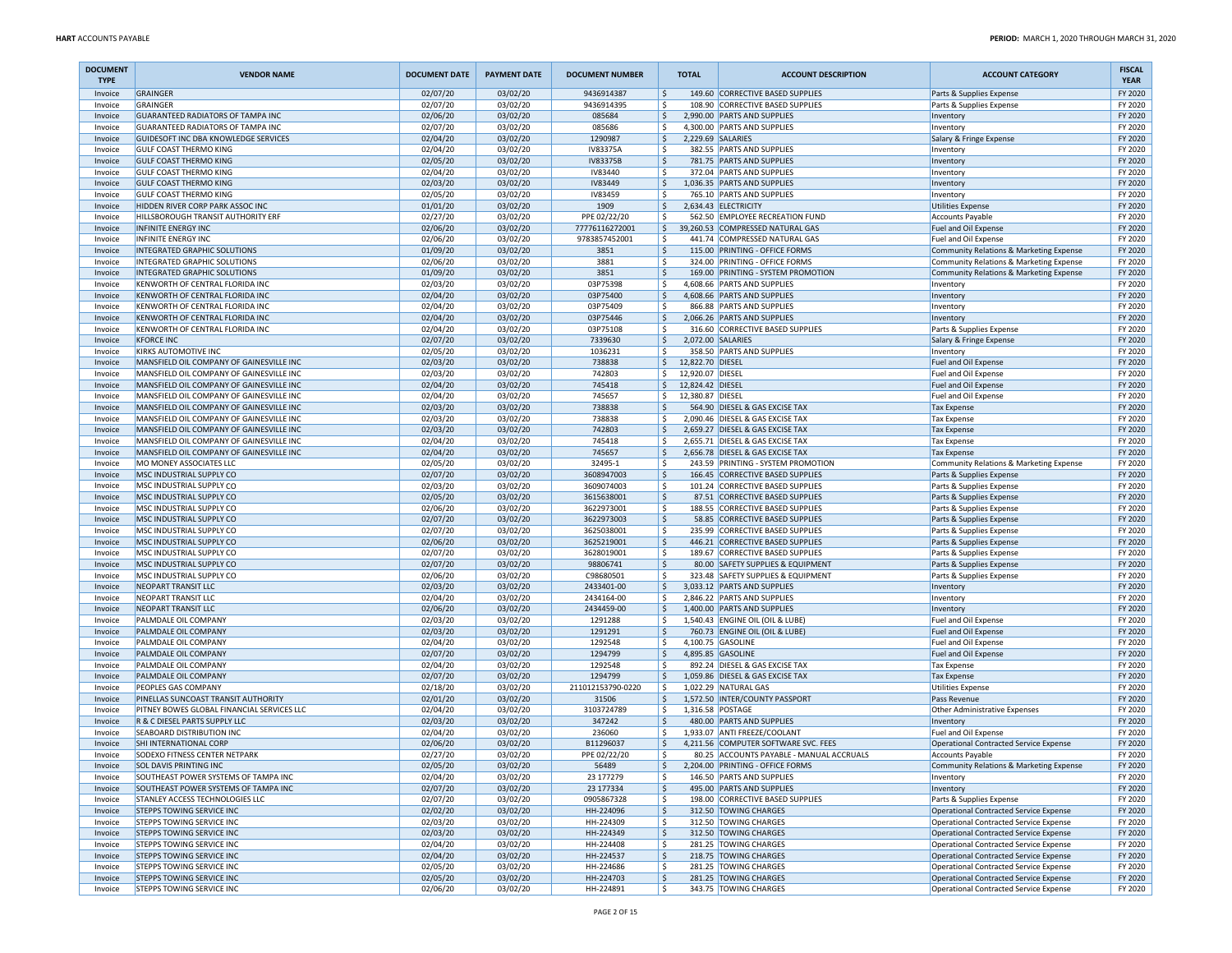| <b>DOCUMENT</b><br><b>TYPE</b> | <b>VENDOR NAME</b>                                                                   | <b>DOCUMENT DATE</b> | <b>PAYMENT DATE</b>  | <b>DOCUMENT NUMBER</b>   | <b>TOTAL</b>                                       | <b>ACCOUNT DESCRIPTION</b>                                           | <b>ACCOUNT CATEGORY</b>                                                          | <b>FISCAL</b><br><b>YEAR</b> |
|--------------------------------|--------------------------------------------------------------------------------------|----------------------|----------------------|--------------------------|----------------------------------------------------|----------------------------------------------------------------------|----------------------------------------------------------------------------------|------------------------------|
| Invoice                        | <b>GRAINGER</b>                                                                      | 02/07/20             | 03/02/20             | 9436914387               | \$                                                 | 149.60 CORRECTIVE BASED SUPPLIES                                     | Parts & Supplies Expense                                                         | FY 2020                      |
| Invoice                        | <b>GRAINGER</b>                                                                      | 02/07/20             | 03/02/20             | 9436914395               | -\$                                                | 108.90 CORRECTIVE BASED SUPPLIES                                     | Parts & Supplies Expense                                                         | FY 2020                      |
| Invoice<br>Invoice             | <b>GUARANTEED RADIATORS OF TAMPA INC</b><br><b>GUARANTEED RADIATORS OF TAMPA INC</b> | 02/06/20<br>02/07/20 | 03/02/20<br>03/02/20 | 085684<br>085686         | I\$<br>l \$                                        | 2,990.00 PARTS AND SUPPLIES<br>4,300.00 PARTS AND SUPPLIES           | Inventory<br>Inventory                                                           | FY 2020<br>FY 2020           |
| Invoice                        | GUIDESOFT INC DBA KNOWLEDGE SERVICES                                                 | 02/04/20             | 03/02/20             | 1290987                  | ١s                                                 | 2.229.69 SALARIES                                                    | Salary & Fringe Expense                                                          | FY 2020                      |
| Invoice                        | <b>GULF COAST THERMO KING</b>                                                        | 02/04/20             | 03/02/20             | IV83375A                 | ١\$                                                | 382.55 PARTS AND SUPPLIES                                            | Inventory                                                                        | FY 2020                      |
| Invoice                        | <b>GULF COAST THERMO KING</b>                                                        | 02/05/20             | 03/02/20             | IV83375B                 | $\dot{\mathsf{s}}$                                 | 781.75 PARTS AND SUPPLIES                                            | Inventon                                                                         | FY 2020                      |
| Invoice                        | <b>GULF COAST THERMO KING</b>                                                        | 02/04/20             | 03/02/20             | IV83440                  | -\$                                                | 372.04 PARTS AND SUPPLIES                                            | Inventory                                                                        | FY 2020                      |
| Invoice                        | <b>GULF COAST THERMO KING</b>                                                        | 02/03/20             | 03/02/20             | <b>IV83449</b>           | I\$                                                | 1,036.35 PARTS AND SUPPLIES                                          | Inventory                                                                        | FY 2020                      |
| Invoice<br>Invoice             | <b>GULF COAST THERMO KING</b><br>HIDDEN RIVER CORP PARK ASSOC INC                    | 02/05/20<br>01/01/20 | 03/02/20<br>03/02/20 | IV83459<br>1909          | ١s<br>۱\$.                                         | 765.10 PARTS AND SUPPLIES<br>2,634.43 ELECTRICITY                    | Inventory<br>Utilities Expense                                                   | FY 2020<br>FY 2020           |
| Invoice                        | HILLSBOROUGH TRANSIT AUTHORITY ERF                                                   | 02/27/20             | 03/02/20             | PPE 02/22/20             | -\$                                                | 562.50 EMPLOYEE RECREATION FUND                                      | <b>Accounts Payable</b>                                                          | FY 2020                      |
| Invoice                        | <b>INFINITE ENERGY INC</b>                                                           | 02/06/20             | 03/02/20             | 77776116272001           | S,                                                 | 39,260.53 COMPRESSED NATURAL GAS                                     | Fuel and Oil Expense                                                             | FY 2020                      |
| Invoice                        | <b>INFINITE ENERGY INC</b>                                                           | 02/06/20             | 03/02/20             | 9783857452001            | l \$                                               | 441.74 COMPRESSED NATURAL GAS                                        | Fuel and Oil Expense                                                             | FY 2020                      |
| Invoice                        | <b>INTEGRATED GRAPHIC SOLUTIONS</b>                                                  | 01/09/20             | 03/02/20             | 3851                     | ١s                                                 | 115.00 PRINTING - OFFICE FORMS                                       | Community Relations & Marketing Expense                                          | FY 2020                      |
| Invoice                        | INTEGRATED GRAPHIC SOLUTIONS                                                         | 02/06/20             | 03/02/20             | 3881                     | \$                                                 | 324.00 PRINTING - OFFICE FORMS                                       | Community Relations & Marketing Expense                                          | FY 2020                      |
| Invoice                        | INTEGRATED GRAPHIC SOLUTIONS                                                         | 01/09/20             | 03/02/20             | 3851                     | $\dot{\mathsf{s}}$                                 | 169.00 PRINTING - SYSTEM PROMOTION<br>4.608.66 PARTS AND SUPPLIES    | Community Relations & Marketing Expense                                          | FY 2020                      |
| Invoice<br>Invoice             | KENWORTH OF CENTRAL FLORIDA INC<br>KENWORTH OF CENTRAL FLORIDA INC                   | 02/03/20<br>02/04/20 | 03/02/20<br>03/02/20 | 03P75398<br>03P75400     | -\$<br>I\$                                         | 4,608.66 PARTS AND SUPPLIES                                          | Inventory<br>Inventory                                                           | FY 2020<br>FY 2020           |
| Invoice                        | KENWORTH OF CENTRAL FLORIDA INC                                                      | 02/04/20             | 03/02/20             | 03P75409                 | <sub>S</sub>                                       | 866.88 PARTS AND SUPPLIES                                            | Inventory                                                                        | FY 2020                      |
| Invoice                        | KENWORTH OF CENTRAL FLORIDA INC                                                      | 02/04/20             | 03/02/20             | 03P75446                 | ۱\$.                                               | 2,066.26 PARTS AND SUPPLIES                                          | Inventory                                                                        | FY 2020                      |
| Invoice                        | KENWORTH OF CENTRAL FLORIDA INC                                                      | 02/04/20             | 03/02/20             | 03P75108                 | -\$                                                | 316.60 CORRECTIVE BASED SUPPLIES                                     | Parts & Supplies Expense                                                         | FY 2020                      |
| Invoice                        | <b>KFORCE INC</b>                                                                    | 02/07/20             | 03/02/20             | 7339630                  | \$                                                 | 2,072.00 SALARIES                                                    | Salary & Fringe Expense                                                          | FY 2020                      |
| Invoice                        | KIRKS AUTOMOTIVE INC                                                                 | 02/05/20             | 03/02/20             | 1036231                  | l \$                                               | 358.50 PARTS AND SUPPLIES                                            | Inventory                                                                        | FY 2020                      |
| Invoice<br>Invoice             | MANSFIELD OIL COMPANY OF GAINESVILLE INC                                             | 02/03/20<br>02/03/20 | 03/02/20<br>03/02/20 | 738838                   | l \$<br>12,822.70 DIESEL<br>\$<br>12,920.07 DIESEL |                                                                      | Fuel and Oil Expense                                                             | FY 2020<br>FY 2020           |
| Invoice                        | MANSFIELD OIL COMPANY OF GAINESVILLE INC<br>MANSFIELD OIL COMPANY OF GAINESVILLE INC | 02/04/20             | 03/02/20             | 742803<br>745418         | Ŝ.<br>12,824.42 DIESEL                             |                                                                      | Fuel and Oil Expense<br>Fuel and Oil Expense                                     | FY 2020                      |
| Invoice                        | MANSFIELD OIL COMPANY OF GAINESVILLE INC                                             | 02/04/20             | 03/02/20             | 745657                   | \$<br>12,380.87 DIESEL                             |                                                                      | Fuel and Oil Expense                                                             | FY 2020                      |
| Invoice                        | MANSFIELD OIL COMPANY OF GAINESVILLE INC                                             | 02/03/20             | 03/02/20             | 738838                   | l\$                                                | 564.90 DIESEL & GAS EXCISE TAX                                       | <b>Tax Expense</b>                                                               | FY 2020                      |
| Invoice                        | MANSFIELD OIL COMPANY OF GAINESVILLE INC                                             | 02/03/20             | 03/02/20             | 738838                   | \$                                                 | 2,090.46 DIESEL & GAS EXCISE TAX                                     | <b>Tax Expense</b>                                                               | FY 2020                      |
| Invoice                        | MANSFIELD OIL COMPANY OF GAINESVILLE INC                                             | 02/03/20             | 03/02/20             | 742803                   | ١\$                                                | 2,659.27 DIESEL & GAS EXCISE TAX                                     | <b>Tax Expense</b>                                                               | FY 2020                      |
| Invoice                        | MANSFIELD OIL COMPANY OF GAINESVILLE INC                                             | 02/04/20             | 03/02/20             | 745418                   | -Ś                                                 | 2,655.71 DIESEL & GAS EXCISE TAX<br>2.656.78 DIESEL & GAS EXCISE TAX | <b>Tax Expense</b>                                                               | FY 2020                      |
| Invoice<br>Invoice             | MANSFIELD OIL COMPANY OF GAINESVILLE INC<br>MO MONEY ASSOCIATES LLC                  | 02/04/20<br>02/05/20 | 03/02/20<br>03/02/20 | 745657<br>32495-1        | ۱\$<br>١\$                                         | 243.59 PRINTING - SYSTEM PROMOTION                                   | <b>Tax Expense</b><br>Community Relations & Marketing Expense                    | FY 2020<br>FY 2020           |
| Invoice                        | MSC INDUSTRIAL SUPPLY CO                                                             | 02/07/20             | 03/02/20             | 3608947003               | ١\$                                                | 166.45 CORRECTIVE BASED SUPPLIES                                     | Parts & Supplies Expense                                                         | FY 2020                      |
| Invoice                        | MSC INDUSTRIAL SUPPLY CO                                                             | 02/03/20             | 03/02/20             | 3609074003               | ١\$                                                | 101.24 CORRECTIVE BASED SUPPLIES                                     | Parts & Supplies Expense                                                         | FY 2020                      |
| Invoice                        | MSC INDUSTRIAL SUPPLY CO                                                             | 02/05/20             | 03/02/20             | 3615638001               | ١\$                                                | 87.51 CORRECTIVE BASED SUPPLIES                                      | Parts & Supplies Expense                                                         | FY 2020                      |
| Invoice                        | MSC INDUSTRIAL SUPPLY CO                                                             | 02/06/20             | 03/02/20             | 3622973001               | -\$                                                | 188.55 CORRECTIVE BASED SUPPLIES                                     | Parts & Supplies Expense                                                         | FY 2020                      |
| Invoice                        | MSC INDUSTRIAL SUPPLY CO                                                             | 02/07/20             | 03/02/20             | 3622973003               | I\$                                                | 58.85 CORRECTIVE BASED SUPPLIES                                      | Parts & Supplies Expense                                                         | FY 2020                      |
| Invoice<br>Invoice             | MSC INDUSTRIAL SUPPLY CO                                                             | 02/07/20<br>02/06/20 | 03/02/20<br>03/02/20 | 3625038001               | ١\$<br>١\$                                         | 235.99 CORRECTIVE BASED SUPPLIES<br>446.21 CORRECTIVE BASED SUPPLIES | Parts & Supplies Expense                                                         | FY 2020<br>FY 2020           |
| Invoice                        | MSC INDUSTRIAL SUPPLY CO<br>MSC INDUSTRIAL SUPPLY CO                                 | 02/07/20             | 03/02/20             | 3625219001<br>3628019001 | \$                                                 | 189.67 CORRECTIVE BASED SUPPLIES                                     | Parts & Supplies Expense<br>Parts & Supplies Expense                             | FY 2020                      |
| Invoice                        | MSC INDUSTRIAL SUPPLY CO                                                             | 02/07/20             | 03/02/20             | 98806741                 | ١\$                                                | 80.00 SAFETY SUPPLIES & EQUIPMENT                                    | Parts & Supplies Expense                                                         | FY 2020                      |
| Invoice                        | MSC INDUSTRIAL SUPPLY CO                                                             | 02/06/20             | 03/02/20             | C98680501                | l\$                                                | 323.48 SAFETY SUPPLIES & EQUIPMENT                                   | Parts & Supplies Expense                                                         | FY 2020                      |
| Invoice                        | <b>NEOPART TRANSIT LLC</b>                                                           | 02/03/20             | 03/02/20             | 2433401-00               | l\$                                                | 3,033.12 PARTS AND SUPPLIES                                          | Inventory                                                                        | FY 2020                      |
| Invoice                        | NEOPART TRANSIT LLC                                                                  | 02/04/20             | 03/02/20             | 2434164-00               | ١\$                                                | 2,846.22 PARTS AND SUPPLIES                                          | Inventory                                                                        | FY 2020                      |
| Invoice                        | NEOPART TRANSIT LLC<br>PALMDALE OIL COMPANY                                          | 02/06/20             | 03/02/20             | 2434459-00               | $\dot{\mathsf{s}}$<br>-\$                          | 1,400.00 PARTS AND SUPPLIES<br>1,540.43 ENGINE OIL (OIL & LUBE)      | Inventory                                                                        | FY 2020<br>FY 2020           |
| Invoice<br>Invoice             | PALMDALE OIL COMPANY                                                                 | 02/03/20<br>02/03/20 | 03/02/20<br>03/02/20 | 1291288<br>1291291       | l\$                                                | 760.73 ENGINE OIL (OIL & LUBE)                                       | Fuel and Oil Expense<br>Fuel and Oil Expense                                     | FY 2020                      |
| Invoice                        | PALMDALE OIL COMPANY                                                                 | 02/04/20             | 03/02/20             | 1292548                  | <sub>S</sub>                                       | 4,100.75 GASOLINE                                                    | Fuel and Oil Expense                                                             | FY 2020                      |
| Invoice                        | PALMDALE OIL COMPANY                                                                 | 02/07/20             | 03/02/20             | 1294799                  | ۱\$.                                               | 4,895.85 GASOLINE                                                    | Fuel and Oil Expense                                                             | FY 2020                      |
| Invoice                        | PALMDALE OIL COMPANY                                                                 | 02/04/20             | 03/02/20             | 1292548                  | -Ś                                                 | 892.24 DIESEL & GAS EXCISE TAX                                       | <b>Tax Expense</b>                                                               | FY 2020                      |
| Invoice                        | PALMDALE OIL COMPANY                                                                 | 02/07/20             | 03/02/20             | 1294799                  | S.                                                 | 1,059.86 DIESEL & GAS EXCISE TAX                                     | <b>Tax Expense</b>                                                               | FY 2020                      |
| Invoice                        | PEOPLES GAS COMPANY                                                                  | 02/18/20             | 03/02/20             | 211012153790-0220        | l \$                                               | 1,022.29 NATURAL GAS                                                 | Utilities Expense                                                                | FY 2020                      |
| Invoice<br>Invoice             | PINELLAS SUNCOAST TRANSIT AUTHORITY<br>PITNEY BOWES GLOBAL FINANCIAL SERVICES LLC    | 02/01/20<br>02/04/20 | 03/02/20<br>03/02/20 | 31506<br>3103724789      | ١\$<br>١\$                                         | 1,572.50 INTER/COUNTY PASSPORT<br>1,316.58 POSTAGE                   | Pass Revenue<br>Other Administrative Expenses                                    | FY 2020<br>FY 2020           |
| Invoice                        | R & C DIESEL PARTS SUPPLY LLC                                                        | 02/03/20             | 03/02/20             | 347242                   | <sub>S</sub>                                       | 480.00 PARTS AND SUPPLIES                                            | Inventory                                                                        | FY 2020                      |
| Invoice                        | SEABOARD DISTRIBUTION INC                                                            | 02/04/20             | 03/02/20             | 236060                   | -\$                                                | 1,933.07 ANTI FREEZE/COOLANT                                         | Fuel and Oil Expense                                                             | FY 2020                      |
| Invoice                        | SHI INTERNATIONAL CORP                                                               | 02/06/20             | 03/02/20             | B11296037                | I\$                                                | 4,211.56 COMPUTER SOFTWARE SVC. FEES                                 | Operational Contracted Service Expense                                           | FY 2020                      |
| Invoice                        | SODEXO FITNESS CENTER NETPARK                                                        | 02/27/20             | 03/02/20             | PPE 02/22/20             | ١\$                                                | 80.25 ACCOUNTS PAYABLE - MANUAL ACCRUALS                             | Accounts Payable                                                                 | FY 2020                      |
| Invoice                        | <b>SOL DAVIS PRINTING INC</b>                                                        | 02/05/20             | 03/02/20             | 56489                    | \$                                                 | 2,204.00 PRINTING - OFFICE FORMS                                     | Community Relations & Marketing Expense                                          | FY 2020                      |
| Invoice<br>Invoice             | SOUTHEAST POWER SYSTEMS OF TAMPA INC<br>SOUTHEAST POWER SYSTEMS OF TAMPA INC         | 02/04/20<br>02/07/20 | 03/02/20<br>03/02/20 | 23 177279<br>23 177334   | -\$<br>  \$                                        | 146.50 PARTS AND SUPPLIES<br>495.00 PARTS AND SUPPLIES               | Inventory<br>Inventory                                                           | FY 2020<br>FY 2020           |
| Invoice                        | STANLEY ACCESS TECHNOLOGIES LLC                                                      | 02/07/20             | 03/02/20             | 0905867328               | l\$                                                | 198.00 CORRECTIVE BASED SUPPLIES                                     | Parts & Supplies Expense                                                         | FY 2020                      |
| Invoice                        | STEPPS TOWING SERVICE INC                                                            | 02/02/20             | 03/02/20             | HH-224096                | ١\$                                                | 312.50 TOWING CHARGES                                                | Operational Contracted Service Expense                                           | FY 2020                      |
| Invoice                        | STEPPS TOWING SERVICE INC                                                            | 02/03/20             | 03/02/20             | HH-224309                | l\$                                                | 312.50 TOWING CHARGES                                                | Operational Contracted Service Expense                                           | FY 2020                      |
| Invoice                        | STEPPS TOWING SERVICE INC                                                            | 02/03/20             | 03/02/20             | HH-224349                | ١\$                                                | 312.50 TOWING CHARGES                                                | Operational Contracted Service Expense                                           | FY 2020                      |
| Invoice                        | STEPPS TOWING SERVICE INC                                                            | 02/04/20             | 03/02/20             | HH-224408                | ۱\$                                                | 281.25 TOWING CHARGES                                                | Operational Contracted Service Expense                                           | FY 2020                      |
| Invoice<br>Invoice             | <b>STEPPS TOWING SERVICE INC</b><br>STEPPS TOWING SERVICE INC                        | 02/04/20<br>02/05/20 | 03/02/20<br>03/02/20 | HH-224537<br>HH-224686   | ۱\$.<br>$\mathsf{\hat{S}}$                         | 218.75 TOWING CHARGES<br>281.25 TOWING CHARGES                       | Operational Contracted Service Expense<br>Operational Contracted Service Expense | FY 2020<br>FY 2020           |
| Invoice                        | <b>STEPPS TOWING SERVICE INC</b>                                                     | 02/05/20             | 03/02/20             | HH-224703                | ۱\$.                                               | 281.25 TOWING CHARGES                                                | Operational Contracted Service Expense                                           | FY 2020                      |
| Invoice                        | STEPPS TOWING SERVICE INC                                                            | 02/06/20             | 03/02/20             | HH-224891                | l\$                                                | 343.75 TOWING CHARGES                                                | Operational Contracted Service Expense                                           | FY 2020                      |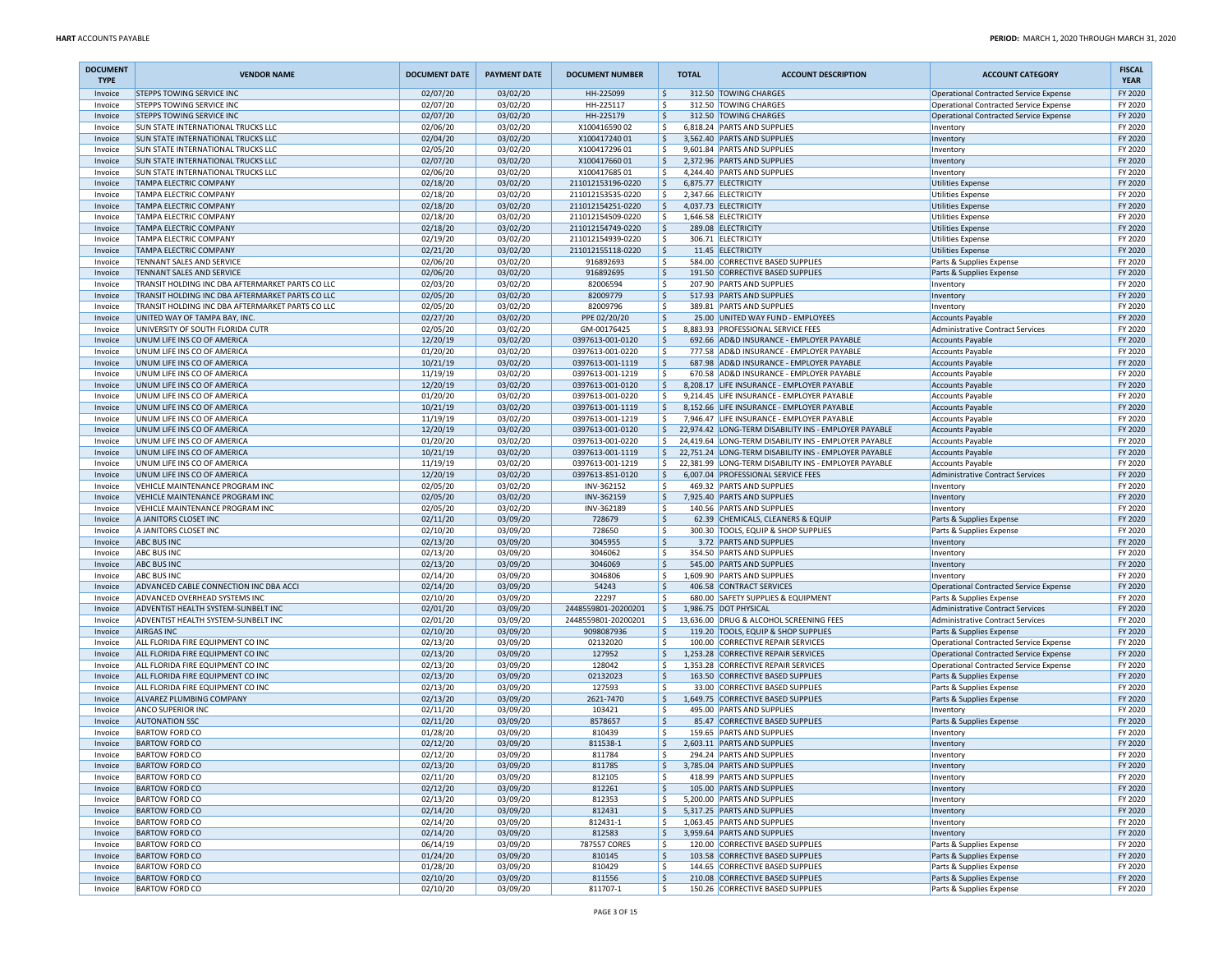| <b>DOCUMENT</b><br><b>TYPE</b> | <b>VENDOR NAME</b>                                                     | <b>DOCUMENT DATE</b> | <b>PAYMENT DATE</b>  | <b>DOCUMENT NUMBER</b>                 |              | <b>TOTAL</b> | <b>ACCOUNT DESCRIPTION</b>                                                                  | <b>ACCOUNT CATEGORY</b>                                            | <b>FISCAL</b><br><b>YEAR</b> |
|--------------------------------|------------------------------------------------------------------------|----------------------|----------------------|----------------------------------------|--------------|--------------|---------------------------------------------------------------------------------------------|--------------------------------------------------------------------|------------------------------|
| Invoice                        | <b>STEPPS TOWING SERVICE INC</b>                                       | 02/07/20             | 03/02/20             | HH-225099                              | l\$          |              | 312.50 TOWING CHARGES                                                                       | Operational Contracted Service Expense                             | FY 2020                      |
| Invoice                        | STEPPS TOWING SERVICE INC                                              | 02/07/20             | 03/02/20             | HH-225117                              | ١\$          |              | 312.50 TOWING CHARGES                                                                       | <b>Operational Contracted Service Expense</b>                      | FY 2020                      |
| Invoice<br>Invoice             | <b>STEPPS TOWING SERVICE INC</b><br>SUN STATE INTERNATIONAL TRUCKS LLC | 02/07/20<br>02/06/20 | 03/02/20<br>03/02/20 | HH-225179<br>X10041659002              | ۱\$<br>۱\$   |              | 312.50 TOWING CHARGES<br>6,818.24 PARTS AND SUPPLIES                                        | Operational Contracted Service Expense<br>Inventory                | FY 2020<br>FY 2020           |
| Invoice                        | SUN STATE INTERNATIONAL TRUCKS LLC                                     | 02/04/20             | 03/02/20             | X10041724001                           | ۱\$          |              | 3.562.40 PARTS AND SUPPLIES                                                                 | Inventory                                                          | FY 2020                      |
| Invoice                        | <b>SUN STATE INTERNATIONAL TRUCKS LLC</b>                              | 02/05/20             | 03/02/20             | X10041729601                           | ا \$         |              | 9,601.84 PARTS AND SUPPLIES                                                                 | Inventory                                                          | FY 2020                      |
| Invoice                        | SUN STATE INTERNATIONAL TRUCKS LLC                                     | 02/07/20             | 03/02/20             | X10041766001                           | ۱\$          |              | 2,372.96 PARTS AND SUPPLIES                                                                 | Inventory                                                          | FY 2020                      |
| Invoice                        | SUN STATE INTERNATIONAL TRUCKS LLC                                     | 02/06/20             | 03/02/20             | X10041768501                           | ا \$         |              | 4,244.40 PARTS AND SUPPLIES                                                                 | Inventory                                                          | FY 2020                      |
| Invoice                        | TAMPA ELECTRIC COMPANY                                                 | 02/18/20             | 03/02/20             | 211012153196-0220                      | ۱\$          |              | 6,875.77 ELECTRICITY                                                                        | <b>Utilities Expense</b>                                           | FY 2020                      |
| Invoice                        | TAMPA ELECTRIC COMPANY                                                 | 02/18/20             | 03/02/20             | 211012153535-0220                      | l \$         |              | 2,347.66 ELECTRICITY                                                                        | <b>Utilities Expense</b>                                           | FY 2020                      |
| Invoice                        | TAMPA ELECTRIC COMPANY                                                 | 02/18/20             | 03/02/20             | 211012154251-0220                      | ا \$         |              | 4,037.73 ELECTRICITY                                                                        | <b>Utilities Expense</b>                                           | FY 2020                      |
| Invoice                        | TAMPA ELECTRIC COMPANY                                                 | 02/18/20             | 03/02/20             | 211012154509-0220                      | ۱\$          |              | 1,646.58 ELECTRICITY                                                                        | <b>Utilities Expense</b>                                           | FY 2020                      |
| Invoice<br>Invoice             | <b>TAMPA ELECTRIC COMPANY</b><br>TAMPA ELECTRIC COMPANY                | 02/18/20<br>02/19/20 | 03/02/20<br>03/02/20 | 211012154749-0220<br>211012154939-0220 | ا \$<br>ا \$ |              | 289.08 ELECTRICITY<br>306.71 ELECTRICITY                                                    | <b>Utilities Expense</b><br><b>Utilities Expense</b>               | FY 2020<br>FY 2020           |
| Invoice                        | <b>TAMPA ELECTRIC COMPANY</b>                                          | 02/21/20             | 03/02/20             | 211012155118-0220                      | ۱\$          |              | 11.45 ELECTRICITY                                                                           | <b>Utilities Expense</b>                                           | FY 2020                      |
| Invoice                        | TENNANT SALES AND SERVICE                                              | 02/06/20             | 03/02/20             | 916892693                              | ا \$         |              | 584.00 CORRECTIVE BASED SUPPLIES                                                            | Parts & Supplies Expense                                           | FY 2020                      |
| Invoice                        | TENNANT SALES AND SERVICE                                              | 02/06/20             | 03/02/20             | 916892695                              | ۱\$          |              | 191.50 CORRECTIVE BASED SUPPLIES                                                            | Parts & Supplies Expense                                           | FY 2020                      |
| Invoice                        | TRANSIT HOLDING INC DBA AFTERMARKET PARTS CO LLC                       | 02/03/20             | 03/02/20             | 82006594                               | ۱\$          |              | 207.90 PARTS AND SUPPLIES                                                                   | Inventory                                                          | FY 2020                      |
| Invoice                        | TRANSIT HOLDING INC DBA AFTERMARKET PARTS CO LLC                       | 02/05/20             | 03/02/20             | 82009779                               | \$           |              | 517.93 PARTS AND SUPPLIES                                                                   | Inventory                                                          | FY 2020                      |
| Invoice                        | TRANSIT HOLDING INC DBA AFTERMARKET PARTS CO LLC                       | 02/05/20             | 03/02/20             | 82009796                               | ۱\$          |              | 389.81 PARTS AND SUPPLIES                                                                   | Inventory                                                          | FY 2020                      |
| Invoice                        | UNITED WAY OF TAMPA BAY, INC.                                          | 02/27/20             | 03/02/20             | PPE 02/20/20                           | ۱\$          |              | 25.00 UNITED WAY FUND - EMPLOYEES                                                           | <b>Accounts Payable</b>                                            | FY 2020                      |
| Invoice                        | UNIVERSITY OF SOUTH FLORIDA CUTR                                       | 02/05/20             | 03/02/20             | GM-00176425                            | ۱\$          |              | 8,883.93 PROFESSIONAL SERVICE FEES                                                          | <b>Administrative Contract Services</b>                            | FY 2020                      |
| Invoice<br>Invoice             | UNUM LIFE INS CO OF AMERICA<br>UNUM LIFE INS CO OF AMERICA             | 12/20/19<br>01/20/20 | 03/02/20<br>03/02/20 | 0397613-001-0120<br>0397613-001-0220   | ۱\$<br>ا \$  |              | 692.66 AD&D INSURANCE - EMPLOYER PAYABLE<br>777.58 AD&D INSURANCE - EMPLOYER PAYABLE        | <b>Accounts Payable</b>                                            | FY 2020<br>FY 2020           |
| Invoice                        | UNUM LIFE INS CO OF AMERICA                                            | 10/21/19             | 03/02/20             | 0397613-001-1119                       | ۱\$.         |              | 687.98 AD&D INSURANCE - EMPLOYER PAYABLE                                                    | <b>Accounts Payable</b><br><b>Accounts Payable</b>                 | FY 2020                      |
| Invoice                        | UNUM LIFE INS CO OF AMERICA                                            | 11/19/19             | 03/02/20             | 0397613-001-1219                       | ا \$         |              | 670.58 AD&D INSURANCE - EMPLOYER PAYABLE                                                    | Accounts Payable                                                   | FY 2020                      |
| Invoice                        | UNUM LIFE INS CO OF AMERICA                                            | 12/20/19             | 03/02/20             | 0397613-001-0120                       | ۱\$          |              | 8,208.17 LIFE INSURANCE - EMPLOYER PAYABLE                                                  | <b>Accounts Payable</b>                                            | FY 2020                      |
| Invoice                        | UNUM LIFE INS CO OF AMERICA                                            | 01/20/20             | 03/02/20             | 0397613-001-0220                       | ا \$         |              | 9,214.45 LIFE INSURANCE - EMPLOYER PAYABLE                                                  | <b>Accounts Payable</b>                                            | FY 2020                      |
| Invoice                        | UNUM LIFE INS CO OF AMERICA                                            | 10/21/19             | 03/02/20             | 0397613-001-1119                       | ۱\$          |              | 8,152.66 LIFE INSURANCE - EMPLOYER PAYABLE                                                  | <b>Accounts Payable</b>                                            | FY 2020                      |
| Invoice                        | UNUM LIFE INS CO OF AMERICA                                            | 11/19/19             | 03/02/20             | 0397613-001-1219                       | ١s           |              | 7.946.47 LIFE INSURANCE - EMPLOYER PAYABLE                                                  | <b>Accounts Payable</b>                                            | FY 2020                      |
| Invoice                        | UNUM LIFE INS CO OF AMERICA                                            | 12/20/19             | 03/02/20             | 0397613-001-0120                       | I \$         |              | 22,974.42 LONG-TERM DISABILITY INS - EMPLOYER PAYABLE                                       | <b>Accounts Payable</b>                                            | FY 2020                      |
| Invoice                        | UNUM LIFE INS CO OF AMERICA                                            | 01/20/20             | 03/02/20             | 0397613-001-0220                       | l \$         |              | 24,419.64 LONG-TERM DISABILITY INS - EMPLOYER PAYABLE                                       | <b>Accounts Payable</b>                                            | FY 2020                      |
| Invoice                        | UNUM LIFE INS CO OF AMERICA                                            | 10/21/19             | 03/02/20             | 0397613-001-1119                       | I \$         |              | 22.751.24 LONG-TERM DISABILITY INS - EMPLOYER PAYABLE                                       | <b>Accounts Payable</b>                                            | FY 2020                      |
| Invoice<br>Invoice             | UNUM LIFE INS CO OF AMERICA<br>UNUM LIFE INS CO OF AMERICA             | 11/19/19<br>12/20/19 | 03/02/20<br>03/02/20 | 0397613-001-1219<br>0397613-851-0120   | l\$<br>l \$  |              | 22,381.99 LONG-TERM DISABILITY INS - EMPLOYER PAYABLE<br>6,007.04 PROFESSIONAL SERVICE FEES | <b>Accounts Payable</b><br><b>Administrative Contract Services</b> | FY 2020<br>FY 2020           |
| Invoice                        | VEHICLE MAINTENANCE PROGRAM INC                                        | 02/05/20             | 03/02/20             | INV-362152                             | ا \$         |              | 469.32 PARTS AND SUPPLIES                                                                   | Inventory                                                          | FY 2020                      |
| Invoice                        | VEHICLE MAINTENANCE PROGRAM INC                                        | 02/05/20             | 03/02/20             | INV-362159                             | ۱\$          |              | 7,925.40 PARTS AND SUPPLIES                                                                 | Inventory                                                          | FY 2020                      |
| Invoice                        | VEHICLE MAINTENANCE PROGRAM INC                                        | 02/05/20             | 03/02/20             | INV-362189                             | ١\$          |              | 140.56 PARTS AND SUPPLIES                                                                   | Inventory                                                          | FY 2020                      |
| Invoice                        | A JANITORS CLOSET INC                                                  | 02/11/20             | 03/09/20             | 728679                                 | \$           |              | 62.39 CHEMICALS, CLEANERS & EQUIP                                                           | Parts & Supplies Expense                                           | FY 2020                      |
| Invoice                        | A JANITORS CLOSET INC                                                  | 02/10/20             | 03/09/20             | 728650                                 | ١\$          |              | 300.30 TOOLS, EQUIP & SHOP SUPPLIES                                                         | Parts & Supplies Expense                                           | FY 2020                      |
| Invoice                        | <b>ABC BUS INC</b>                                                     | 02/13/20             | 03/09/20             | 3045955                                | ۱\$          |              | 3.72 PARTS AND SUPPLIES                                                                     | Inventory                                                          | FY 2020                      |
| Invoice                        | <b>ABC BUS INC</b>                                                     | 02/13/20             | 03/09/20             | 3046062                                | ١\$          |              | 354.50 PARTS AND SUPPLIES                                                                   | Inventory                                                          | FY 2020                      |
| Invoice<br>Invoice             | <b>ABC BUS INC</b><br><b>ABC BUS INC</b>                               | 02/13/20<br>02/14/20 | 03/09/20<br>03/09/20 | 3046069<br>3046806                     | ۱\$<br>۱\$   |              | 545.00 PARTS AND SUPPLIES<br>1,609.90 PARTS AND SUPPLIES                                    | Inventory                                                          | FY 2020<br>FY 2020           |
| Invoice                        | ADVANCED CABLE CONNECTION INC DBA ACCI                                 | 02/14/20             | 03/09/20             | 54243                                  | ۱\$.         |              | 406.58 CONTRACT SERVICES                                                                    | Inventory<br>Operational Contracted Service Expense                | FY 2020                      |
| Invoice                        | ADVANCED OVERHEAD SYSTEMS INC                                          | 02/10/20             | 03/09/20             | 22297                                  | ا \$         |              | 680.00 SAFETY SUPPLIES & EQUIPMENT                                                          | Parts & Supplies Expense                                           | FY 2020                      |
| Invoice                        | ADVENTIST HEALTH SYSTEM-SUNBELT INC                                    | 02/01/20             | 03/09/20             | 2448559801-20200201                    | ۱\$          |              | 1,986.75 DOT PHYSICAL                                                                       | <b>Administrative Contract Services</b>                            | FY 2020                      |
| Invoice                        | ADVENTIST HEALTH SYSTEM-SUNBELT INC                                    | 02/01/20             | 03/09/20             | 2448559801-20200201                    | ۱\$          |              | 13,636.00 DRUG & ALCOHOL SCREENING FEES                                                     | Administrative Contract Services                                   | FY 2020                      |
| Invoice                        | <b>AIRGAS INC</b>                                                      | 02/10/20             | 03/09/20             | 9098087936                             | ۱\$          |              | 119.20 TOOLS, EQUIP & SHOP SUPPLIES                                                         | Parts & Supplies Expense                                           | FY 2020                      |
| Invoice                        | ALL FLORIDA FIRE EQUIPMENT CO INC                                      | 02/13/20             | 03/09/20             | 02132020                               | ۱\$          |              | 100.00 CORRECTIVE REPAIR SERVICES                                                           | Operational Contracted Service Expense                             | FY 2020                      |
| Invoice                        | ALL FLORIDA FIRE EQUIPMENT CO INC                                      | 02/13/20             | 03/09/20             | 127952                                 | ۱\$          |              | 1,253.28 CORRECTIVE REPAIR SERVICES                                                         | Operational Contracted Service Expense                             | FY 2020                      |
| Invoice                        | ALL FLORIDA FIRE EQUIPMENT CO INC                                      | 02/13/20             | 03/09/20             | 128042                                 | ١\$          | 1,353.28     | <b>CORRECTIVE REPAIR SERVICES</b>                                                           | Operational Contracted Service Expense                             | FY 2020                      |
| Invoice                        | ALL FLORIDA FIRE EQUIPMENT CO INC<br>ALL FLORIDA FIRE EQUIPMENT CO INC | 02/13/20             | 03/09/20             | 02132023<br>127593                     | ۱\$<br>۱\$   |              | 163.50 CORRECTIVE BASED SUPPLIES<br>33.00 CORRECTIVE BASED SUPPLIES                         | Parts & Supplies Expense<br>Parts & Supplies Expense               | FY 2020<br>FY 2020           |
| Invoice<br>Invoice             | ALVAREZ PLUMBING COMPANY                                               | 02/13/20<br>02/13/20 | 03/09/20<br>03/09/20 | 2621-7470                              | ۱\$          |              | 1,649.75 CORRECTIVE BASED SUPPLIES                                                          | Parts & Supplies Expense                                           | FY 2020                      |
| Invoice                        | <b>ANCO SUPERIOR INC</b>                                               | 02/11/20             | 03/09/20             | 103421                                 | ا \$         |              | 495.00 PARTS AND SUPPLIES                                                                   | Inventory                                                          | FY 2020                      |
| Invoice                        | <b>AUTONATION SSC</b>                                                  | 02/11/20             | 03/09/20             | 8578657                                | ۱\$          |              | 85.47 CORRECTIVE BASED SUPPLIES                                                             | Parts & Supplies Expense                                           | FY 2020                      |
| Invoice                        | <b>BARTOW FORD CO</b>                                                  | 01/28/20             | 03/09/20             | 810439                                 | ١\$          |              | 159.65 PARTS AND SUPPLIES                                                                   | Inventory                                                          | FY 2020                      |
| Invoice                        | <b>BARTOW FORD CO</b>                                                  | 02/12/20             | 03/09/20             | 811538-1                               | ۱\$          |              | 2,603.11 PARTS AND SUPPLIES                                                                 | Inventory                                                          | FY 2020                      |
| Invoice                        | <b>BARTOW FORD CO</b>                                                  | 02/12/20             | 03/09/20             | 811784                                 | S,           |              | 294.24 PARTS AND SUPPLIES                                                                   | Inventory                                                          | FY 2020                      |
| Invoice                        | <b>BARTOW FORD CO</b>                                                  | 02/13/20             | 03/09/20             | 811785                                 | l\$          |              | 3,785.04 PARTS AND SUPPLIES                                                                 | Inventory                                                          | FY 2020                      |
| Invoice                        | <b>BARTOW FORD CO</b>                                                  | 02/11/20             | 03/09/20             | 812105                                 | ۱\$          |              | 418.99 PARTS AND SUPPLIES                                                                   | Inventory                                                          | FY 2020                      |
| Invoice                        | <b>BARTOW FORD CO</b><br><b>BARTOW FORD CO</b>                         | 02/12/20<br>02/13/20 | 03/09/20             | 812261<br>812353                       | ۱\$.         |              | 105.00 PARTS AND SUPPLIES<br>5,200.00 PARTS AND SUPPLIES                                    | Inventory                                                          | FY 2020<br>FY 2020           |
| Invoice<br>Invoice             | <b>BARTOW FORD CO</b>                                                  | 02/14/20             | 03/09/20<br>03/09/20 | 812431                                 | ۱\$<br>l \$  |              | 5,317.25 PARTS AND SUPPLIES                                                                 | Inventory<br>Inventory                                             | FY 2020                      |
| Invoice                        | <b>BARTOW FORD CO</b>                                                  | 02/14/20             | 03/09/20             | 812431-1                               | ۱\$          |              | 1,063.45 PARTS AND SUPPLIES                                                                 | Inventory                                                          | FY 2020                      |
| Invoice                        | <b>BARTOW FORD CO</b>                                                  | 02/14/20             | 03/09/20             | 812583                                 | ۱\$.         |              | 3,959.64 PARTS AND SUPPLIES                                                                 | Inventory                                                          | FY 2020                      |
| Invoice                        | <b>BARTOW FORD CO</b>                                                  | 06/14/19             | 03/09/20             | 787557 CORES                           | ١\$          |              | 120.00 CORRECTIVE BASED SUPPLIES                                                            | Parts & Supplies Expense                                           | FY 2020                      |
| Invoice                        | <b>BARTOW FORD CO</b>                                                  | 01/24/20             | 03/09/20             | 810145                                 | \$           |              | 103.58 CORRECTIVE BASED SUPPLIES                                                            | Parts & Supplies Expense                                           | FY 2020                      |
| Invoice                        | <b>BARTOW FORD CO</b>                                                  | 01/28/20             | 03/09/20             | 810429                                 | ۱\$          |              | 144.65 CORRECTIVE BASED SUPPLIES                                                            | Parts & Supplies Expense                                           | FY 2020                      |
| Invoice                        | <b>BARTOW FORD CO</b>                                                  | 02/10/20             | 03/09/20             | 811556                                 | ۱\$          |              | 210.08 CORRECTIVE BASED SUPPLIES                                                            | Parts & Supplies Expense                                           | FY 2020                      |
| Invoice                        | <b>BARTOW FORD CO</b>                                                  | 02/10/20             | 03/09/20             | 811707-1                               | ۱\$          |              | 150.26 CORRECTIVE BASED SUPPLIES                                                            | Parts & Supplies Expense                                           | FY 2020                      |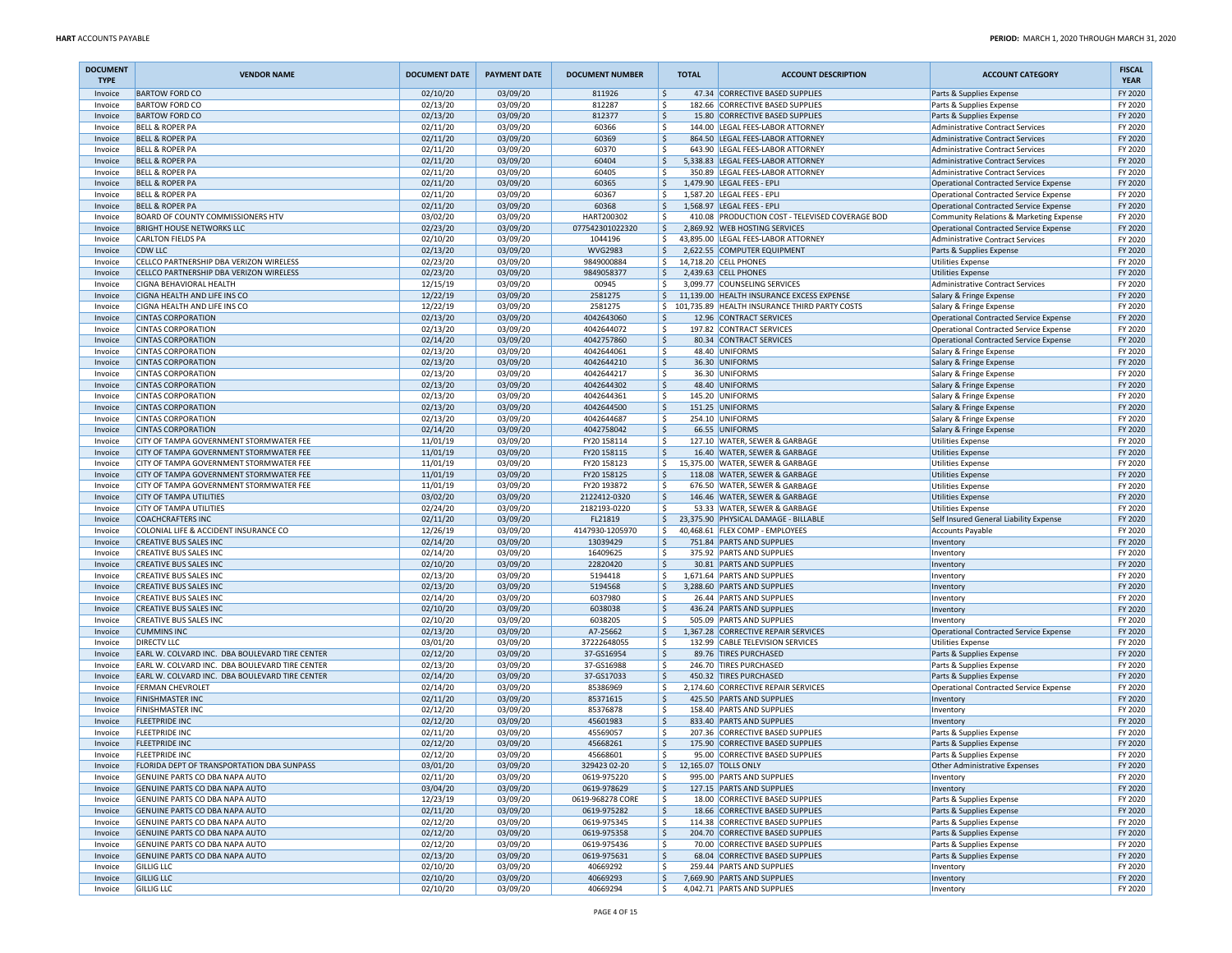| <b>DOCUMENT</b><br><b>TYPE</b> | <b>VENDOR NAME</b>                                                                 | <b>DOCUMENT DATE</b> | <b>PAYMENT DATE</b>  | <b>DOCUMENT NUMBER</b>        | <b>TOTAL</b>                          | <b>ACCOUNT DESCRIPTION</b>                                                       | <b>ACCOUNT CATEGORY</b>                                                                 | <b>FISCAL</b><br><b>YEAR</b> |
|--------------------------------|------------------------------------------------------------------------------------|----------------------|----------------------|-------------------------------|---------------------------------------|----------------------------------------------------------------------------------|-----------------------------------------------------------------------------------------|------------------------------|
| Invoice                        | <b>BARTOW FORD CO</b>                                                              | 02/10/20             | 03/09/20             | 811926                        | ۱\$.                                  | 47.34 CORRECTIVE BASED SUPPLIES                                                  | Parts & Supplies Expense                                                                | FY 2020                      |
| Invoice                        | <b>BARTOW FORD CO</b><br><b>BARTOW FORD CO</b>                                     | 02/13/20             | 03/09/20             | 812287<br>812377              | ۱\$                                   | 182.66 CORRECTIVE BASED SUPPLIES<br>15.80 CORRECTIVE BASED SUPPLIES              | Parts & Supplies Expense                                                                | FY 2020<br>FY 2020           |
| Invoice<br>Invoice             | <b>BELL &amp; ROPER PA</b>                                                         | 02/13/20<br>02/11/20 | 03/09/20<br>03/09/20 | 60366                         | ا \$<br>۱\$                           | 144.00 LEGAL FEES-LABOR ATTORNEY                                                 | Parts & Supplies Expense<br><b>Administrative Contract Services</b>                     | FY 2020                      |
| Invoice                        | <b>BELL &amp; ROPER PA</b>                                                         | 02/11/20             | 03/09/20             | 60369                         | ١\$<br>864.50                         | <b>LEGAL FEES-LABOR ATTORNEY</b>                                                 | <b>Administrative Contract Services</b>                                                 | FY 2020                      |
| Invoice                        | <b>BELL &amp; ROPER PA</b>                                                         | 02/11/20             | 03/09/20             | 60370                         | ۱\$                                   | 643.90 LEGAL FEES-LABOR ATTORNEY                                                 | <b>Administrative Contract Services</b>                                                 | FY 2020                      |
| Invoice                        | <b>BELL &amp; ROPER PA</b>                                                         | 02/11/20             | 03/09/20             | 60404                         | \$                                    | 5,338.83 LEGAL FEES-LABOR ATTORNEY                                               | <b>Administrative Contract Services</b>                                                 | FY 2020                      |
| Invoice                        | <b>BELL &amp; ROPER PA</b>                                                         | 02/11/20             | 03/09/20             | 60405                         | ۱\$                                   | 350.89 LEGAL FEES-LABOR ATTORNEY                                                 | <b>Administrative Contract Services</b>                                                 | FY 2020                      |
| Invoice                        | <b>BELL &amp; ROPER PA</b>                                                         | 02/11/20             | 03/09/20             | 60365                         | I\$                                   | 1,479.90 LEGAL FEES - EPLI                                                       | Operational Contracted Service Expense                                                  | FY 2020                      |
| Invoice                        | <b>BELL &amp; ROPER PA</b>                                                         | 02/11/20             | 03/09/20             | 60367                         | ١\$                                   | 1,587.20 LEGAL FEES - EPLI                                                       | <b>Operational Contracted Service Expense</b>                                           | FY 2020                      |
| Invoice                        | <b>BELL &amp; ROPER PA</b>                                                         | 02/11/20             | 03/09/20             | 60368                         | ١\$                                   | 1,568.97 LEGAL FEES - EPLI                                                       | Operational Contracted Service Expense                                                  | FY 2020                      |
| Invoice<br>Invoice             | BOARD OF COUNTY COMMISSIONERS HTV<br><b>BRIGHT HOUSE NETWORKS LLC</b>              | 03/02/20<br>02/23/20 | 03/09/20<br>03/09/20 | HART200302<br>077542301022320 | ۱\$<br>ا \$                           | 410.08 PRODUCTION COST - TELEVISED COVERAGE BOD<br>2.869.92 WEB HOSTING SERVICES | Community Relations & Marketing Expense<br>Operational Contracted Service Expense       | FY 2020<br>FY 2020           |
| Invoice                        | <b>CARLTON FIELDS PA</b>                                                           | 02/10/20             | 03/09/20             | 1044196                       | l\$                                   | 43,895.00 LEGAL FEES-LABOR ATTORNEY                                              | <b>Administrative Contract Services</b>                                                 | FY 2020                      |
| Invoice                        | <b>CDW LLC</b>                                                                     | 02/13/20             | 03/09/20             | <b>WVG2983</b>                | ١s                                    | 2,622.55 COMPUTER EQUIPMENT                                                      | Parts & Supplies Expense                                                                | FY 2020                      |
| Invoice                        | CELLCO PARTNERSHIP DBA VERIZON WIRELESS                                            | 02/23/20             | 03/09/20             | 9849000884                    | S,                                    | 14,718.20 CELL PHONES                                                            | Utilities Expense                                                                       | FY 2020                      |
| Invoice                        | CELLCO PARTNERSHIP DBA VERIZON WIRELESS                                            | 02/23/20             | 03/09/20             | 9849058377                    | S,                                    | 2,439.63 CELL PHONES                                                             | <b>Utilities Expense</b>                                                                | FY 2020                      |
| Invoice                        | CIGNA BEHAVIORAL HEALTH                                                            | 12/15/19             | 03/09/20             | 00945                         | l \$                                  | 3.099.77 COUNSELING SERVICES                                                     | <b>Administrative Contract Services</b>                                                 | FY 2020                      |
| Invoice                        | CIGNA HEALTH AND LIFE INS CO                                                       | 12/22/19             | 03/09/20             | 2581275                       | l\$                                   | 11,139.00 HEALTH INSURANCE EXCESS EXPENSE                                        | Salary & Fringe Expense                                                                 | FY 2020                      |
| Invoice                        | CIGNA HEALTH AND LIFE INS CO                                                       | 12/22/19             | 03/09/20             | 2581275                       |                                       | \$101,735.89 HEALTH INSURANCE THIRD PARTY COSTS                                  | Salary & Fringe Expense                                                                 | FY 2020                      |
| Invoice                        | <b>CINTAS CORPORATION</b>                                                          | 02/13/20             | 03/09/20             | 4042643060                    | ۱\$.                                  | 12.96 CONTRACT SERVICES<br>197.82 CONTRACT SERVICES                              | Operational Contracted Service Expense                                                  | FY 2020<br>FY 2020           |
| Invoice<br>Invoice             | <b>CINTAS CORPORATION</b><br><b>CINTAS CORPORATION</b>                             | 02/13/20<br>02/14/20 | 03/09/20<br>03/09/20 | 4042644072<br>4042757860      | ۱\$<br>I\$                            | 80.34 CONTRACT SERVICES                                                          | Operational Contracted Service Expense<br><b>Operational Contracted Service Expense</b> | FY 2020                      |
| Invoice                        | <b>CINTAS CORPORATION</b>                                                          | 02/13/20             | 03/09/20             | 4042644061                    | ۱\$                                   | 48.40 UNIFORMS                                                                   | Salary & Fringe Expense                                                                 | FY 2020                      |
| Invoice                        | <b>CINTAS CORPORATION</b>                                                          | 02/13/20             | 03/09/20             | 4042644210                    | ١\$                                   | 36.30 UNIFORMS                                                                   | Salary & Fringe Expense                                                                 | FY 2020                      |
| Invoice                        | <b>CINTAS CORPORATION</b>                                                          | 02/13/20             | 03/09/20             | 4042644217                    | ١\$                                   | 36.30 UNIFORMS                                                                   | Salary & Fringe Expense                                                                 | FY 2020                      |
| Invoice                        | <b>CINTAS CORPORATION</b>                                                          | 02/13/20             | 03/09/20             | 4042644302                    | \$                                    | 48.40 UNIFORMS                                                                   | Salary & Fringe Expense                                                                 | FY 2020                      |
| Invoice                        | <b>CINTAS CORPORATION</b>                                                          | 02/13/20             | 03/09/20             | 4042644361                    | ۱\$                                   | 145.20 UNIFORMS                                                                  | Salary & Fringe Expense                                                                 | FY 2020                      |
| Invoice                        | <b>CINTAS CORPORATION</b>                                                          | 02/13/20             | 03/09/20             | 4042644500                    | ١\$                                   | 151.25 UNIFORMS                                                                  | Salary & Fringe Expense                                                                 | FY 2020                      |
| Invoice                        | <b>CINTAS CORPORATION</b>                                                          | 02/13/20             | 03/09/20             | 4042644687                    | ١\$                                   | 254.10 UNIFORMS                                                                  | Salary & Fringe Expense                                                                 | FY 2020                      |
| Invoice                        | <b>CINTAS CORPORATION</b>                                                          | 02/14/20             | 03/09/20             | 4042758042                    | \$                                    | 66.55 UNIFORMS                                                                   | Salary & Fringe Expense                                                                 | FY 2020                      |
| Invoice<br>Invoice             | CITY OF TAMPA GOVERNMENT STORMWATER FEE<br>CITY OF TAMPA GOVERNMENT STORMWATER FEE | 11/01/19<br>11/01/19 | 03/09/20<br>03/09/20 | FY20 158114<br>FY20 158115    | ١\$<br>I\$                            | 127.10 WATER, SEWER & GARBAGE<br>16.40 WATER, SEWER & GARBAGE                    | <b>Utilities Expense</b><br><b>Utilities Expense</b>                                    | FY 2020<br>FY 2020           |
| Invoice                        | CITY OF TAMPA GOVERNMENT STORMWATER FEE                                            | 11/01/19             | 03/09/20             | FY20 158123                   | l\$                                   | 15,375.00 WATER, SEWER & GARBAGE                                                 | <b>Utilities Expense</b>                                                                | FY 2020                      |
| Invoice                        | CITY OF TAMPA GOVERNMENT STORMWATER FEE                                            | 11/01/19             | 03/09/20             | FY20 158125                   | ١\$                                   | 118.08 WATER, SEWER & GARBAGE                                                    | <b>Utilities Expense</b>                                                                | FY 2020                      |
| Invoice                        | CITY OF TAMPA GOVERNMENT STORMWATER FEE                                            | 11/01/19             | 03/09/20             | FY20 193872                   | ١\$                                   | 676.50 WATER, SEWER & GARBAGE                                                    | <b>Utilities Expense</b>                                                                | FY 2020                      |
| Invoice                        | <b>CITY OF TAMPA UTILITIES</b>                                                     | 03/02/20             | 03/09/20             | 2122412-0320                  | ۱\$.                                  | 146.46 WATER, SEWER & GARBAGE                                                    | <b>Utilities Expense</b>                                                                | FY 2020                      |
| Invoice                        | CITY OF TAMPA UTILITIES                                                            | 02/24/20             | 03/09/20             | 2182193-0220                  | l \$                                  | 53.33 WATER, SEWER & GARBAGE                                                     | Utilities Expense                                                                       | FY 2020                      |
| Invoice                        | <b>COACHCRAFTERS INC</b>                                                           | 02/11/20             | 03/09/20             | FL21819                       | l\$.                                  | 23,375.90 PHYSICAL DAMAGE - BILLABLE                                             | Self Insured General Liability Expense                                                  | FY 2020                      |
| Invoice                        | COLONIAL LIFE & ACCIDENT INSURANCE CO                                              | 12/26/19             | 03/09/20             | 4147930-1205970               | l\$                                   | 40,468.61 FLEX COMP - EMPLOYEES                                                  | <b>Accounts Payable</b>                                                                 | FY 2020                      |
| Invoice<br>Invoice             | <b>CREATIVE BUS SALES INC</b><br>CREATIVE BUS SALES INC                            | 02/14/20<br>02/14/20 | 03/09/20<br>03/09/20 | 13039429<br>16409625          | ۱\$.<br>۱\$                           | 751.84 PARTS AND SUPPLIES<br>375.92 PARTS AND SUPPLIES                           | Inventory<br>Inventory                                                                  | FY 2020<br>FY 2020           |
| Invoice                        | <b>CREATIVE BUS SALES INC</b>                                                      | 02/10/20             | 03/09/20             | 22820420                      | I\$                                   | 30.81 PARTS AND SUPPLIES                                                         | Inventory                                                                               | FY 2020                      |
| Invoice                        | CREATIVE BUS SALES INC                                                             | 02/13/20             | 03/09/20             | 5194418                       | l\$                                   | 1,671.64 PARTS AND SUPPLIES                                                      | Inventory                                                                               | FY 2020                      |
| Invoice                        | CREATIVE BUS SALES INC                                                             | 02/13/20             | 03/09/20             | 5194568                       | l\$                                   | 3,288.60 PARTS AND SUPPLIES                                                      | Inventory                                                                               | FY 2020                      |
| Invoice                        | CREATIVE BUS SALES INC                                                             | 02/14/20             | 03/09/20             | 6037980                       | ١\$                                   | 26.44 PARTS AND SUPPLIES                                                         | Inventory                                                                               | FY 2020                      |
| Invoice                        | <b>CREATIVE BUS SALES INC</b>                                                      | 02/10/20             | 03/09/20             | 6038038                       | ١\$                                   | 436.24 PARTS AND SUPPLIES                                                        | Inventory                                                                               | FY 2020                      |
| Invoice                        | CREATIVE BUS SALES INC                                                             | 02/10/20             | 03/09/20             | 6038205                       | ۱\$                                   | 505.09 PARTS AND SUPPLIES                                                        | Inventory                                                                               | FY 2020                      |
| Invoice                        | <b>CUMMINS INC</b>                                                                 | 02/13/20             | 03/09/20             | A7-25662                      | ۱\$.                                  | 1,367.28 CORRECTIVE REPAIR SERVICES                                              | Operational Contracted Service Expense                                                  | FY 2020                      |
| Invoice<br>Invoice             | <b>DIRECTV LLC</b><br>EARL W. COLVARD INC. DBA BOULEVARD TIRE CENTER               | 03/01/20<br>02/12/20 | 03/09/20<br>03/09/20 | 37222648055<br>37-GS16954     | ١\$<br> \$                            | 132.99 CABLE TELEVISION SERVICES<br>89.76 TIRES PURCHASED                        | Utilities Expense<br>Parts & Supplies Expense                                           | FY 2020<br>FY 2020           |
| Invoice                        | EARL W. COLVARD INC. DBA BOULEVARD TIRE CENTER                                     | 02/13/20             | 03/09/20             | 37-GS16988                    | ١\$                                   | 246.70 TIRES PURCHASED                                                           | Parts & Supplies Expense                                                                | FY 2020                      |
| Invoice                        | EARL W. COLVARD INC. DBA BOULEVARD TIRE CENTER                                     | 02/14/20             | 03/09/20             | 37-GS17033                    | I\$                                   | 450.32 TIRES PURCHASED                                                           | Parts & Supplies Expense                                                                | FY 2020                      |
| Invoice                        | <b>FERMAN CHEVROLET</b>                                                            | 02/14/20             | 03/09/20             | 85386969                      | ۱\$                                   | 2,174.60 CORRECTIVE REPAIR SERVICES                                              | Operational Contracted Service Expense                                                  | FY 2020                      |
| Invoice                        | <b>FINISHMASTER INC</b>                                                            | 02/11/20             | 03/09/20             | 85371615                      | ١\$                                   | 425.50 PARTS AND SUPPLIES                                                        | Inventory                                                                               | FY 2020                      |
| Invoice                        | <b>FINISHMASTER INC</b>                                                            | 02/12/20             | 03/09/20             | 85376878                      | ١\$                                   | 158.40 PARTS AND SUPPLIES                                                        | Inventory                                                                               | FY 2020                      |
| Invoice                        | <b>FLEETPRIDE INC</b>                                                              | 02/12/20             | 03/09/20             | 45601983                      | \$                                    | 833.40 PARTS AND SUPPLIES                                                        | Inventory                                                                               | FY 2020                      |
| Invoice                        | FLEETPRIDE INC                                                                     | 02/11/20             | 03/09/20             | 45569057                      | ۱\$                                   | 207.36 CORRECTIVE BASED SUPPLIES<br>175.90 CORRECTIVE BASED SUPPLIES             | Parts & Supplies Expense                                                                | FY 2020                      |
| Invoice<br>Invoice             | <b>FLEETPRIDE INC</b><br><b>FLEETPRIDE INC</b>                                     | 02/12/20<br>02/12/20 | 03/09/20<br>03/09/20 | 45668261<br>45668601          | ۱\$<br>۱s                             | 95.00 CORRECTIVE BASED SUPPLIES                                                  | Parts & Supplies Expense<br>Parts & Supplies Expense                                    | FY 2020<br>FY 2020           |
| Invoice                        | FLORIDA DEPT OF TRANSPORTATION DBA SUNPASS                                         | 03/01/20             | 03/09/20             | 329423 02-20                  | $\frac{12,165.07}{\text{TOLLS ONLY}}$ |                                                                                  | Other Administrative Expenses                                                           | FY 2020                      |
| Invoice                        | GENUINE PARTS CO DBA NAPA AUTO                                                     | 02/11/20             | 03/09/20             | 0619-975220                   | l\$                                   | 995.00 PARTS AND SUPPLIES                                                        | Inventory                                                                               | FY 2020                      |
| Invoice                        | <b>GENUINE PARTS CO DBA NAPA AUTO</b>                                              | 03/04/20             | 03/09/20             | 0619-978629                   | S,                                    | 127.15 PARTS AND SUPPLIES                                                        | Inventory                                                                               | FY 2020                      |
| Invoice                        | GENUINE PARTS CO DBA NAPA AUTO                                                     | 12/23/19             | 03/09/20             | 0619-968278 CORE              | l\$                                   | 18.00 CORRECTIVE BASED SUPPLIES                                                  | Parts & Supplies Expense                                                                | FY 2020                      |
| Invoice                        | GENUINE PARTS CO DBA NAPA AUTO                                                     | 02/11/20             | 03/09/20             | 0619-975282                   | l\$                                   | 18.66 CORRECTIVE BASED SUPPLIES                                                  | Parts & Supplies Expense                                                                | FY 2020                      |
| Invoice                        | GENUINE PARTS CO DBA NAPA AUTO                                                     | 02/12/20             | 03/09/20             | 0619-975345                   | S,                                    | 114.38 CORRECTIVE BASED SUPPLIES                                                 | Parts & Supplies Expense                                                                | FY 2020                      |
| Invoice                        | GENUINE PARTS CO DBA NAPA AUTO                                                     | 02/12/20             | 03/09/20             | 0619-975358                   | \$                                    | 204.70 CORRECTIVE BASED SUPPLIES                                                 | Parts & Supplies Expense                                                                | FY 2020                      |
| Invoice                        | GENUINE PARTS CO DBA NAPA AUTO<br>GENUINE PARTS CO DBA NAPA AUTO                   | 02/12/20<br>02/13/20 | 03/09/20<br>03/09/20 | 0619-975436<br>0619-975631    | l\$<br> \$                            | 70.00 CORRECTIVE BASED SUPPLIES<br>68.04 CORRECTIVE BASED SUPPLIES               | Parts & Supplies Expense<br>Parts & Supplies Expense                                    | FY 2020<br>FY 2020           |
| Invoice<br>Invoice             | <b>GILLIG LLC</b>                                                                  | 02/10/20             | 03/09/20             | 40669292                      | ١\$                                   | 259.44 PARTS AND SUPPLIES                                                        | Inventory                                                                               | FY 2020                      |
| Invoice                        | <b>GILLIG LLC</b>                                                                  | 02/10/20             | 03/09/20             | 40669293                      | ۱\$.                                  | 7,669.90 PARTS AND SUPPLIES                                                      | Inventory                                                                               | FY 2020                      |
| Invoice                        | <b>GILLIG LLC</b>                                                                  | 02/10/20             | 03/09/20             | 40669294                      | ۱\$                                   | 4,042.71 PARTS AND SUPPLIES                                                      | Inventory                                                                               | FY 2020                      |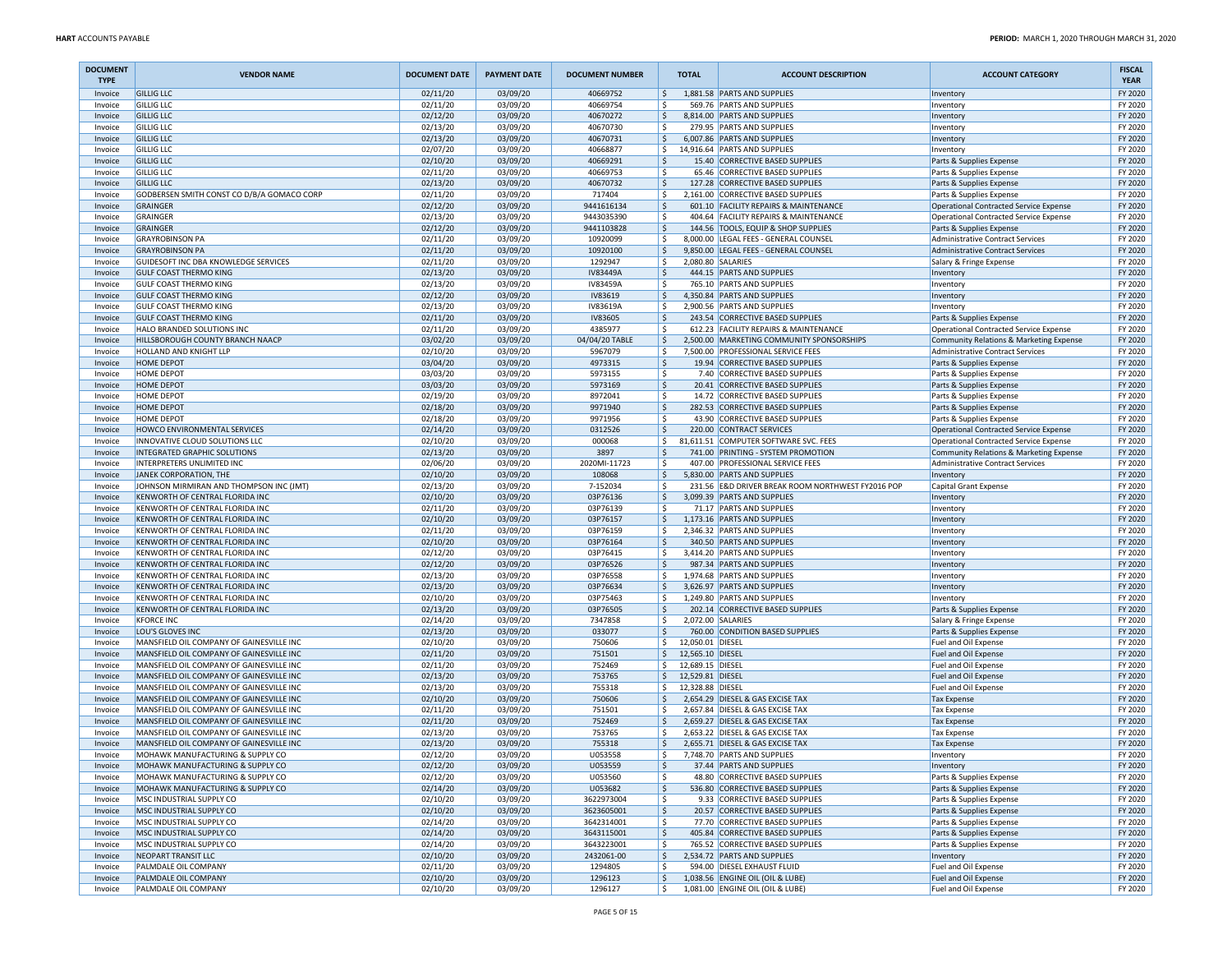| <b>DOCUMENT</b><br><b>TYPE</b> | <b>VENDOR NAME</b>                                                   | <b>DOCUMENT DATE</b> | <b>PAYMENT DATE</b>  | <b>DOCUMENT NUMBER</b> | <b>TOTAL</b>                   | <b>ACCOUNT DESCRIPTION</b>                                           | <b>ACCOUNT CATEGORY</b>                              | <b>FISCAL</b><br><b>YEAR</b> |
|--------------------------------|----------------------------------------------------------------------|----------------------|----------------------|------------------------|--------------------------------|----------------------------------------------------------------------|------------------------------------------------------|------------------------------|
| Invoice                        | <b>GILLIG LLC</b>                                                    | 02/11/20             | 03/09/20             | 40669752               | \$                             | 1,881.58 PARTS AND SUPPLIES                                          | Inventory                                            | FY 2020                      |
| Invoice                        | <b>GILLIG LLC</b>                                                    | 02/11/20             | 03/09/20             | 40669754               | ١\$                            | 569.76 PARTS AND SUPPLIES                                            | Inventory                                            | FY 2020                      |
| Invoice                        | <b>GILLIG LLC</b>                                                    | 02/12/20             | 03/09/20             | 40670272               | ا \$                           | 8,814.00 PARTS AND SUPPLIES                                          | Inventory                                            | FY 2020                      |
| Invoice<br>Invoice             | <b>GILLIG LLC</b><br><b>GILLIG LLC</b>                               | 02/13/20<br>02/13/20 | 03/09/20<br>03/09/20 | 40670730<br>40670731   | ا \$<br>١\$                    | 279.95 PARTS AND SUPPLIES<br>6,007.86 PARTS AND SUPPLIES             | Inventory                                            | FY 2020<br>FY 2020           |
| Invoice                        | <b>GILLIG LLC</b>                                                    | 02/07/20             | 03/09/20             | 40668877               | l \$                           | 14,916.64 PARTS AND SUPPLIES                                         | Inventory<br>Inventory                               | FY 2020                      |
| Invoice                        | <b>GILLIG LLC</b>                                                    | 02/10/20             | 03/09/20             | 40669291               | ۱\$                            | 15.40 CORRECTIVE BASED SUPPLIES                                      | Parts & Supplies Expense                             | FY 2020                      |
| Invoice                        | <b>GILLIG LLC</b>                                                    | 02/11/20             | 03/09/20             | 40669753               | ۱\$                            | 65.46 CORRECTIVE BASED SUPPLIES                                      | Parts & Supplies Expense                             | FY 2020                      |
| Invoice                        | <b>GILLIG LLC</b>                                                    | 02/13/20             | 03/09/20             | 40670732               | l \$                           | 127.28 CORRECTIVE BASED SUPPLIES                                     | Parts & Supplies Expense                             | FY 2020                      |
| Invoice                        | GODBERSEN SMITH CONST CO D/B/A GOMACO CORF                           | 02/11/20             | 03/09/20             | 717404                 | ١s                             | 2,161.00 CORRECTIVE BASED SUPPLIES                                   | Parts & Supplies Expense                             | FY 2020                      |
| Invoice                        | GRAINGER                                                             | 02/12/20             | 03/09/20             | 9441616134             | ۱\$.                           | 601.10 FACILITY REPAIRS & MAINTENANCE                                | Operational Contracted Service Expense               | FY 2020                      |
| Invoice                        | <b>GRAINGER</b>                                                      | 02/13/20             | 03/09/20             | 9443035390             | ١\$                            | 404.64 FACILITY REPAIRS & MAINTENANCE                                | Operational Contracted Service Expense               | FY 2020                      |
| Invoice                        | <b>GRAINGER</b>                                                      | 02/12/20             | 03/09/20             | 9441103828             | ۱\$                            | 144.56 TOOLS, EQUIP & SHOP SUPPLIES                                  | Parts & Supplies Expense                             | FY 2020                      |
| Invoice                        | <b>GRAYROBINSON PA</b><br><b>GRAYROBINSON PA</b>                     | 02/11/20             | 03/09/20             | 10920099               | l\$                            | 8,000.00 LEGAL FEES - GENERAL COUNSEL                                | Administrative Contract Services                     | FY 2020                      |
| Invoice<br>Invoice             | GUIDESOFT INC DBA KNOWLEDGE SERVICES                                 | 02/11/20<br>02/11/20 | 03/09/20<br>03/09/20 | 10920100<br>1292947    | ١\$<br>۱\$                     | 9,850.00 LEGAL FEES - GENERAL COUNSEL<br>2,080.80 SALARIES           | <b>Administrative Contract Services</b>              | FY 2020<br>FY 2020           |
| Invoice                        | <b>GULF COAST THERMO KING</b>                                        | 02/13/20             | 03/09/20             | IV83449A               | ۱\$                            | 444.15 PARTS AND SUPPLIES                                            | Salary & Fringe Expense<br>Inventory                 | FY 2020                      |
| Invoice                        | <b>GULF COAST THERMO KING</b>                                        | 02/13/20             | 03/09/20             | IV83459A               | ۱\$                            | 765.10 PARTS AND SUPPLIES                                            | Inventory                                            | FY 2020                      |
| Invoice                        | <b>GULF COAST THERMO KING</b>                                        | 02/12/20             | 03/09/20             | IV83619                | I \$                           | 4,350.84 PARTS AND SUPPLIES                                          | Inventory                                            | FY 2020                      |
| Invoice                        | <b>GULF COAST THERMO KING</b>                                        | 02/13/20             | 03/09/20             | IV83619A               | ١s                             | 2,900.56 PARTS AND SUPPLIES                                          | Inventory                                            | FY 2020                      |
| Invoice                        | <b>GULF COAST THERMO KING</b>                                        | 02/11/20             | 03/09/20             | <b>IV83605</b>         | ۱\$                            | 243.54 CORRECTIVE BASED SUPPLIES                                     | Parts & Supplies Expense                             | FY 2020                      |
| Invoice                        | HALO BRANDED SOLUTIONS INC                                           | 02/11/20             | 03/09/20             | 4385977                | ١\$                            | 612.23 FACILITY REPAIRS & MAINTENANCE                                | Operational Contracted Service Expense               | FY 2020                      |
| Invoice                        | HILLSBOROUGH COUNTY BRANCH NAACP                                     | 03/02/20             | 03/09/20             | 04/04/20 TABLE         | ا \$                           | 2,500.00 MARKETING COMMUNITY SPONSORSHIPS                            | Community Relations & Marketing Expense              | FY 2020                      |
| Invoice                        | HOLLAND AND KNIGHT LLP                                               | 02/10/20             | 03/09/20             | 5967079                | l\$                            | 7,500.00 PROFESSIONAL SERVICE FEES                                   | Administrative Contract Services                     | FY 2020                      |
| Invoice                        | <b>HOME DEPOT</b>                                                    | 03/04/20             | 03/09/20             | 4973315                | ١\$                            | 19.94 CORRECTIVE BASED SUPPLIES                                      | Parts & Supplies Expense                             | FY 2020                      |
| Invoice                        | HOME DEPOT                                                           | 03/03/20             | 03/09/20             | 5973155                | ١\$                            | 7.40 CORRECTIVE BASED SUPPLIES                                       | Parts & Supplies Expense                             | FY 2020                      |
| Invoice<br>Invoice             | <b>HOME DEPOT</b><br>HOME DEPOT                                      | 03/03/20<br>02/19/20 | 03/09/20<br>03/09/20 | 5973169<br>8972041     | ۱\$<br>۱\$                     | 20.41 CORRECTIVE BASED SUPPLIES<br>14.72 CORRECTIVE BASED SUPPLIES   | Parts & Supplies Expense<br>Parts & Supplies Expense | FY 2020<br>FY 2020           |
| Invoice                        | <b>HOME DEPOT</b>                                                    | 02/18/20             | 03/09/20             | 9971940                | l \$                           | 282.53 CORRECTIVE BASED SUPPLIES                                     | Parts & Supplies Expense                             | FY 2020                      |
| Invoice                        | HOME DEPOT                                                           | 02/18/20             | 03/09/20             | 9971956                | ١s                             | 43.90 CORRECTIVE BASED SUPPLIES                                      | Parts & Supplies Expense                             | FY 2020                      |
| Invoice                        | HOWCO ENVIRONMENTAL SERVICES                                         | 02/14/20             | 03/09/20             | 0312526                | ۱\$.                           | 220.00 CONTRACT SERVICES                                             | Operational Contracted Service Expense               | FY 2020                      |
| Invoice                        | INNOVATIVE CLOUD SOLUTIONS LLC                                       | 02/10/20             | 03/09/20             | 000068                 | l \$                           | 81,611.51 COMPUTER SOFTWARE SVC. FEES                                | Operational Contracted Service Expense               | FY 2020                      |
| Invoice                        | INTEGRATED GRAPHIC SOLUTIONS                                         | 02/13/20             | 03/09/20             | 3897                   | ۱\$                            | 741.00 PRINTING - SYSTEM PROMOTION                                   | Community Relations & Marketing Expense              | FY 2020                      |
| Invoice                        | INTERPRETERS UNLIMITED INC                                           | 02/06/20             | 03/09/20             | 2020MI-11723           | ۱\$                            | 407.00 PROFESSIONAL SERVICE FEES                                     | Administrative Contract Services                     | FY 2020                      |
| Invoice                        | JANEK CORPORATION, THE                                               | 02/10/20             | 03/09/20             | 108068                 | ١s                             | 5,830.00 PARTS AND SUPPLIES                                          | Inventory                                            | FY 2020                      |
| Invoice                        | JOHNSON MIRMIRAN AND THOMPSON INC (JMT)                              | 02/13/20             | 03/09/20             | 7-152034               | ١\$                            | 231.56 E&D DRIVER BREAK ROOM NORTHWEST FY2016 POP                    | Capital Grant Expense                                | FY 2020                      |
| Invoice                        | KENWORTH OF CENTRAL FLORIDA INC<br>KENWORTH OF CENTRAL FLORIDA INC   | 02/10/20             | 03/09/20             | 03P76136               | ۱\$.                           | 3,099.39 PARTS AND SUPPLIES                                          | Inventory                                            | FY 2020<br>FY 2020           |
| Invoice<br>Invoice             | KENWORTH OF CENTRAL FLORIDA INC                                      | 02/11/20<br>02/10/20 | 03/09/20<br>03/09/20 | 03P76139<br>03P76157   | ۱\$<br>I \$                    | 71.17 PARTS AND SUPPLIES<br>1,173.16 PARTS AND SUPPLIES              | Inventory<br>Inventory                               | FY 2020                      |
| Invoice                        | KENWORTH OF CENTRAL FLORIDA INC                                      | 02/11/20             | 03/09/20             | 03P76159               | ١s                             | 2,346.32 PARTS AND SUPPLIES                                          | Inventory                                            | FY 2020                      |
| Invoice                        | KENWORTH OF CENTRAL FLORIDA INC                                      | 02/10/20             | 03/09/20             | 03P76164               | ۱\$.                           | 340.50 PARTS AND SUPPLIES                                            | Inventory                                            | FY 2020                      |
| Invoice                        | KENWORTH OF CENTRAL FLORIDA INC                                      | 02/12/20             | 03/09/20             | 03P76415               | ۱\$                            | 3,414.20 PARTS AND SUPPLIES                                          | Inventory                                            | FY 2020                      |
| Invoice                        | KENWORTH OF CENTRAL FLORIDA INC                                      | 02/12/20             | 03/09/20             | 03P76526               | ۱\$                            | 987.34 PARTS AND SUPPLIES                                            | Inventory                                            | FY 2020                      |
| Invoice                        | KENWORTH OF CENTRAL FLORIDA INC                                      | 02/13/20             | 03/09/20             | 03P76558               | l\$                            | 1,974.68 PARTS AND SUPPLIES                                          | Inventory                                            | FY 2020                      |
| Invoice                        | KENWORTH OF CENTRAL FLORIDA INC                                      | 02/13/20             | 03/09/20             | 03P76634               | ١s                             | 3,626.97 PARTS AND SUPPLIES                                          | Inventory                                            | FY 2020                      |
| Invoice                        | KENWORTH OF CENTRAL FLORIDA INC                                      | 02/10/20             | 03/09/20             | 03P75463               | ۱\$                            | 1,249.80 PARTS AND SUPPLIES                                          | Inventory                                            | FY 2020                      |
| Invoice                        | KENWORTH OF CENTRAL FLORIDA INC                                      | 02/13/20             | 03/09/20             | 03P76505               | ۱\$                            | 202.14 CORRECTIVE BASED SUPPLIES                                     | Parts & Supplies Expense                             | FY 2020                      |
| Invoice                        | <b>KFORCE INC</b><br>LOU'S GLOVES INC                                | 02/14/20             | 03/09/20             | 7347858                | ا \$                           | 2,072.00 SALARIES                                                    | Salary & Fringe Expense                              | FY 2020                      |
| Invoice<br>Invoice             | MANSFIELD OIL COMPANY OF GAINESVILLE INC                             | 02/13/20<br>02/10/20 | 03/09/20<br>03/09/20 | 033077<br>750606       | l \$<br>١s<br>12,050.01 DIESEL | 760.00 CONDITION BASED SUPPLIES                                      | Parts & Supplies Expense<br>Fuel and Oil Expense     | FY 2020<br>FY 2020           |
| Invoice                        | MANSFIELD OIL COMPANY OF GAINESVILLE INC                             | 02/11/20             | 03/09/20             | 751501                 | ۱\$<br>12,565.10 DIESEL        |                                                                      | Fuel and Oil Expense                                 | FY 2020                      |
| Invoice                        | MANSFIELD OIL COMPANY OF GAINESVILLE INC                             | 02/11/20             | 03/09/20             | 752469                 | l \$<br>12,689.15 DIESEL       |                                                                      | Fuel and Oil Expense                                 | FY 2020                      |
| Invoice                        | MANSFIELD OIL COMPANY OF GAINESVILLE INC                             | 02/13/20             | 03/09/20             | 753765                 | \$<br>12,529.81 DIESEL         |                                                                      | Fuel and Oil Expense                                 | FY 2020                      |
| Invoice                        | MANSFIELD OIL COMPANY OF GAINESVILLE INC                             | 02/13/20             | 03/09/20             | 755318                 | l\$<br>12,328.88 DIESEL        |                                                                      | Fuel and Oil Expense                                 | FY 2020                      |
| Invoice                        | MANSFIELD OIL COMPANY OF GAINESVILLE INC                             | 02/10/20             | 03/09/20             | 750606                 | S.                             | 2.654.29 DIESEL & GAS EXCISE TAX                                     | <b>Tax Expense</b>                                   | FY 2020                      |
| Invoice                        | MANSFIELD OIL COMPANY OF GAINESVILLE INC                             | 02/11/20             | 03/09/20             | 751501                 | l\$                            | 2,657.84 DIESEL & GAS EXCISE TAX                                     | Tax Expense                                          | FY 2020                      |
| Invoice                        | MANSFIELD OIL COMPANY OF GAINESVILLE INC                             | 02/11/20             | 03/09/20             | 752469                 | ا \$                           | 2,659.27 DIESEL & GAS EXCISE TAX                                     | <b>Tax Expense</b>                                   | FY 2020                      |
| Invoice                        | MANSFIELD OIL COMPANY OF GAINESVILLE INC                             | 02/13/20             | 03/09/20             | 753765                 | l \$                           | 2.653.22 DIESEL & GAS EXCISE TAX                                     | <b>Tax Expense</b>                                   | FY 2020                      |
| Invoice                        | MANSFIELD OIL COMPANY OF GAINESVILLE INC                             | 02/13/20             | 03/09/20             | 755318                 | I \$                           | 2,655.71 DIESEL & GAS EXCISE TAX                                     | <b>Tax Expense</b>                                   | FY 2020                      |
| Invoice                        | MOHAWK MANUFACTURING & SUPPLY CO<br>MOHAWK MANUFACTURING & SUPPLY CO | 02/12/20<br>02/12/20 | 03/09/20<br>03/09/20 | U053558<br>U053559     | ۱\$<br>۱\$                     | 7,748.70 PARTS AND SUPPLIES<br>37.44 PARTS AND SUPPLIES              | Inventory                                            | FY 2020<br>FY 2020           |
| Invoice<br>Invoice             | MOHAWK MANUFACTURING & SUPPLY CO                                     | 02/12/20             | 03/09/20             | U053560                | ١\$                            | 48.80 CORRECTIVE BASED SUPPLIES                                      | Inventory<br>Parts & Supplies Expense                | FY 2020                      |
| Invoice                        | MOHAWK MANUFACTURING & SUPPLY CO                                     | 02/14/20             | 03/09/20             | U053682                | \$                             | 536.80 CORRECTIVE BASED SUPPLIES                                     | Parts & Supplies Expense                             | FY 2020                      |
| Invoice                        | MSC INDUSTRIAL SUPPLY CO                                             | 02/10/20             | 03/09/20             | 3622973004             | \$                             | 9.33 CORRECTIVE BASED SUPPLIES                                       | Parts & Supplies Expense                             | FY 2020                      |
| Invoice                        | MSC INDUSTRIAL SUPPLY CO                                             | 02/10/20             | 03/09/20             | 3623605001             | ١\$                            | 20.57 CORRECTIVE BASED SUPPLIES                                      | Parts & Supplies Expense                             | FY 2020                      |
| Invoice                        | MSC INDUSTRIAL SUPPLY CO                                             | 02/14/20             | 03/09/20             | 3642314001             | ۱\$                            | 77.70 CORRECTIVE BASED SUPPLIES                                      | Parts & Supplies Expense                             | FY 2020                      |
| Invoice                        | MSC INDUSTRIAL SUPPLY CO                                             | 02/14/20             | 03/09/20             | 3643115001             | ۱\$                            | 405.84 CORRECTIVE BASED SUPPLIES                                     | Parts & Supplies Expense                             | FY 2020                      |
| Invoice                        | MSC INDUSTRIAL SUPPLY CO                                             | 02/14/20             | 03/09/20             | 3643223001             | ۱\$                            | 765.52 CORRECTIVE BASED SUPPLIES                                     | Parts & Supplies Expense                             | FY 2020                      |
| Invoice                        | NEOPART TRANSIT LLC                                                  | 02/10/20             | 03/09/20             | 2432061-00             | \$                             | 2,534.72 PARTS AND SUPPLIES                                          | Inventory                                            | FY 2020                      |
| Invoice                        | PALMDALE OIL COMPANY                                                 | 02/11/20             | 03/09/20             | 1294805                | ١s                             | 594.00 DIESEL EXHAUST FLUID                                          | Fuel and Oil Expense                                 | FY 2020                      |
| Invoice<br>Invoice             | PALMDALE OIL COMPANY<br>PALMDALE OIL COMPANY                         | 02/10/20<br>02/10/20 | 03/09/20<br>03/09/20 | 1296123<br>1296127     | ۱\$<br>۱\$                     | 1,038.56 ENGINE OIL (OIL & LUBE)<br>1,081.00 ENGINE OIL (OIL & LUBE) | Fuel and Oil Expense<br>Fuel and Oil Expense         | FY 2020<br>FY 2020           |
|                                |                                                                      |                      |                      |                        |                                |                                                                      |                                                      |                              |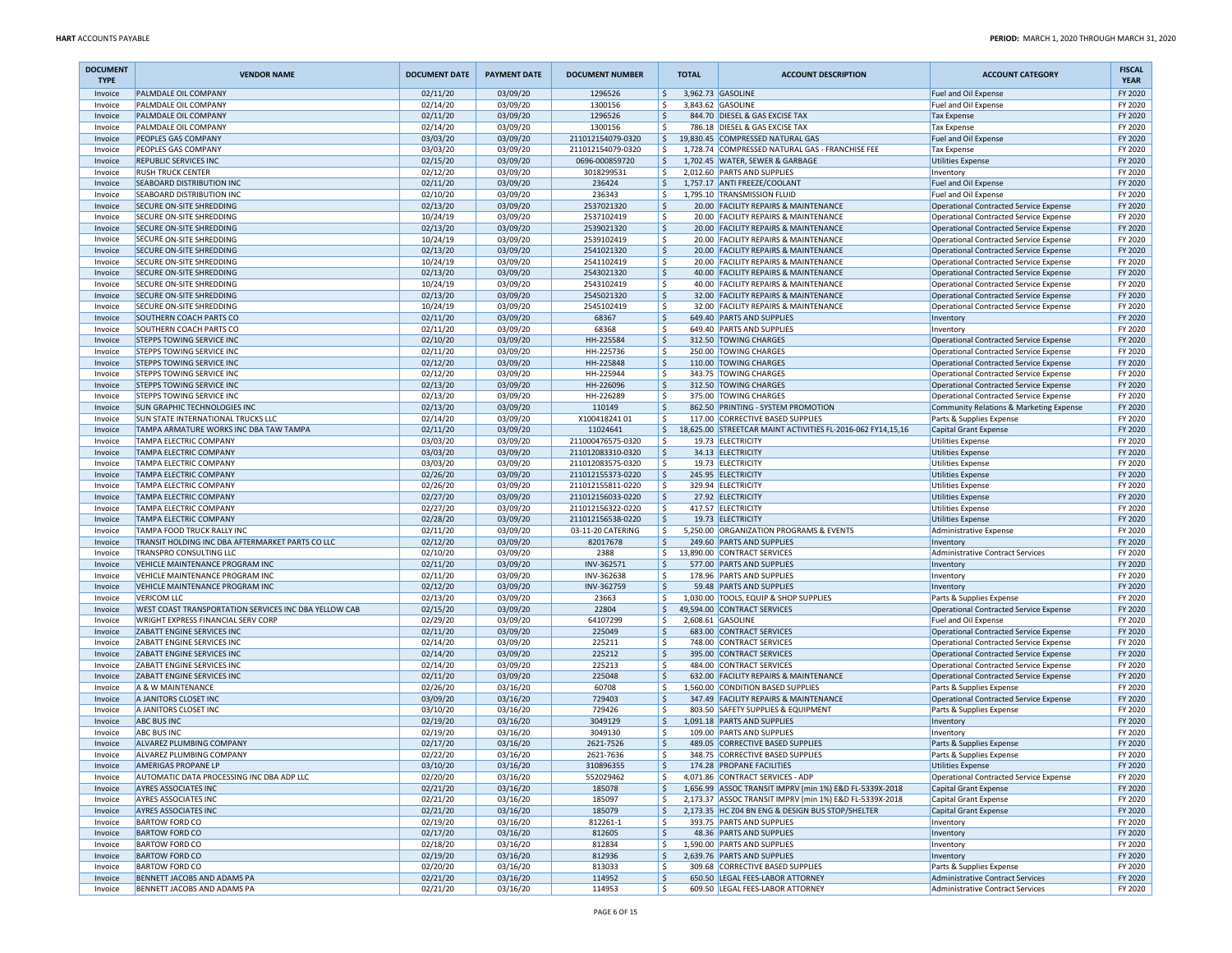| <b>DOCUMENT</b><br><b>TYPE</b> | <b>VENDOR NAME</b>                                                          | <b>DOCUMENT DATE</b> | <b>PAYMENT DATE</b>  | <b>DOCUMENT NUMBER</b>                 |               | <b>TOTAL</b>      | <b>ACCOUNT DESCRIPTION</b>                                                   | <b>ACCOUNT CATEGORY</b>                                                                 | <b>FISCAL</b><br><b>YEAR</b> |
|--------------------------------|-----------------------------------------------------------------------------|----------------------|----------------------|----------------------------------------|---------------|-------------------|------------------------------------------------------------------------------|-----------------------------------------------------------------------------------------|------------------------------|
| Invoice                        | PALMDALE OIL COMPANY                                                        | 02/11/20             | 03/09/20             | 1296526                                | $\frac{1}{2}$ | 3,962.73 GASOLINE |                                                                              | Fuel and Oil Expense                                                                    | FY 2020                      |
| Invoice                        | PALMDALE OIL COMPANY                                                        | 02/14/20             | 03/09/20             | 1300156                                | l\$           |                   | 3,843.62 GASOLINE                                                            | Fuel and Oil Expense                                                                    | FY 2020                      |
| Invoice                        | PALMDALE OIL COMPANY<br>PALMDALE OIL COMPANY                                | 02/11/20             | 03/09/20             | 1296526<br>1300156                     | \$            |                   | 844.70 DIESEL & GAS EXCISE TAX<br>786.18 DIESEL & GAS EXCISE TAX             | <b>Tax Expense</b>                                                                      | FY 2020<br>FY 2020           |
| Invoice<br>Invoice             | PEOPLES GAS COMPANY                                                         | 02/14/20<br>03/03/20 | 03/09/20<br>03/09/20 | 211012154079-0320                      | l\$<br>١\$    |                   | 19,830.45 COMPRESSED NATURAL GAS                                             | <b>Tax Expense</b><br>Fuel and Oil Expense                                              | FY 2020                      |
| Invoice                        | PEOPLES GAS COMPANY                                                         | 03/03/20             | 03/09/20             | 211012154079-0320                      | l\$           |                   | 1,728.74 COMPRESSED NATURAL GAS - FRANCHISE FEE                              | <b>Tax Expense</b>                                                                      | FY 2020                      |
| Invoice                        | REPUBLIC SERVICES INC                                                       | 02/15/20             | 03/09/20             | 0696-000859720                         | \$            |                   | 1,702.45 WATER, SEWER & GARBAGE                                              | <b>Utilities Expense</b>                                                                | FY 2020                      |
| Invoice                        | <b>RUSH TRUCK CENTER</b>                                                    | 02/12/20             | 03/09/20             | 3018299531                             | l \$          |                   | 2,012.60 PARTS AND SUPPLIES                                                  | Inventory                                                                               | FY 2020                      |
| Invoice                        | SEABOARD DISTRIBUTION INC                                                   | 02/11/20             | 03/09/20             | 236424                                 | \$            |                   | 1,757.17 ANTI FREEZE/COOLANT                                                 | Fuel and Oil Expense                                                                    | FY 2020                      |
| Invoice                        | SEABOARD DISTRIBUTION INC                                                   | 02/10/20             | 03/09/20             | 236343                                 | l\$           |                   | 1,795.10 TRANSMISSION FLUID                                                  | Fuel and Oil Expense                                                                    | FY 2020                      |
| Invoice                        | SECURE ON-SITE SHREDDING                                                    | 02/13/20             | 03/09/20             | 2537021320                             | l\$           |                   | 20.00 FACILITY REPAIRS & MAINTENANCE                                         | Operational Contracted Service Expense                                                  | FY 2020                      |
| Invoice                        | SECURE ON-SITE SHREDDING                                                    | 10/24/19             | 03/09/20             | 2537102419<br>2539021320               | l\$           |                   | 20.00 FACILITY REPAIRS & MAINTENANCE                                         | <b>Operational Contracted Service Expense</b>                                           | FY 2020                      |
| Invoice<br>Invoice             | SECURE ON-SITE SHREDDING<br><b>SECURE ON-SITE SHREDDING</b>                 | 02/13/20<br>10/24/19 | 03/09/20<br>03/09/20 | 2539102419                             | ۱\$<br>l\$    |                   | 20.00 FACILITY REPAIRS & MAINTENANCE<br>20.00 FACILITY REPAIRS & MAINTENANCE | Operational Contracted Service Expense<br><b>Operational Contracted Service Expense</b> | FY 2020<br>FY 2020           |
| Invoice                        | SECURE ON-SITE SHREDDING                                                    | 02/13/20             | 03/09/20             | 2541021320                             | l\$           |                   | 20.00 FACILITY REPAIRS & MAINTENANCE                                         | <b>Operational Contracted Service Expense</b>                                           | FY 2020                      |
| Invoice                        | SECURE ON-SITE SHREDDING                                                    | 10/24/19             | 03/09/20             | 2541102419                             | l\$           |                   | 20.00 FACILITY REPAIRS & MAINTENANCE                                         | Operational Contracted Service Expense                                                  | FY 2020                      |
| Invoice                        | SECURE ON-SITE SHREDDING                                                    | 02/13/20             | 03/09/20             | 2543021320                             | l\$           |                   | 40.00 FACILITY REPAIRS & MAINTENANCE                                         | Operational Contracted Service Expense                                                  | FY 2020                      |
| Invoice                        | <b>SECURE ON-SITE SHREDDING</b>                                             | 10/24/19             | 03/09/20             | 2543102419                             | l\$           |                   | 40.00 FACILITY REPAIRS & MAINTENANCE                                         | <b>Operational Contracted Service Expense</b>                                           | FY 2020                      |
| Invoice                        | SECURE ON-SITE SHREDDING                                                    | 02/13/20             | 03/09/20             | 2545021320                             | \$            |                   | 32.00 FACILITY REPAIRS & MAINTENANCE                                         | Operational Contracted Service Expense                                                  | FY 2020                      |
| Invoice                        | SECURE ON-SITE SHREDDING                                                    | 10/24/19             | 03/09/20             | 2545102419                             | l\$           |                   | 32.00 FACILITY REPAIRS & MAINTENANCE                                         | <b>Operational Contracted Service Expense</b>                                           | FY 2020                      |
| Invoice                        | SOUTHERN COACH PARTS CO                                                     | 02/11/20             | 03/09/20             | 68367                                  | l\$           |                   | 649.40 PARTS AND SUPPLIES                                                    | Inventory                                                                               | FY 2020                      |
| Invoice<br>Invoice             | SOUTHERN COACH PARTS CO<br>STEPPS TOWING SERVICE INC                        | 02/11/20<br>02/10/20 | 03/09/20<br>03/09/20 | 68368<br>HH-225584                     | l\$<br> \$    |                   | 649.40 PARTS AND SUPPLIES<br>312.50 TOWING CHARGES                           | Inventory<br>Operational Contracted Service Expense                                     | FY 2020<br>FY 2020           |
| Invoice                        | STEPPS TOWING SERVICE INC                                                   | 02/11/20             | 03/09/20             | HH-225736                              | l\$           |                   | 250.00 TOWING CHARGES                                                        | <b>Operational Contracted Service Expense</b>                                           | FY 2020                      |
| Invoice                        | STEPPS TOWING SERVICE INC                                                   | 02/12/20             | 03/09/20             | HH-225848                              | l\$           |                   | 110.00 TOWING CHARGES                                                        | <b>Operational Contracted Service Expense</b>                                           | FY 2020                      |
| Invoice                        | STEPPS TOWING SERVICE INC                                                   | 02/12/20             | 03/09/20             | HH-225944                              | l\$           |                   | 343.75 TOWING CHARGES                                                        | Operational Contracted Service Expense                                                  | FY 2020                      |
| Invoice                        | STEPPS TOWING SERVICE INC                                                   | 02/13/20             | 03/09/20             | HH-226096                              | l\$           |                   | 312.50 TOWING CHARGES                                                        | Operational Contracted Service Expense                                                  | FY 2020                      |
| Invoice                        | STEPPS TOWING SERVICE INC                                                   | 02/13/20             | 03/09/20             | HH-226289                              | l\$           |                   | 375.00 TOWING CHARGES                                                        | <b>Operational Contracted Service Expense</b>                                           | FY 2020                      |
| Invoice                        | SUN GRAPHIC TECHNOLOGIES INC                                                | 02/13/20             | 03/09/20             | 110149                                 | \$            |                   | 862.50 PRINTING - SYSTEM PROMOTION                                           | Community Relations & Marketing Expense                                                 | FY 2020                      |
| Invoice                        | <b>SUN STATE INTERNATIONAL TRUCKS LLC</b>                                   | 02/14/20             | 03/09/20             | X10041824101                           | l\$           |                   | 117.00 CORRECTIVE BASED SUPPLIES                                             | Parts & Supplies Expense                                                                | FY 2020                      |
| Invoice                        | TAMPA ARMATURE WORKS INC DBA TAW TAMPA<br><b>TAMPA ELECTRIC COMPANY</b>     | 02/11/20             | 03/09/20             | 11024641                               | $\frac{1}{2}$ |                   | 18,625.00 STREETCAR MAINT ACTIVITIES FL-2016-062 FY14,15,16                  | Capital Grant Expense                                                                   | FY 2020                      |
| Invoice<br>Invoice             | <b>TAMPA ELECTRIC COMPANY</b>                                               | 03/03/20<br>03/03/20 | 03/09/20<br>03/09/20 | 211000476575-0320<br>211012083310-0320 | l\$<br>۱\$    |                   | 19.73 ELECTRICITY<br>34.13 ELECTRICITY                                       | <b>Utilities Expense</b><br><b>Utilities Expense</b>                                    | FY 2020<br>FY 2020           |
| Invoice                        | <b>TAMPA ELECTRIC COMPANY</b>                                               | 03/03/20             | 03/09/20             | 211012083575-0320                      | I\$           |                   | 19.73 ELECTRICITY                                                            | <b>Utilities Expense</b>                                                                | FY 2020                      |
| Invoice                        | <b>TAMPA ELECTRIC COMPANY</b>                                               | 02/26/20             | 03/09/20             | 211012155373-0220                      | l\$           |                   | 245.95 ELECTRICITY                                                           | <b>Utilities Expense</b>                                                                | FY 2020                      |
| Invoice                        | <b>TAMPA ELECTRIC COMPANY</b>                                               | 02/26/20             | 03/09/20             | 211012155811-0220                      | l\$           |                   | 329.94 ELECTRICITY                                                           | <b>Utilities Expense</b>                                                                | FY 2020                      |
| Invoice                        | <b>TAMPA ELECTRIC COMPANY</b>                                               | 02/27/20             | 03/09/20             | 211012156033-0220                      | \$            |                   | 27.92 ELECTRICITY                                                            | <b>Utilities Expense</b>                                                                | FY 2020                      |
| Invoice                        | <b>TAMPA ELECTRIC COMPANY</b>                                               | 02/27/20             | 03/09/20             | 211012156322-0220                      | l\$           |                   | 417.57 ELECTRICITY                                                           | <b>Utilities Expense</b>                                                                | FY 2020                      |
| Invoice                        | <b>TAMPA ELECTRIC COMPANY</b>                                               | 02/28/20             | 03/09/20             | 211012156538-0220                      | \$            |                   | 19.73 ELECTRICITY                                                            | <b>Utilities Expense</b>                                                                | FY 2020                      |
| Invoice                        | TAMPA FOOD TRUCK RALLY INC                                                  | 02/11/20             | 03/09/20             | 03-11-20 CATERING                      | l\$           |                   | 5,250.00 ORGANIZATION PROGRAMS & EVENTS                                      | <b>Administrative Expense</b>                                                           | FY 2020                      |
| Invoice<br>Invoice             | TRANSIT HOLDING INC DBA AFTERMARKET PARTS CO LLC<br>TRANSPRO CONSULTING LLC | 02/12/20<br>02/10/20 | 03/09/20<br>03/09/20 | 82017678<br>2388                       | l\$<br>l\$    |                   | 249.60 PARTS AND SUPPLIES<br>13,890.00 CONTRACT SERVICES                     | Inventory<br>Administrative Contract Services                                           | FY 2020<br>FY 2020           |
| Invoice                        | VEHICLE MAINTENANCE PROGRAM INC                                             | 02/11/20             | 03/09/20             | INV-362571                             | \$            |                   | 577.00 PARTS AND SUPPLIES                                                    | Inventory                                                                               | FY 2020                      |
| Invoice                        | VEHICLE MAINTENANCE PROGRAM INC                                             | 02/11/20             | 03/09/20             | INV-362638                             | l\$           |                   | 178.96 PARTS AND SUPPLIES                                                    | Inventory                                                                               | FY 2020                      |
| Invoice                        | VEHICLE MAINTENANCE PROGRAM INC                                             | 02/12/20             | 03/09/20             | INV-362759                             | l\$           |                   | 59.48 PARTS AND SUPPLIES                                                     | Inventory                                                                               | FY 2020                      |
| Invoice                        | <b>VERICOM LLC</b>                                                          | 02/13/20             | 03/09/20             | 23663                                  | l\$           |                   | 1,030.00 TOOLS, EQUIP & SHOP SUPPLIES                                        | Parts & Supplies Expense                                                                | FY 2020                      |
| Invoice                        | WEST COAST TRANSPORTATION SERVICES INC DBA YELLOW CAB                       | 02/15/20             | 03/09/20             | 22804                                  | \$            |                   | 49,594.00 CONTRACT SERVICES                                                  | Operational Contracted Service Expense                                                  | FY 2020                      |
| Invoice                        | WRIGHT EXPRESS FINANCIAL SERV CORP                                          | 02/29/20             | 03/09/20             | 64107299                               | l\$           |                   | 2,608.61 GASOLINE                                                            | Fuel and Oil Expense                                                                    | FY 2020                      |
| Invoice                        | ZABATT ENGINE SERVICES INC                                                  | 02/11/20             | 03/09/20             | 225049                                 | \$<br>l\$     |                   | 683.00 CONTRACT SERVICES<br>748.00 CONTRACT SERVICES                         | Operational Contracted Service Expense                                                  | FY 2020<br>FY 2020           |
| Invoice<br>Invoice             | ZABATT ENGINE SERVICES INC<br>ZABATT ENGINE SERVICES INC                    | 02/14/20<br>02/14/20 | 03/09/20<br>03/09/20 | 225211<br>225212                       | l\$           |                   | 395.00 CONTRACT SERVICES                                                     | <b>Operational Contracted Service Expense</b><br>Operational Contracted Service Expense | FY 2020                      |
| Invoice                        | ZABATT ENGINE SERVICES INC                                                  | 02/14/20             | 03/09/20             | 225213                                 | l\$           |                   | 484.00 CONTRACT SERVICES                                                     | Operational Contracted Service Expense                                                  | FY 2020                      |
| Invoice                        | ZABATT ENGINE SERVICES INC                                                  | 02/11/20             | 03/09/20             | 225048                                 | l\$           |                   | 632.00 FACILITY REPAIRS & MAINTENANCE                                        | Operational Contracted Service Expense                                                  | FY 2020                      |
| Invoice                        | A & W MAINTENANCE                                                           | 02/26/20             | 03/16/20             | 60708                                  | l\$           |                   | 1,560.00 CONDITION BASED SUPPLIES                                            | Parts & Supplies Expense                                                                | FY 2020                      |
| Invoice                        | A JANITORS CLOSET INC                                                       | 03/09/20             | 03/16/20             | 729403                                 | l\$           |                   | 347.49 FACILITY REPAIRS & MAINTENANCE                                        | <b>Operational Contracted Service Expense</b>                                           | FY 2020                      |
| Invoice                        | A JANITORS CLOSET INC                                                       | 03/10/20             | 03/16/20             | 729426                                 | l\$           |                   | 803.50 SAFETY SUPPLIES & EQUIPMENT                                           | Parts & Supplies Expense                                                                | FY 2020                      |
| Invoice                        | <b>ABC BUS INC</b>                                                          | 02/19/20             | 03/16/20             | 3049129                                | \$            |                   | 1,091.18 PARTS AND SUPPLIES                                                  | Inventory                                                                               | FY 2020                      |
| Invoice<br>Invoice             | <b>ABC BUS INC</b><br><b>ALVAREZ PLUMBING COMPANY</b>                       | 02/19/20<br>02/17/20 | 03/16/20<br>03/16/20 | 3049130<br>2621-7526                   | ۱Ś<br>  \$    |                   | 109.00 PARTS AND SUPPLIES<br>489.05 CORRECTIVE BASED SUPPLIES                | Inventory<br>Parts & Supplies Expense                                                   | FY 2020<br>FY 2020           |
| Invoice                        | ALVAREZ PLUMBING COMPANY                                                    | 02/22/20             | 03/16/20             | 2621-7636                              | l\$           |                   | 348.75 CORRECTIVE BASED SUPPLIES                                             | Parts & Supplies Expense                                                                | FY 2020                      |
| Invoice                        | AMERIGAS PROPANE LP                                                         | 03/10/20             | 03/16/20             | 310896355                              | l\$           |                   | 174.28 PROPANE FACILITIES                                                    | Utilities Expense                                                                       | FY 2020                      |
| Invoice                        | AUTOMATIC DATA PROCESSING INC DBA ADP LLC                                   | 02/20/20             | 03/16/20             | 552029462                              | l\$           |                   | 4,071.86 CONTRACT SERVICES - ADP                                             | Operational Contracted Service Expense                                                  | FY 2020                      |
| Invoice                        | <b>AYRES ASSOCIATES INC</b>                                                 | 02/21/20             | 03/16/20             | 185078                                 | \$            |                   | 1.656.99 ASSOC TRANSIT IMPRV (min 1%) E&D FL-5339X-2018                      | Capital Grant Expense                                                                   | FY 2020                      |
| Invoice                        | <b>AYRES ASSOCIATES INC</b>                                                 | 02/21/20             | 03/16/20             | 185097                                 | l\$           |                   | 2,173.37 ASSOC TRANSIT IMPRV (min 1%) E&D FL-5339X-2018                      | Capital Grant Expense                                                                   | FY 2020                      |
| Invoice                        | <b>AYRES ASSOCIATES INC</b>                                                 | 02/21/20             | 03/16/20             | 185079                                 | l\$           |                   | 2,173.35 HC Z04 BN ENG & DESIGN BUS STOP/SHELTER                             | Capital Grant Expense                                                                   | FY 2020                      |
| Invoice                        | <b>BARTOW FORD CO</b>                                                       | 02/19/20             | 03/16/20             | 812261-1                               | \$            |                   | 393.75 PARTS AND SUPPLIES                                                    | Inventory                                                                               | FY 2020                      |
| Invoice                        | <b>BARTOW FORD CO</b><br><b>BARTOW FORD CO</b>                              | 02/17/20             | 03/16/20             | 812605                                 | \$            |                   | 48.36 PARTS AND SUPPLIES<br>1.590.00 PARTS AND SUPPLIES                      | Inventory                                                                               | FY 2020                      |
| Invoice<br>Invoice             | <b>BARTOW FORD CO</b>                                                       | 02/18/20<br>02/19/20 | 03/16/20<br>03/16/20 | 812834<br>812936                       | l\$<br> \$    |                   | 2,639.76 PARTS AND SUPPLIES                                                  | Inventory<br>Inventory                                                                  | FY 2020<br>FY 2020           |
| Invoice                        | <b>BARTOW FORD CO</b>                                                       | 02/20/20             | 03/16/20             | 813033                                 | l\$           |                   | 309.68 CORRECTIVE BASED SUPPLIES                                             | Parts & Supplies Expense                                                                | FY 2020                      |
| Invoice                        | BENNETT JACOBS AND ADAMS PA                                                 | 02/21/20             | 03/16/20             | 114952                                 | l\$           |                   | 650.50 LEGAL FEES-LABOR ATTORNEY                                             | Administrative Contract Services                                                        | FY 2020                      |
| Invoice                        | BENNETT JACOBS AND ADAMS PA                                                 | 02/21/20             | 03/16/20             | 114953                                 | l\$           |                   | 609.50 LEGAL FEES-LABOR ATTORNEY                                             | Administrative Contract Services                                                        | FY 2020                      |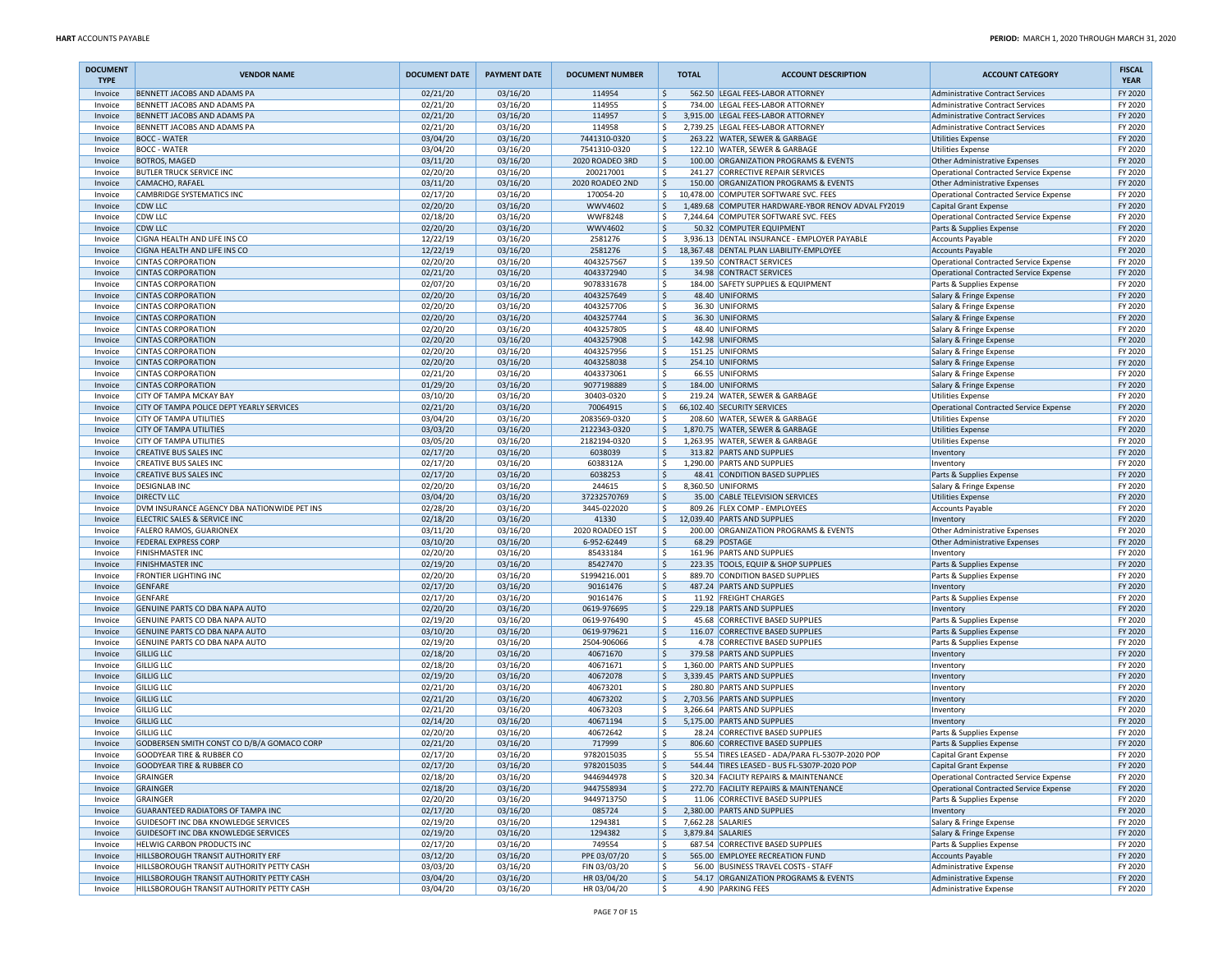| <b>DOCUMENT</b><br><b>TYPE</b> | <b>VENDOR NAME</b>                                                              | <b>DOCUMENT DATE</b> | <b>PAYMENT DATE</b>  | <b>DOCUMENT NUMBER</b>      | <b>TOTAL</b> | <b>ACCOUNT DESCRIPTION</b>                                                  | <b>ACCOUNT CATEGORY</b>                                                            | <b>FISCAL</b><br><b>YEAR</b> |
|--------------------------------|---------------------------------------------------------------------------------|----------------------|----------------------|-----------------------------|--------------|-----------------------------------------------------------------------------|------------------------------------------------------------------------------------|------------------------------|
| Invoice                        | BENNETT JACOBS AND ADAMS PA                                                     | 02/21/20             | 03/16/20             | 114954                      | l\$          | 562.50 LEGAL FEES-LABOR ATTORNEY                                            | <b>Administrative Contract Services</b>                                            | FY 2020                      |
| Invoice                        | BENNETT JACOBS AND ADAMS PA<br>BENNETT JACOBS AND ADAMS PA                      | 02/21/20             | 03/16/20             | 114955                      | ١\$          | 734.00 LEGAL FEES-LABOR ATTORNEY                                            | <b>Administrative Contract Services</b>                                            | FY 2020                      |
| Invoice<br>Invoice             | BENNETT JACOBS AND ADAMS PA                                                     | 02/21/20<br>02/21/20 | 03/16/20<br>03/16/20 | 114957<br>114958            | ۱\$.<br>۱\$  | 3,915.00 LEGAL FEES-LABOR ATTORNEY<br>2,739.25 LEGAL FEES-LABOR ATTORNEY    | <b>Administrative Contract Services</b><br><b>Administrative Contract Services</b> | FY 2020<br>FY 2020           |
| Invoice                        | <b>BOCC - WATER</b>                                                             | 03/04/20             | 03/16/20             | 7441310-0320                | ۱\$          | 263.22 WATER, SEWER & GARBAGE                                               | <b>Utilities Expense</b>                                                           | FY 2020                      |
| Invoice                        | <b>BOCC - WATER</b>                                                             | 03/04/20             | 03/16/20             | 7541310-0320                | ا \$         | 122.10 WATER, SEWER & GARBAGE                                               | Utilities Expense                                                                  | FY 2020                      |
| Invoice                        | <b>BOTROS, MAGED</b>                                                            | 03/11/20             | 03/16/20             | 2020 ROADEO 3RD             | ا \$         | 100.00 ORGANIZATION PROGRAMS & EVENTS                                       | Other Administrative Expenses                                                      | FY 2020                      |
| Invoice                        | <b>BUTLER TRUCK SERVICE INC</b>                                                 | 02/20/20             | 03/16/20             | 200217001                   | ۱\$          | 241.27 CORRECTIVE REPAIR SERVICES                                           | Operational Contracted Service Expense                                             | FY 2020                      |
| Invoice                        | CAMACHO, RAFAEL                                                                 | 03/11/20             | 03/16/20             | 2020 ROADEO 2ND             | \$           | 150.00 ORGANIZATION PROGRAMS & EVENTS                                       | Other Administrative Expenses                                                      | FY 2020                      |
| Invoice                        | CAMBRIDGE SYSTEMATICS INC                                                       | 02/17/20             | 03/16/20             | 170054-20                   | l\$.         | 10,478.00 COMPUTER SOFTWARE SVC. FEES                                       | Operational Contracted Service Expense                                             | FY 2020                      |
| Invoice                        | <b>CDW LLC</b>                                                                  | 02/20/20             | 03/16/20             | <b>WWV4602</b>              | l\$          | 1,489.68 COMPUTER HARDWARE-YBOR RENOV ADVAL FY2019                          | Capital Grant Expense                                                              | FY 2020                      |
| Invoice                        | CDW LLC                                                                         | 02/18/20             | 03/16/20             | <b>WWF8248</b>              | ۱\$          | 7,244.64 COMPUTER SOFTWARE SVC. FEES                                        | Operational Contracted Service Expense                                             | FY 2020                      |
| Invoice<br>Invoice             | <b>CDW LLC</b><br>CIGNA HEALTH AND LIFE INS CO                                  | 02/20/20<br>12/22/19 | 03/16/20<br>03/16/20 | <b>WWV4602</b><br>2581276   | ١\$<br>S,    | 50.32 COMPUTER EQUIPMENT<br>3,936.13 DENTAL INSURANCE - EMPLOYER PAYABLE    | Parts & Supplies Expense<br><b>Accounts Payable</b>                                | FY 2020<br>FY 2020           |
| Invoice                        | CIGNA HEALTH AND LIFE INS CO                                                    | 12/22/19             | 03/16/20             | 2581276                     | l\$.         | 18,367.48 DENTAL PLAN LIABILITY-EMPLOYEE                                    | <b>Accounts Payable</b>                                                            | FY 2020                      |
| Invoice                        | <b>CINTAS CORPORATION</b>                                                       | 02/20/20             | 03/16/20             | 4043257567                  | l\$          | 139.50 CONTRACT SERVICES                                                    | Operational Contracted Service Expense                                             | FY 2020                      |
| Invoice                        | <b>CINTAS CORPORATION</b>                                                       | 02/21/20             | 03/16/20             | 4043372940                  | ۱\$          | 34.98 CONTRACT SERVICES                                                     | Operational Contracted Service Expense                                             | FY 2020                      |
| Invoice                        | <b>CINTAS CORPORATION</b>                                                       | 02/07/20             | 03/16/20             | 9078331678                  | ١\$          | 184.00 SAFETY SUPPLIES & EQUIPMENT                                          | Parts & Supplies Expense                                                           | FY 2020                      |
| Invoice                        | <b>CINTAS CORPORATION</b>                                                       | 02/20/20             | 03/16/20             | 4043257649                  | \$           | 48.40 UNIFORMS                                                              | Salary & Fringe Expense                                                            | FY 2020                      |
| Invoice                        | <b>CINTAS CORPORATION</b>                                                       | 02/20/20             | 03/16/20             | 4043257706                  | l\$          | 36.30 UNIFORMS                                                              | Salary & Fringe Expense                                                            | FY 2020                      |
| Invoice                        | <b>CINTAS CORPORATION</b>                                                       | 02/20/20             | 03/16/20             | 4043257744                  | ۱\$          | 36.30 UNIFORMS                                                              | Salary & Fringe Expense                                                            | FY 2020                      |
| Invoice                        | <b>CINTAS CORPORATION</b>                                                       | 02/20/20             | 03/16/20             | 4043257805                  | ١\$          | 48.40 UNIFORMS                                                              | Salary & Fringe Expense                                                            | FY 2020                      |
| Invoice                        | <b>CINTAS CORPORATION</b>                                                       | 02/20/20             | 03/16/20             | 4043257908                  | ١\$          | 142.98 UNIFORMS                                                             | Salary & Fringe Expense                                                            | FY 2020                      |
| Invoice                        | <b>CINTAS CORPORATION</b>                                                       | 02/20/20             | 03/16/20             | 4043257956                  | ۱\$          | 151.25 UNIFORMS                                                             | Salary & Fringe Expense                                                            | FY 2020                      |
| Invoice<br>Invoice             | <b>CINTAS CORPORATION</b><br><b>CINTAS CORPORATION</b>                          | 02/20/20<br>02/21/20 | 03/16/20<br>03/16/20 | 4043258038<br>4043373061    | ١\$<br>١\$   | 254.10 UNIFORMS<br>66.55 UNIFORMS                                           | Salary & Fringe Expense                                                            | FY 2020<br>FY 2020           |
| Invoice                        | <b>CINTAS CORPORATION</b>                                                       | 01/29/20             | 03/16/20             | 9077198889                  | ١\$          | 184.00 UNIFORMS                                                             | Salary & Fringe Expense<br>Salary & Fringe Expense                                 | FY 2020                      |
| Invoice                        | <b>CITY OF TAMPA MCKAY BAY</b>                                                  | 03/10/20             | 03/16/20             | 30403-0320                  | ١\$          | 219.24 WATER, SEWER & GARBAGE                                               | Utilities Expense                                                                  | FY 2020                      |
| Invoice                        | CITY OF TAMPA POLICE DEPT YEARLY SERVICES                                       | 02/21/20             | 03/16/20             | 70064915                    | \$           | 66,102.40 SECURITY SERVICES                                                 | Operational Contracted Service Expense                                             | FY 2020                      |
| Invoice                        | <b>CITY OF TAMPA UTILITIES</b>                                                  | 03/04/20             | 03/16/20             | 2083569-0320                | ١\$          | 208.60 WATER, SEWER & GARBAGE                                               | Utilities Expense                                                                  | FY 2020                      |
| Invoice                        | <b>CITY OF TAMPA UTILITIES</b>                                                  | 03/03/20             | 03/16/20             | 2122343-0320                | ا \$         | 1,870.75 WATER, SEWER & GARBAGE                                             | <b>Utilities Expense</b>                                                           | FY 2020                      |
| Invoice                        | <b>CITY OF TAMPA UTILITIES</b>                                                  | 03/05/20             | 03/16/20             | 2182194-0320                | ١\$          | 1,263.95 WATER, SEWER & GARBAGE                                             | Utilities Expense                                                                  | FY 2020                      |
| Invoice                        | <b>CREATIVE BUS SALES INC</b>                                                   | 02/17/20             | 03/16/20             | 6038039                     | ١\$          | 313.82 PARTS AND SUPPLIES                                                   | Inventory                                                                          | FY 2020                      |
| Invoice                        | CREATIVE BUS SALES INC                                                          | 02/17/20             | 03/16/20             | 6038312A                    | ۱\$          | 1,290.00 PARTS AND SUPPLIES                                                 | Inventory                                                                          | FY 2020                      |
| Invoice                        | <b>CREATIVE BUS SALES INC</b>                                                   | 02/17/20             | 03/16/20             | 6038253                     | \$           | 48.41 CONDITION BASED SUPPLIES                                              | Parts & Supplies Expense                                                           | FY 2020                      |
| Invoice<br>Invoice             | <b>DESIGNLAB INC</b><br><b>DIRECTV LLC</b>                                      | 02/20/20<br>03/04/20 | 03/16/20<br>03/16/20 | 244615<br>37232570769       | l\$<br>١\$   | 8,360.50 UNIFORMS<br>35.00 CABLE TELEVISION SERVICES                        | Salary & Fringe Expense<br><b>Utilities Expense</b>                                | FY 2020<br>FY 2020           |
| Invoice                        | DVM INSURANCE AGENCY DBA NATIONWIDE PET INS                                     | 02/28/20             | 03/16/20             | 3445-022020                 | ١\$          | 809.26 FLEX COMP - EMPLOYEES                                                | <b>Accounts Payable</b>                                                            | FY 2020                      |
| Invoice                        | ELECTRIC SALES & SERVICE INC                                                    | 02/18/20             | 03/16/20             | 41330                       | \$           | 12,039.40 PARTS AND SUPPLIES                                                | Inventory                                                                          | FY 2020                      |
| Invoice                        | FALERO RAMOS, GUARIONEX                                                         | 03/11/20             | 03/16/20             | 2020 ROADEO 1ST             | l\$          | 200.00 ORGANIZATION PROGRAMS & EVENTS                                       | <b>Other Administrative Expenses</b>                                               | FY 2020                      |
| Invoice                        | <b>FEDERAL EXPRESS CORP</b>                                                     | 03/10/20             | 03/16/20             | 6-952-62449                 | ۱\$          | 68.29 POSTAGE                                                               | Other Administrative Expenses                                                      | FY 2020                      |
| Invoice                        | FINISHMASTER INC                                                                | 02/20/20             | 03/16/20             | 85433184                    | ١\$          | 161.96 PARTS AND SUPPLIES                                                   | Inventory                                                                          | FY 2020                      |
| Invoice                        | <b>FINISHMASTER INC</b>                                                         | 02/19/20             | 03/16/20             | 85427470                    | ١\$          | 223.35 TOOLS, EQUIP & SHOP SUPPLIES                                         | Parts & Supplies Expense                                                           | FY 2020                      |
| Invoice                        | <b>FRONTIER LIGHTING INC</b>                                                    | 02/20/20             | 03/16/20             | \$1994216.001               | ۱\$          | 889.70 CONDITION BASED SUPPLIES                                             | Parts & Supplies Expense                                                           | FY 2020                      |
| Invoice                        | <b>GENFARE</b>                                                                  | 02/17/20             | 03/16/20             | 90161476                    | ۱\$          | 487.24 PARTS AND SUPPLIES                                                   | Inventory                                                                          | FY 2020                      |
| Invoice<br>Invoice             | <b>GENFARE</b><br>GENUINE PARTS CO DBA NAPA AUTO                                | 02/17/20<br>02/20/20 | 03/16/20<br>03/16/20 | 90161476<br>0619-976695     | l\$<br>١\$   | 11.92 FREIGHT CHARGES                                                       | Parts & Supplies Expense                                                           | FY 2020<br>FY 2020           |
| Invoice                        | GENUINE PARTS CO DBA NAPA AUTO                                                  | 02/19/20             | 03/16/20             | 0619-976490                 | ١\$          | 229.18 PARTS AND SUPPLIES<br>45.68 CORRECTIVE BASED SUPPLIES                | Inventory<br>Parts & Supplies Expense                                              | FY 2020                      |
| Invoice                        | GENUINE PARTS CO DBA NAPA AUTO                                                  | 03/10/20             | 03/16/20             | 0619-979621                 | \$           | 116.07 CORRECTIVE BASED SUPPLIES                                            | Parts & Supplies Expense                                                           | FY 2020                      |
| Invoice                        | GENUINE PARTS CO DBA NAPA AUTO                                                  | 02/19/20             | 03/16/20             | 2504-906066                 | l\$          | 4.78 CORRECTIVE BASED SUPPLIES                                              | Parts & Supplies Expense                                                           | FY 2020                      |
| Invoice                        | <b>GILLIG LLC</b>                                                               | 02/18/20             | 03/16/20             | 40671670                    | ۱\$          | 379.58 PARTS AND SUPPLIES                                                   | Inventory                                                                          | FY 2020                      |
| Invoice                        | <b>GILLIG LLC</b>                                                               | 02/18/20             | 03/16/20             | 40671671                    | ١\$          | 1,360.00 PARTS AND SUPPLIES                                                 | Inventory                                                                          | FY 2020                      |
| Invoice                        | <b>GILLIG LLC</b>                                                               | 02/19/20             | 03/16/20             | 40672078                    | ا \$         | 3,339.45 PARTS AND SUPPLIES                                                 | Inventory                                                                          | FY 2020                      |
| Invoice                        | <b>GILLIG LLC</b>                                                               | 02/21/20             | 03/16/20             | 40673201                    | ۱\$          | 280.80 PARTS AND SUPPLIES                                                   | Inventory                                                                          | FY 2020                      |
| Invoice                        | <b>GILLIG LLC</b>                                                               | 02/21/20             | 03/16/20             | 40673202                    | ۱\$.         | 2,703.56 PARTS AND SUPPLIES                                                 | Inventory                                                                          | FY 2020                      |
| Invoice                        | <b>GILLIG LLC</b>                                                               | 02/21/20             | 03/16/20             | 40673203                    | l\$          | 3,266.64 PARTS AND SUPPLIES                                                 | Inventory                                                                          | FY 2020                      |
| Invoice                        | <b>GILLIG LLC</b>                                                               | 02/14/20             | 03/16/20             | 40671194                    | ۱\$          | 5,175.00 PARTS AND SUPPLIES                                                 | Inventory                                                                          | FY 2020                      |
| Invoice<br>Invoice             | <b>GILLIG LLC</b><br>GODBERSEN SMITH CONST CO D/B/A GOMACO CORP                 | 02/20/20<br>02/21/20 | 03/16/20<br>03/16/20 | 40672642<br>717999          | ١\$<br>  \$  | 28.24 CORRECTIVE BASED SUPPLIES<br>806.60 CORRECTIVE BASED SUPPLIES         | Parts & Supplies Expense<br>Parts & Supplies Expense                               | FY 2020<br>FY 2020           |
| Invoice                        | <b>GOODYEAR TIRE &amp; RUBBER CO</b>                                            | 02/17/20             | 03/16/20             | 9782015035                  | ١\$          | 55.54 TIRES LEASED - ADA/PARA FL-5307P-2020 POP                             | Capital Grant Expense                                                              | FY 2020                      |
| Invoice                        | <b>GOODYEAR TIRE &amp; RUBBER CO</b>                                            | 02/17/20             | 03/16/20             | 9782015035                  | l\$          | 544.44 TIRES LEASED - BUS FL-5307P-2020 POP                                 | Capital Grant Expense                                                              | FY 2020                      |
| Invoice                        | <b>GRAINGER</b>                                                                 | 02/18/20             | 03/16/20             | 9446944978                  | ١\$          | 320.34 FACILITY REPAIRS & MAINTENANCE                                       | Operational Contracted Service Expense                                             | FY 2020                      |
| Invoice                        | GRAINGER                                                                        | 02/18/20             | 03/16/20             | 9447558934                  | ١\$          | 272.70 FACILITY REPAIRS & MAINTENANCE                                       | Operational Contracted Service Expense                                             | FY 2020                      |
| Invoice                        | <b>GRAINGER</b>                                                                 | 02/20/20             | 03/16/20             | 9449713750                  | S,           | 11.06 CORRECTIVE BASED SUPPLIES                                             | Parts & Supplies Expense                                                           | FY 2020                      |
| Invoice                        | GUARANTEED RADIATORS OF TAMPA INC                                               | 02/17/20             | 03/16/20             | 085724                      | ۱\$.         | 2,380.00 PARTS AND SUPPLIES                                                 | Inventory                                                                          | FY 2020                      |
| Invoice                        | GUIDESOFT INC DBA KNOWLEDGE SERVICES                                            | 02/19/20             | 03/16/20             | 1294381                     | l\$          | 7,662.28 SALARIES                                                           | Salary & Fringe Expense                                                            | FY 2020                      |
| Invoice                        | GUIDESOFT INC DBA KNOWLEDGE SERVICES                                            | 02/19/20             | 03/16/20             | 1294382                     | ١\$          | 3,879.84 SALARIES                                                           | Salary & Fringe Expense                                                            | FY 2020                      |
| Invoice                        | HELWIG CARBON PRODUCTS INC                                                      | 02/17/20             | 03/16/20             | 749554                      | ۱\$          | 687.54 CORRECTIVE BASED SUPPLIES                                            | Parts & Supplies Expense                                                           | FY 2020                      |
| Invoice                        | HILLSBOROUGH TRANSIT AUTHORITY ERF<br>HILLSBOROUGH TRANSIT AUTHORITY PETTY CASH | 03/12/20             | 03/16/20             | PPE 03/07/20                | \$<br>l\$    | 565.00 EMPLOYEE RECREATION FUND                                             | <b>Accounts Payable</b><br><b>Administrative Expense</b>                           | FY 2020<br>FY 2020           |
| Invoice<br>Invoice             | HILLSBOROUGH TRANSIT AUTHORITY PETTY CASH                                       | 03/03/20<br>03/04/20 | 03/16/20<br>03/16/20 | FIN 03/03/20<br>HR 03/04/20 | S,           | 56.00 BUSINESS TRAVEL COSTS - STAFF<br>54.17 ORGANIZATION PROGRAMS & EVENTS | Administrative Expense                                                             | FY 2020                      |
| Invoice                        | HILLSBOROUGH TRANSIT AUTHORITY PETTY CASH                                       | 03/04/20             | 03/16/20             | HR 03/04/20                 | ۱\$.         | 4.90 PARKING FEES                                                           | Administrative Expense                                                             | FY 2020                      |
|                                |                                                                                 |                      |                      |                             |              |                                                                             |                                                                                    |                              |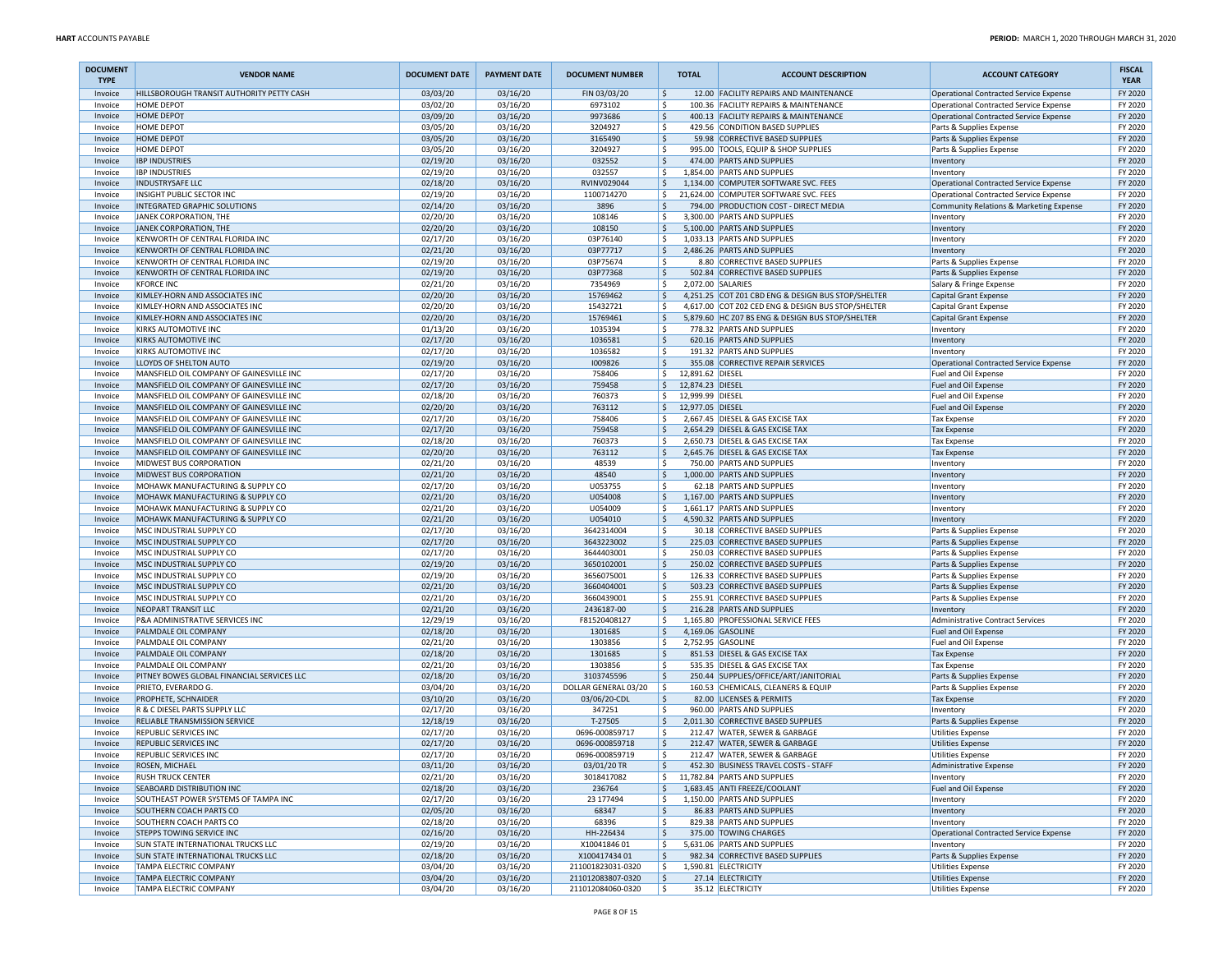| <b>DOCUMENT</b><br><b>TYPE</b> | <b>VENDOR NAME</b>                                                 | <b>DOCUMENT DATE</b> | <b>PAYMENT DATE</b>  | <b>DOCUMENT NUMBER</b>   | <b>TOTAL</b>                                      | <b>ACCOUNT DESCRIPTION</b>                                           | <b>ACCOUNT CATEGORY</b>                                                           | <b>FISCAL</b><br><b>YEAR</b> |
|--------------------------------|--------------------------------------------------------------------|----------------------|----------------------|--------------------------|---------------------------------------------------|----------------------------------------------------------------------|-----------------------------------------------------------------------------------|------------------------------|
| Invoice                        | HILLSBOROUGH TRANSIT AUTHORITY PETTY CASH                          | 03/03/20             | 03/16/20             | FIN 03/03/20             | \$                                                | 12.00 FACILITY REPAIRS AND MAINTENANCE                               | Operational Contracted Service Expense                                            | FY 2020                      |
| Invoice                        | <b>HOME DEPOT</b>                                                  | 03/02/20             | 03/16/20             | 6973102                  | l\$                                               | 100.36 FACILITY REPAIRS & MAINTENANCE                                | Operational Contracted Service Expense                                            | FY 2020                      |
| Invoice                        | <b>HOME DEPOT</b>                                                  | 03/09/20             | 03/16/20             | 9973686                  | ۱\$                                               | 400.13 FACILITY REPAIRS & MAINTENANCE                                | Operational Contracted Service Expense                                            | FY 2020                      |
| Invoice                        | <b>HOME DEPOT</b>                                                  | 03/05/20             | 03/16/20             | 3204927                  | ۱\$                                               | 429.56 CONDITION BASED SUPPLIES                                      | Parts & Supplies Expense                                                          | FY 2020                      |
| Invoice                        | <b>HOME DEPOT</b>                                                  | 03/05/20             | 03/16/20             | 3165490                  | ١\$                                               | 59.98 CORRECTIVE BASED SUPPLIES                                      | Parts & Supplies Expense                                                          | FY 2020                      |
| Invoice                        | <b>HOME DEPOT</b>                                                  | 03/05/20             | 03/16/20             | 3204927                  | \$                                                | 995.00 TOOLS, EQUIP & SHOP SUPPLIES<br>474.00 PARTS AND SUPPLIES     | Parts & Supplies Expense                                                          | FY 2020                      |
| Invoice                        | <b>IBP INDUSTRIES</b>                                              | 02/19/20             | 03/16/20             | 032552                   | I\$<br>-\$                                        |                                                                      | Inventory                                                                         | FY 2020<br>FY 2020           |
| Invoice<br>Invoice             | <b>IBP INDUSTRIES</b><br><b>INDUSTRYSAFE LLC</b>                   | 02/19/20<br>02/18/20 | 03/16/20<br>03/16/20 | 032557<br>RVINV029044    | ١\$                                               | 1,854.00 PARTS AND SUPPLIES<br>1,134.00 COMPUTER SOFTWARE SVC. FEES  | Inventory<br>Operational Contracted Service Expense                               | FY 2020                      |
|                                | INSIGHT PUBLIC SECTOR INC                                          | 02/19/20             | 03/16/20             | 1100714270               | \$                                                | 21,624.00 COMPUTER SOFTWARE SVC. FEES                                |                                                                                   | FY 2020                      |
| Invoice<br>Invoice             | INTEGRATED GRAPHIC SOLUTIONS                                       | 02/14/20             | 03/16/20             | 3896                     | ۱\$.                                              | 794.00 PRODUCTION COST - DIRECT MEDIA                                | Operational Contracted Service Expense<br>Community Relations & Marketing Expense | FY 2020                      |
| Invoice                        | JANEK CORPORATION, THE                                             | 02/20/20             | 03/16/20             | 108146                   | l \$                                              | 3.300.00 PARTS AND SUPPLIES                                          | Inventory                                                                         | FY 2020                      |
| Invoice                        | JANEK CORPORATION, THE                                             | 02/20/20             | 03/16/20             | 108150                   | S.                                                | 5,100.00 PARTS AND SUPPLIES                                          | Inventory                                                                         | FY 2020                      |
| Invoice                        | KENWORTH OF CENTRAL FLORIDA INC                                    | 02/17/20             | 03/16/20             | 03P76140                 | -\$                                               | 1,033.13 PARTS AND SUPPLIES                                          | Inventory                                                                         | FY 2020                      |
| Invoice                        | KENWORTH OF CENTRAL FLORIDA INC                                    | 02/21/20             | 03/16/20             | 03P77717                 | ١\$                                               | 2,486.26 PARTS AND SUPPLIES                                          | Inventory                                                                         | FY 2020                      |
| Invoice                        | KENWORTH OF CENTRAL FLORIDA INC                                    | 02/19/20             | 03/16/20             | 03P75674                 | \$                                                | 8.80 CORRECTIVE BASED SUPPLIES                                       | Parts & Supplies Expense                                                          | FY 2020                      |
| Invoice                        | KENWORTH OF CENTRAL FLORIDA INC                                    | 02/19/20             | 03/16/20             | 03P77368                 | I\$                                               | 502.84 CORRECTIVE BASED SUPPLIES                                     | Parts & Supplies Expense                                                          | FY 2020                      |
| Invoice                        | <b>KFORCE INC</b>                                                  | 02/21/20             | 03/16/20             | 7354969                  | -\$                                               | 2,072.00 SALARIES                                                    | Salary & Fringe Expense                                                           | FY 2020                      |
| Invoice                        | KIMLEY-HORN AND ASSOCIATES INC                                     | 02/20/20             | 03/16/20             | 15769462                 | ۱\$                                               | 4,251.25 COT Z01 CBD ENG & DESIGN BUS STOP/SHELTER                   | Capital Grant Expense                                                             | FY 2020                      |
| Invoice                        | KIMLEY-HORN AND ASSOCIATES INC                                     | 02/20/20             | 03/16/20             | 15432721                 | \$                                                | 4,617.00 COT Z02 CED ENG & DESIGN BUS STOP/SHELTER                   | Capital Grant Expense                                                             | FY 2020                      |
| Invoice                        | KIMLEY-HORN AND ASSOCIATES INC                                     | 02/20/20             | 03/16/20             | 15769461                 | ۱\$.                                              | 5,879.60 HC Z07 BS ENG & DESIGN BUS STOP/SHELTER                     | Capital Grant Expense                                                             | FY 2020                      |
| Invoice                        | KIRKS AUTOMOTIVE INC                                               | 01/13/20             | 03/16/20             | 1035394                  | l \$                                              | 778.32 PARTS AND SUPPLIES                                            | Inventory                                                                         | FY 2020                      |
| Invoice                        | <b>KIRKS AUTOMOTIVE INC</b>                                        | 02/17/20             | 03/16/20             | 1036581                  | S.                                                | 620.16 PARTS AND SUPPLIES                                            | Inventory                                                                         | FY 2020                      |
| Invoice                        | KIRKS AUTOMOTIVE INC                                               | 02/17/20             | 03/16/20             | 1036582                  | \$                                                | 191.32 PARTS AND SUPPLIES                                            | Inventory                                                                         | FY 2020                      |
| Invoice                        | LLOYDS OF SHELTON AUTO<br>MANSFIELD OIL COMPANY OF GAINESVILLE INC | 02/19/20             | 03/16/20             | 1009826                  | ١\$                                               | 355.08 CORRECTIVE REPAIR SERVICES                                    | Operational Contracted Service Expense                                            | FY 2020                      |
| Invoice<br>Invoice             | MANSFIELD OIL COMPANY OF GAINESVILLE INC                           | 02/17/20             | 03/16/20<br>03/16/20 | 758406<br>759458         | \$<br>12,891.62 DIESEL<br>l\$<br>12,874.23 DIESEL |                                                                      | Fuel and Oil Expense                                                              | FY 2020<br>FY 2020           |
| Invoice                        | MANSFIELD OIL COMPANY OF GAINESVILLE INC                           | 02/17/20<br>02/18/20 | 03/16/20             | 760373                   | -S<br>12,999.99 DIESEL                            |                                                                      | Fuel and Oil Expense<br>Fuel and Oil Expense                                      | FY 2020                      |
| Invoice                        | MANSFIELD OIL COMPANY OF GAINESVILLE INC                           | 02/20/20             | 03/16/20             | 763112                   | I\$<br>12,977.05 DIESEL                           |                                                                      | Fuel and Oil Expense                                                              | FY 2020                      |
| Invoice                        | MANSFIELD OIL COMPANY OF GAINESVILLE INC                           | 02/17/20             | 03/16/20             | 758406                   | \$                                                | 2,667.45 DIESEL & GAS EXCISE TAX                                     | Tax Expense                                                                       | FY 2020                      |
| Invoice                        | MANSFIELD OIL COMPANY OF GAINESVILLE INC                           | 02/17/20             | 03/16/20             | 759458                   | \$                                                | 2,654.29 DIESEL & GAS EXCISE TAX                                     | <b>Tax Expense</b>                                                                | FY 2020                      |
| Invoice                        | MANSFIELD OIL COMPANY OF GAINESVILLE INC                           | 02/18/20             | 03/16/20             | 760373                   | -Ś                                                | 2,650.73 DIESEL & GAS EXCISE TAX                                     | <b>Tax Expense</b>                                                                | FY 2020                      |
| Invoice                        | MANSFIELD OIL COMPANY OF GAINESVILLE INC                           | 02/20/20             | 03/16/20             | 763112                   | Ŝ.                                                | 2,645.76 DIESEL & GAS EXCISE TAX                                     | <b>Tax Expense</b>                                                                | FY 2020                      |
| Invoice                        | MIDWEST BUS CORPORATION                                            | 02/21/20             | 03/16/20             | 48539                    | -\$                                               | 750.00 PARTS AND SUPPLIES                                            | Inventory                                                                         | FY 2020                      |
| Invoice                        | MIDWEST BUS CORPORATION                                            | 02/21/20             | 03/16/20             | 48540                    | ١\$                                               | 1,000.00 PARTS AND SUPPLIES                                          | Inventory                                                                         | FY 2020                      |
| Invoice                        | MOHAWK MANUFACTURING & SUPPLY CO                                   | 02/17/20             | 03/16/20             | U053755                  | \$                                                | 62.18 PARTS AND SUPPLIES                                             | Inventory                                                                         | FY 2020                      |
| Invoice                        | MOHAWK MANUFACTURING & SUPPLY CO                                   | 02/21/20             | 03/16/20             | U054008                  | I\$                                               | 1,167.00 PARTS AND SUPPLIES                                          | Inventory                                                                         | FY 2020                      |
| Invoice                        | MOHAWK MANUFACTURING & SUPPLY CO                                   | 02/21/20             | 03/16/20             | U054009                  | -\$                                               | 1,661.17 PARTS AND SUPPLIES                                          | Inventory                                                                         | FY 2020                      |
| Invoice                        | MOHAWK MANUFACTURING & SUPPLY CO                                   | 02/21/20             | 03/16/20             | U054010                  | ١\$                                               | 4,590.32 PARTS AND SUPPLIES                                          | Inventory                                                                         | FY 2020                      |
| Invoice                        | MSC INDUSTRIAL SUPPLY CO                                           | 02/17/20             | 03/16/20             | 3642314004               | ۱\$                                               | 30.18 CORRECTIVE BASED SUPPLIES                                      | Parts & Supplies Expense                                                          | FY 2020                      |
| Invoice                        | MSC INDUSTRIAL SUPPLY CO                                           | 02/17/20             | 03/16/20             | 3643223002               | \$                                                | 225.03 CORRECTIVE BASED SUPPLIES                                     | Parts & Supplies Expense                                                          | FY 2020                      |
| Invoice                        | MSC INDUSTRIAL SUPPLY CO                                           | 02/17/20             | 03/16/20             | 3644403001               | l \$                                              | 250.03 CORRECTIVE BASED SUPPLIES                                     | Parts & Supplies Expense                                                          | FY 2020                      |
| Invoice                        | MSC INDUSTRIAL SUPPLY CO                                           | 02/19/20             | 03/16/20             | 3650102001               | ۱\$                                               | 250.02 CORRECTIVE BASED SUPPLIES                                     | Parts & Supplies Expense                                                          | FY 2020                      |
| Invoice                        | MSC INDUSTRIAL SUPPLY CO                                           | 02/19/20             | 03/16/20             | 3656075001               | -\$                                               | 126.33 CORRECTIVE BASED SUPPLIES                                     | Parts & Supplies Expense                                                          | FY 2020                      |
| Invoice<br>Invoice             | MSC INDUSTRIAL SUPPLY CO<br>MSC INDUSTRIAL SUPPLY CO               | 02/21/20<br>02/21/20 | 03/16/20<br>03/16/20 | 3660404001<br>3660439001 | ١\$<br>\$                                         | 503.23 CORRECTIVE BASED SUPPLIES<br>255.91 CORRECTIVE BASED SUPPLIES | Parts & Supplies Expense                                                          | FY 2020<br>FY 2020           |
| Invoice                        | <b>NEOPART TRANSIT LLC</b>                                         | 02/21/20             | 03/16/20             | 2436187-00               | I\$                                               | 216.28 PARTS AND SUPPLIES                                            | Parts & Supplies Expense<br>Inventory                                             | FY 2020                      |
| Invoice                        | P&A ADMINISTRATIVE SERVICES INC                                    | 12/29/19             | 03/16/20             | F81520408127             | -\$                                               | 1,165.80 PROFESSIONAL SERVICE FEES                                   | Administrative Contract Services                                                  | FY 2020                      |
| Invoice                        | PALMDALE OIL COMPANY                                               | 02/18/20             | 03/16/20             | 1301685                  | ۱\$.                                              | 4,169.06 GASOLINE                                                    | Fuel and Oil Expense                                                              | FY 2020                      |
| Invoice                        | PALMDALE OIL COMPANY                                               | 02/21/20             | 03/16/20             | 1303856                  | \$                                                | 2,752.95 GASOLINE                                                    | Fuel and Oil Expense                                                              | FY 2020                      |
| Invoice                        | PALMDALE OIL COMPANY                                               | 02/18/20             | 03/16/20             | 1301685                  | ١\$                                               | 851.53 DIESEL & GAS EXCISE TAX                                       | <b>Tax Expense</b>                                                                | FY 2020                      |
| Invoice                        | PALMDALE OIL COMPANY                                               | 02/21/20             | 03/16/20             | 1303856                  | ۱\$                                               | 535.35 DIESEL & GAS EXCISE TAX                                       | Tax Expense                                                                       | FY 2020                      |
| Invoice                        | PITNEY BOWES GLOBAL FINANCIAL SERVICES LLC                         | 02/18/20             | 03/16/20             | 3103745596               | ۱\$                                               | 250.44 SUPPLIES/OFFICE/ART/JANITORIAL                                | Parts & Supplies Expense                                                          | FY 2020                      |
| Invoice                        | PRIETO, EVERARDO G.                                                | 03/04/20             | 03/16/20             | DOLLAR GENERAL 03/20     | ١\$                                               | 160.53 CHEMICALS, CLEANERS & EQUIP                                   | Parts & Supplies Expense                                                          | FY 2020                      |
| Invoice                        | PROPHETE, SCHNAIDER                                                | 03/10/20             | 03/16/20             | 03/06/20-CDI             | ١\$                                               | 82.00 LICENSES & PERMITS                                             | <b>Tax Expense</b>                                                                | FY 2020                      |
| Invoice                        | R & C DIESEL PARTS SUPPLY LLC                                      | 02/17/20             | 03/16/20             | 347251                   | \$                                                | 960.00 PARTS AND SUPPLIES                                            | Inventory                                                                         | FY 2020                      |
| Invoice                        | RELIABLE TRANSMISSION SERVICE                                      | 12/18/19             | 03/16/20             | T-27505                  | I\$                                               | 2.011.30 CORRECTIVE BASED SUPPLIES                                   | Parts & Supplies Expense                                                          | FY 2020                      |
| Invoice                        | REPUBLIC SERVICES INC                                              | 02/17/20             | 03/16/20             | 0696-000859717           | -\$                                               | 212.47 WATER, SEWER & GARBAGE                                        | Utilities Expense                                                                 | FY 2020                      |
| Invoice                        | REPUBLIC SERVICES INC                                              | 02/17/20             | 03/16/20             | 0696-000859718           | ١\$                                               | 212.47 WATER, SEWER & GARBAGE                                        | Utilities Expense                                                                 | FY 2020                      |
| Invoice                        | REPUBLIC SERVICES INC                                              | 02/17/20             | 03/16/20             | 0696-000859719           | <sub>S</sub>                                      | 212.47 WATER, SEWER & GARBAGE                                        | <b>Utilities Expense</b>                                                          | FY 2020                      |
| Invoice                        | <b>ROSEN, MICHAEL</b>                                              | 03/11/20             | 03/16/20             | 03/01/20 TR              | I\$                                               | 452.30 BUSINESS TRAVEL COSTS - STAFF                                 | Administrative Expense                                                            | FY 2020                      |
| Invoice                        | <b>RUSH TRUCK CENTER</b>                                           | 02/21/20             | 03/16/20             | 3018417082               | l\$                                               | 11,782.84 PARTS AND SUPPLIES                                         | Inventory                                                                         | FY 2020                      |
| Invoice                        | SEABOARD DISTRIBUTION INC                                          | 02/18/20             | 03/16/20             | 236764                   | S.                                                | 1,683.45 ANTI FREEZE/COOLANT                                         | Fuel and Oil Expense                                                              | FY 2020                      |
| Invoice                        | SOUTHEAST POWER SYSTEMS OF TAMPA INC                               | 02/17/20             | 03/16/20             | 23 177494                | l\$<br>l\$                                        | 1,150.00 PARTS AND SUPPLIES                                          | Inventory                                                                         | FY 2020                      |
| Invoice<br>Invoice             | SOUTHERN COACH PARTS CO<br><b>SOUTHERN COACH PARTS CO</b>          | 02/05/20<br>02/18/20 | 03/16/20<br>03/16/20 | 68347<br>68396           | \$                                                | 86.83 PARTS AND SUPPLIES<br>829.38 PARTS AND SUPPLIES                | Inventory<br>Inventory                                                            | FY 2020<br>FY 2020           |
| Invoice                        | <b>STEPPS TOWING SERVICE INC</b>                                   | 02/16/20             | 03/16/20             | HH-226434                | I\$                                               | 375.00 TOWING CHARGES                                                | Operational Contracted Service Expense                                            | FY 2020                      |
| Invoice                        | SUN STATE INTERNATIONAL TRUCKS LLC                                 | 02/19/20             | 03/16/20             | X1004184601              | \$                                                | 5,631.06 PARTS AND SUPPLIES                                          | Inventory                                                                         | FY 2020                      |
| Invoice                        | SUN STATE INTERNATIONAL TRUCKS LLC                                 | 02/18/20             | 03/16/20             | X10041743401             | ۱\$.                                              | 982.34 CORRECTIVE BASED SUPPLIES                                     | Parts & Supplies Expense                                                          | FY 2020                      |
| Invoice                        | TAMPA ELECTRIC COMPANY                                             | 03/04/20             | 03/16/20             | 211001823031-0320        | l\$                                               | 1,590.81 ELECTRICITY                                                 | Utilities Expense                                                                 | FY 2020                      |
| Invoice                        | <b>TAMPA ELECTRIC COMPANY</b>                                      | 03/04/20             | 03/16/20             | 211012083807-0320        | \$                                                | 27.14 ELECTRICITY                                                    | Utilities Expense                                                                 | FY 2020                      |
| Invoice                        | <b>TAMPA ELECTRIC COMPANY</b>                                      | 03/04/20             | 03/16/20             | 211012084060-0320        | $\vert$ \$                                        | 35.12 ELECTRICITY                                                    | Utilities Expense                                                                 | FY 2020                      |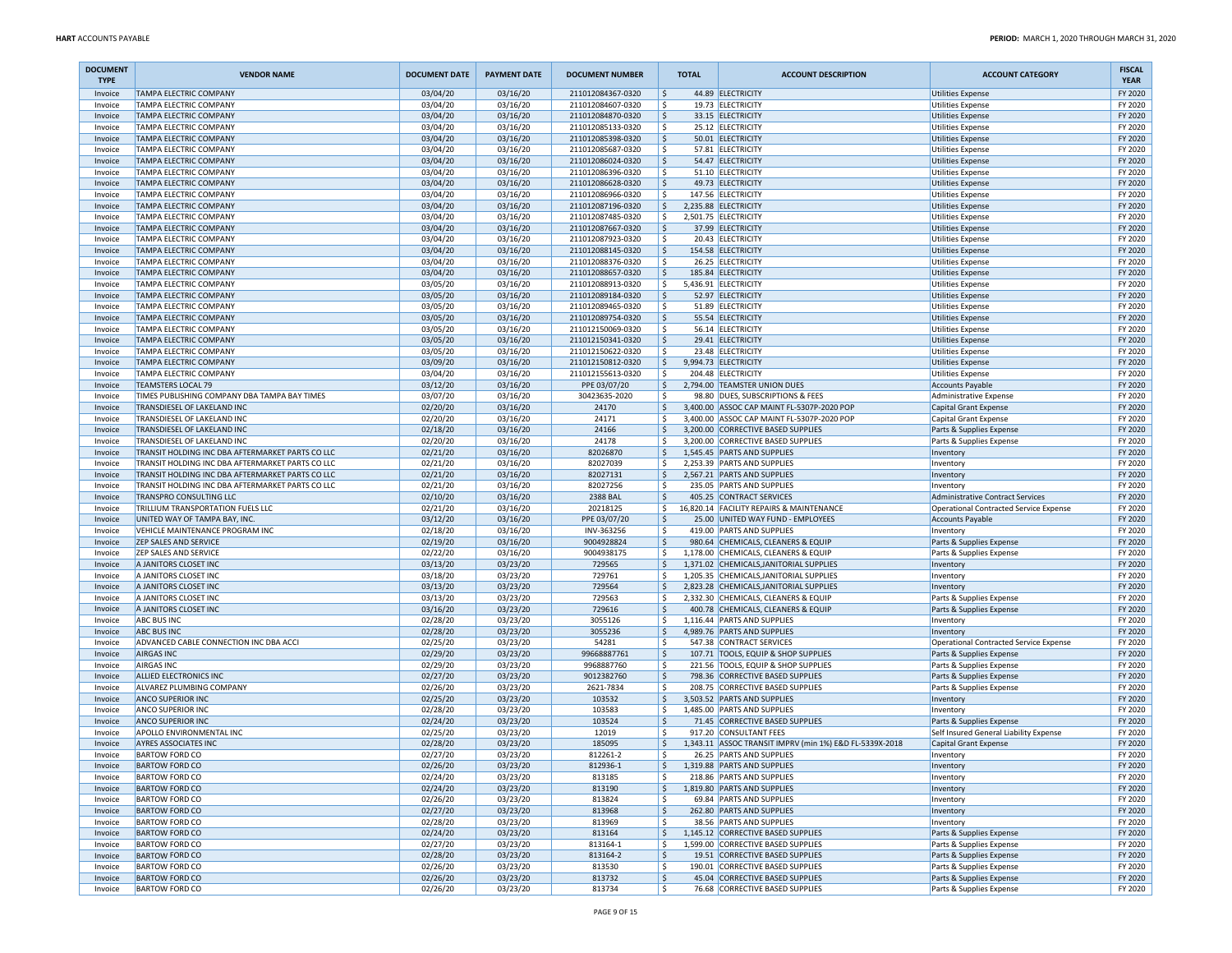| <b>DOCUMENT</b><br><b>TYPE</b> | <b>VENDOR NAME</b>                                                                 | <b>DOCUMENT DATE</b> | <b>PAYMENT DATE</b>  | <b>DOCUMENT NUMBER</b>                 | <b>TOTAL</b>                      | <b>ACCOUNT DESCRIPTION</b>                                                      | <b>ACCOUNT CATEGORY</b>                              | <b>FISCAL</b><br><b>YEAR</b> |
|--------------------------------|------------------------------------------------------------------------------------|----------------------|----------------------|----------------------------------------|-----------------------------------|---------------------------------------------------------------------------------|------------------------------------------------------|------------------------------|
| Invoice                        | <b>TAMPA ELECTRIC COMPANY</b>                                                      | 03/04/20             | 03/16/20             | 211012084367-0320                      | ۱\$                               | 44.89 ELECTRICITY                                                               | <b>Utilities Expense</b>                             | FY 2020                      |
| Invoice                        | <b>TAMPA ELECTRIC COMPANY</b>                                                      | 03/04/20             | 03/16/20             | 211012084607-0320                      | ۱\$                               | 19.73 ELECTRICITY                                                               | <b>Utilities Expense</b>                             | FY 2020                      |
| Invoice                        | <b>TAMPA ELECTRIC COMPANY</b>                                                      | 03/04/20             | 03/16/20             | 211012084870-0320                      | ۱\$                               | 33.15 ELECTRICITY                                                               | <b>Utilities Expense</b>                             | FY 2020                      |
| Invoice                        | TAMPA ELECTRIC COMPANY<br>TAMPA ELECTRIC COMPANY                                   | 03/04/20             | 03/16/20             | 211012085133-0320<br>211012085398-0320 | l\$<br>۱ś                         | 25.12 ELECTRICITY<br>50.01 ELECTRICITY                                          | <b>Utilities Expense</b>                             | FY 2020<br>FY 2020           |
| Invoice<br>Invoice             | <b>TAMPA ELECTRIC COMPANY</b>                                                      | 03/04/20<br>03/04/20 | 03/16/20<br>03/16/20 | 211012085687-0320                      | ۱\$                               | 57.81 ELECTRICITY                                                               | <b>Utilities Expense</b><br><b>Utilities Expense</b> | FY 2020                      |
| Invoice                        | <b>TAMPA ELECTRIC COMPANY</b>                                                      | 03/04/20             | 03/16/20             | 211012086024-0320                      | ۱\$                               | 54.47 ELECTRICITY                                                               | <b>Utilities Expense</b>                             | FY 2020                      |
| Invoice                        | <b>TAMPA ELECTRIC COMPANY</b>                                                      | 03/04/20             | 03/16/20             | 211012086396-0320                      | ۱\$                               | 51.10 ELECTRICITY                                                               | <b>Utilities Expense</b>                             | FY 2020                      |
| Invoice                        | <b>TAMPA ELECTRIC COMPANY</b>                                                      | 03/04/20             | 03/16/20             | 211012086628-0320                      | l\$                               | 49.73 ELECTRICITY                                                               | <b>Utilities Expense</b>                             | FY 2020                      |
| Invoice                        | TAMPA ELECTRIC COMPANY                                                             | 03/04/20             | 03/16/20             | 211012086966-0320                      | ۱s                                | 147.56 ELECTRICITY                                                              | <b>Utilities Expense</b>                             | FY 2020                      |
| Invoice                        | <b>TAMPA ELECTRIC COMPANY</b>                                                      | 03/04/20             | 03/16/20             | 211012087196-0320                      | l\$                               | 2,235.88 ELECTRICITY                                                            | <b>Utilities Expense</b>                             | FY 2020                      |
| Invoice                        | <b>TAMPA ELECTRIC COMPANY</b>                                                      | 03/04/20             | 03/16/20             | 211012087485-0320                      | ۱\$                               | 2,501.75 ELECTRICITY                                                            | <b>Utilities Expense</b>                             | FY 2020                      |
| Invoice                        | <b>TAMPA ELECTRIC COMPANY</b>                                                      | 03/04/20             | 03/16/20             | 211012087667-0320                      | ۱\$                               | 37.99 ELECTRICITY                                                               | <b>Utilities Expense</b>                             | FY 2020                      |
| Invoice<br>Invoice             | TAMPA ELECTRIC COMPANY<br>TAMPA ELECTRIC COMPANY                                   | 03/04/20<br>03/04/20 | 03/16/20<br>03/16/20 | 211012087923-0320<br>211012088145-0320 | ۱\$<br>۱ś                         | 20.43 ELECTRICITY<br>154.58 ELECTRICITY                                         | <b>Utilities Expense</b><br><b>Utilities Expense</b> | FY 2020<br>FY 2020           |
| Invoice                        | <b>TAMPA ELECTRIC COMPANY</b>                                                      | 03/04/20             | 03/16/20             | 211012088376-0320                      | ۱\$                               | 26.25 ELECTRICITY                                                               | <b>Utilities Expense</b>                             | FY 2020                      |
| Invoice                        | <b>TAMPA ELECTRIC COMPANY</b>                                                      | 03/04/20             | 03/16/20             | 211012088657-0320                      | ۱\$                               | 185.84 ELECTRICITY                                                              | <b>Utilities Expense</b>                             | FY 2020                      |
| Invoice                        | <b>TAMPA ELECTRIC COMPANY</b>                                                      | 03/05/20             | 03/16/20             | 211012088913-0320                      | ۱\$                               | 5,436.91 ELECTRICITY                                                            | <b>Utilities Expense</b>                             | FY 2020                      |
| Invoice                        | <b>TAMPA ELECTRIC COMPANY</b>                                                      | 03/05/20             | 03/16/20             | 211012089184-0320                      | ۱\$                               | 52.97 ELECTRICITY                                                               | <b>Utilities Expense</b>                             | FY 2020                      |
| Invoice                        | TAMPA ELECTRIC COMPANY                                                             | 03/05/20             | 03/16/20             | 211012089465-0320                      | ۱ś                                | 51.89 ELECTRICITY                                                               | <b>Utilities Expense</b>                             | FY 2020                      |
| Invoice                        | <b>TAMPA ELECTRIC COMPANY</b>                                                      | 03/05/20             | 03/16/20             | 211012089754-0320                      | ۱\$                               | 55.54 ELECTRICITY                                                               | <b>Utilities Expense</b>                             | FY 2020                      |
| Invoice                        | <b>TAMPA ELECTRIC COMPANY</b>                                                      | 03/05/20             | 03/16/20             | 211012150069-0320                      | ۱\$                               | 56.14 ELECTRICITY                                                               | <b>Utilities Expense</b>                             | FY 2020                      |
| Invoice                        | <b>TAMPA ELECTRIC COMPANY</b>                                                      | 03/05/20             | 03/16/20             | 211012150341-0320                      | ۱\$                               | 29.41 ELECTRICITY                                                               | <b>Utilities Expense</b>                             | FY 2020                      |
| Invoice                        | TAMPA ELECTRIC COMPANY                                                             | 03/05/20             | 03/16/20             | 211012150622-0320<br>211012150812-0320 | l \$                              | 23.48 ELECTRICITY                                                               | <b>Utilities Expense</b>                             | FY 2020                      |
| Invoice<br>Invoice             | TAMPA ELECTRIC COMPANY<br><b>TAMPA ELECTRIC COMPANY</b>                            | 03/09/20<br>03/04/20 | 03/16/20<br>03/16/20 | 211012155613-0320                      | ١ś<br>۱\$                         | 9,994.73 ELECTRICITY<br>204.48 ELECTRICITY                                      | <b>Utilities Expense</b><br><b>Utilities Expense</b> | FY 2020<br>FY 2020           |
| Invoice                        | <b>TEAMSTERS LOCAL 79</b>                                                          | 03/12/20             | 03/16/20             | PPE 03/07/20                           | ۱\$                               | 2,794.00 TEAMSTER UNION DUES                                                    | <b>Accounts Payable</b>                              | FY 2020                      |
| Invoice                        | TIMES PUBLISHING COMPANY DBA TAMPA BAY TIMES                                       | 03/07/20             | 03/16/20             | 30423635-2020                          | ۱\$                               | 98.80 DUES, SUBSCRIPTIONS & FEES                                                | Administrative Expense                               | FY 2020                      |
| Invoice                        | TRANSDIESEL OF LAKELAND INC                                                        | 02/20/20             | 03/16/20             | 24170                                  | ۱\$                               | 3,400.00 ASSOC CAP MAINT FL-5307P-2020 POP                                      | Capital Grant Expense                                | FY 2020                      |
| Invoice                        | TRANSDIESEL OF LAKELAND INC                                                        | 02/20/20             | 03/16/20             | 24171                                  | l s                               | 3,400.00 ASSOC CAP MAINT FL-5307P-2020 POP                                      | Capital Grant Expense                                | FY 2020                      |
| Invoice                        | TRANSDIESEL OF LAKELAND INC                                                        | 02/18/20             | 03/16/20             | 24166                                  | ۱\$                               | 3,200.00 CORRECTIVE BASED SUPPLIES                                              | Parts & Supplies Expense                             | FY 2020                      |
| Invoice                        | TRANSDIESEL OF LAKELAND INC                                                        | 02/20/20             | 03/16/20             | 24178                                  | ۱\$                               | 3,200.00 CORRECTIVE BASED SUPPLIES                                              | Parts & Supplies Expense                             | FY 2020                      |
| Invoice                        | TRANSIT HOLDING INC DBA AFTERMARKET PARTS CO LLC                                   | 02/21/20             | 03/16/20             | 82026870                               | l\$                               | 1,545.45 PARTS AND SUPPLIES                                                     | Inventory                                            | FY 2020                      |
| Invoice                        | TRANSIT HOLDING INC DBA AFTERMARKET PARTS CO LLC                                   | 02/21/20             | 03/16/20             | 82027039                               | l\$                               | 2,253.39 PARTS AND SUPPLIES                                                     | Inventory                                            | FY 2020                      |
| Invoice<br>Invoice             | TRANSIT HOLDING INC DBA AFTERMARKET PARTS CO LLC                                   | 02/21/20<br>02/21/20 | 03/16/20<br>03/16/20 | 82027131                               | $\vert \mathfrak{s} \vert$<br>١\$ | 2,567.21 PARTS AND SUPPLIES<br>235.05 PARTS AND SUPPLIES                        | Inventory                                            | FY 2020<br>FY 2020           |
| Invoice                        | TRANSIT HOLDING INC DBA AFTERMARKET PARTS CO LLC<br><b>TRANSPRO CONSULTING LLC</b> | 02/10/20             | 03/16/20             | 82027256<br>2388 BAL                   | ١\$                               | 405.25 CONTRACT SERVICES                                                        | Inventory<br>Administrative Contract Services        | FY 2020                      |
| Invoice                        | TRILLIUM TRANSPORTATION FUELS LLC                                                  | 02/21/20             | 03/16/20             | 20218125                               | l\$                               | 16,820.14 FACILITY REPAIRS & MAINTENANCE                                        | Operational Contracted Service Expense               | FY 2020                      |
| Invoice                        | UNITED WAY OF TAMPA BAY, INC.                                                      | 03/12/20             | 03/16/20             | PPE 03/07/20                           | ا \$                              | 25.00 UNITED WAY FUND - EMPLOYEES                                               | <b>Accounts Payable</b>                              | FY 2020                      |
| Invoice                        | VEHICLE MAINTENANCE PROGRAM INC                                                    | 02/18/20             | 03/16/20             | INV-363256                             | l s                               | 419.00 PARTS AND SUPPLIES                                                       | Inventory                                            | FY 2020                      |
| Invoice                        | <b>ZEP SALES AND SERVICE</b>                                                       | 02/19/20             | 03/16/20             | 9004928824                             | ۱\$                               | 980.64 CHEMICALS, CLEANERS & EQUIP                                              | Parts & Supplies Expense                             | FY 2020                      |
| Invoice                        | <b>ZEP SALES AND SERVICE</b>                                                       | 02/22/20             | 03/16/20             | 9004938175                             | l\$                               | 1,178.00 CHEMICALS, CLEANERS & EQUIP                                            | Parts & Supplies Expense                             | FY 2020                      |
| Invoice                        | A JANITORS CLOSET INC                                                              | 03/13/20             | 03/23/20             | 729565                                 | l\$                               | 1,371.02 CHEMICALS, JANITORIAL SUPPLIES                                         | Inventory                                            | FY 2020                      |
| Invoice                        | A JANITORS CLOSET INC                                                              | 03/18/20             | 03/23/20             | 729761                                 | l\$                               | 1,205.35 CHEMICALS, JANITORIAL SUPPLIES                                         | Inventory                                            | FY 2020                      |
| Invoice<br>Invoice             | A JANITORS CLOSET INC<br>A JANITORS CLOSET INC                                     | 03/13/20<br>03/13/20 | 03/23/20<br>03/23/20 | 729564<br>729563                       | ۱\$<br>١\$                        | 2,823.28 CHEMICALS, JANITORIAL SUPPLIES<br>2,332.30 CHEMICALS, CLEANERS & EQUIP | Inventory<br>Parts & Supplies Expense                | FY 2020<br>FY 2020           |
| Invoice                        | A JANITORS CLOSET INC                                                              | 03/16/20             | 03/23/20             | 729616                                 | ١\$                               | 400.78 CHEMICALS, CLEANERS & EQUIP                                              | Parts & Supplies Expense                             | FY 2020                      |
| Invoice                        | <b>ABC BUS INC</b>                                                                 | 02/28/20             | 03/23/20             | 3055126                                | l\$                               | 1,116.44 PARTS AND SUPPLIES                                                     | Inventory                                            | FY 2020                      |
| Invoice                        | <b>ABC BUS INC</b>                                                                 | 02/28/20             | 03/23/20             | 3055236                                | ا \$                              | 4,989.76 PARTS AND SUPPLIES                                                     | Inventory                                            | FY 2020                      |
| Invoice                        | ADVANCED CABLE CONNECTION INC DBA ACCI                                             | 02/25/20             | 03/23/20             | 54281                                  | ١s                                | 547.38 CONTRACT SERVICES                                                        | Operational Contracted Service Expense               | FY 2020                      |
| Invoice                        | <b>AIRGAS INC</b>                                                                  | 02/29/20             | 03/23/20             | 99668887761                            | ١\$                               | 107.71 TOOLS, EQUIP & SHOP SUPPLIES                                             | Parts & Supplies Expense                             | FY 2020                      |
| Invoice                        | <b>AIRGAS INC</b>                                                                  | 02/29/20             | 03/23/20             | 9968887760                             | ١\$                               | 221.56 TOOLS, EQUIP & SHOP SUPPLIES                                             | Parts & Supplies Expense                             | FY 2020                      |
| Invoice                        | ALLIED ELECTRONICS INC                                                             | 02/27/20             | 03/23/20             | 9012382760                             | ۱\$                               | 798.36 CORRECTIVE BASED SUPPLIES                                                | Parts & Supplies Expense                             | FY 2020                      |
| Invoice                        | ALVAREZ PLUMBING COMPANY                                                           | 02/26/20             | 03/23/20             | 2621-7834                              | l\$                               | 208.75 CORRECTIVE BASED SUPPLIES                                                | Parts & Supplies Expense                             | FY 2020                      |
| Invoice<br>Invoice             | <b>ANCO SUPERIOR INC</b><br><b>ANCO SUPERIOR INC</b>                               | 02/25/20<br>02/28/20 | 03/23/20<br>03/23/20 | 103532<br>103583                       | ۱\$<br>۱\$                        | 3,503.52 PARTS AND SUPPLIES<br>1,485.00 PARTS AND SUPPLIES                      | Inventory                                            | FY 2020<br>FY 2020           |
| Invoice                        | <b>ANCO SUPERIOR INC</b>                                                           | 02/24/20             | 03/23/20             | 103524                                 | ١ś                                | 71.45 CORRECTIVE BASED SUPPLIES                                                 | Inventory<br>Parts & Supplies Expense                | FY 2020                      |
| Invoice                        | APOLLO ENVIRONMENTAL INC                                                           | 02/25/20             | 03/23/20             | 12019                                  | ۱\$                               | 917.20 CONSULTANT FEES                                                          | Self Insured General Liability Expense               | FY 2020                      |
| Invoice                        | <b>AYRES ASSOCIATES INC</b>                                                        | 02/28/20             | 03/23/20             | 185095                                 | l\$                               | 1,343.11 ASSOC TRANSIT IMPRV (min 1%) E&D FL-5339X-2018                         | Capital Grant Expense                                | FY 2020                      |
| Invoice                        | <b>BARTOW FORD CO</b>                                                              | 02/27/20             | 03/23/20             | 812261-2                               | ۱s                                | 26.25 PARTS AND SUPPLIES                                                        | Inventory                                            | FY 2020                      |
| Invoice                        | <b>BARTOW FORD CO</b>                                                              | 02/26/20             | 03/23/20             | 812936-1                               | l\$                               | 1,319.88 PARTS AND SUPPLIES                                                     | Inventory                                            | FY 2020                      |
| Invoice                        | <b>BARTOW FORD CO</b>                                                              | 02/24/20             | 03/23/20             | 813185                                 | ۱\$                               | 218.86 PARTS AND SUPPLIES                                                       | Inventory                                            | FY 2020                      |
| Invoice                        | <b>BARTOW FORD CO</b>                                                              | 02/24/20             | 03/23/20             | 813190                                 | l\$                               | 1,819.80 PARTS AND SUPPLIES                                                     | Inventory                                            | FY 2020                      |
| Invoice                        | <b>BARTOW FORD CO</b>                                                              | 02/26/20             | 03/23/20             | 813824                                 | l\$                               | 69.84 PARTS AND SUPPLIES                                                        | Inventory                                            | FY 2020                      |
| Invoice                        | <b>BARTOW FORD CO</b>                                                              | 02/27/20             | 03/23/20             | 813968                                 | ۱\$                               | 262.80 PARTS AND SUPPLIES                                                       | Inventory                                            | FY 2020                      |
| Invoice                        | <b>BARTOW FORD CO</b>                                                              | 02/28/20             | 03/23/20             | 813969                                 | l\$                               | 38.56 PARTS AND SUPPLIES<br>1,145.12 CORRECTIVE BASED SUPPLIES                  | Inventory                                            | FY 2020                      |
| Invoice<br>Invoice             | <b>BARTOW FORD CO</b><br><b>BARTOW FORD CO</b>                                     | 02/24/20<br>02/27/20 | 03/23/20<br>03/23/20 | 813164<br>813164-1                     | ۱\$<br>l\$                        | 1,599.00 CORRECTIVE BASED SUPPLIES                                              | Parts & Supplies Expense<br>Parts & Supplies Expense | FY 2020<br>FY 2020           |
| Invoice                        | <b>BARTOW FORD CO</b>                                                              | 02/28/20             | 03/23/20             | 813164-2                               | l\$                               | 19.51 CORRECTIVE BASED SUPPLIES                                                 | Parts & Supplies Expense                             | FY 2020                      |
| Invoice                        | <b>BARTOW FORD CO</b>                                                              | 02/26/20             | 03/23/20             | 813530                                 | ١\$                               | 190.01 CORRECTIVE BASED SUPPLIES                                                | Parts & Supplies Expense                             | FY 2020                      |
| Invoice                        | <b>BARTOW FORD CO</b>                                                              | 02/26/20             | 03/23/20             | 813732                                 | ۱\$                               | 45.04 CORRECTIVE BASED SUPPLIES                                                 | Parts & Supplies Expense                             | FY 2020                      |
| Invoice                        | <b>BARTOW FORD CO</b>                                                              | 02/26/20             | 03/23/20             | 813734                                 | l\$                               | 76.68 CORRECTIVE BASED SUPPLIES                                                 | Parts & Supplies Expense                             | FY 2020                      |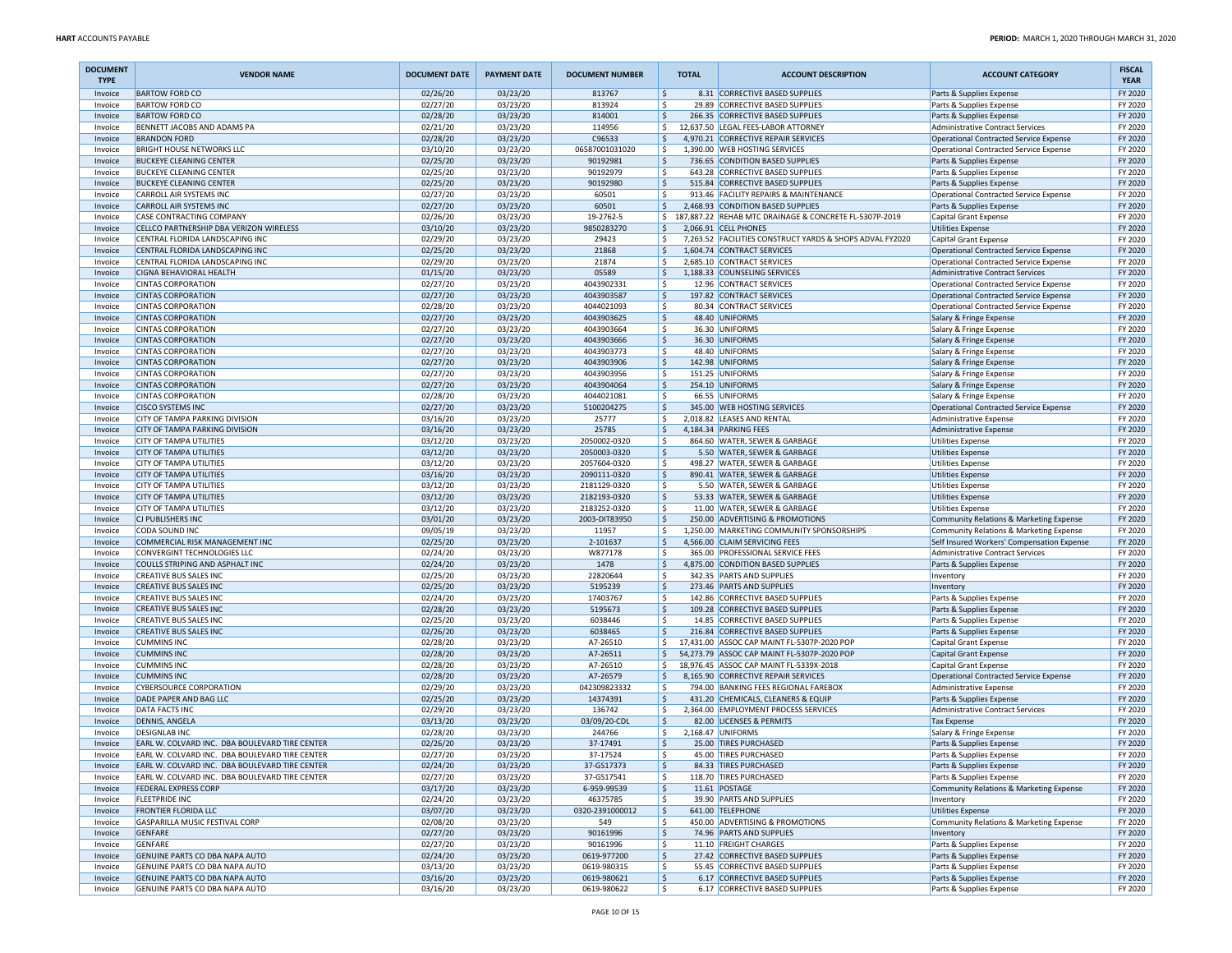| <b>DOCUMENT</b><br><b>TYPE</b> | <b>VENDOR NAME</b>                                                     | <b>DOCUMENT DATE</b> | <b>PAYMENT DATE</b>  | <b>DOCUMENT NUMBER</b>       | <b>TOTAL</b>              | <b>ACCOUNT DESCRIPTION</b>                                                                  | <b>ACCOUNT CATEGORY</b>                                                          | <b>FISCAL</b><br><b>YEAR</b> |
|--------------------------------|------------------------------------------------------------------------|----------------------|----------------------|------------------------------|---------------------------|---------------------------------------------------------------------------------------------|----------------------------------------------------------------------------------|------------------------------|
| Invoice                        | <b>BARTOW FORD CO</b>                                                  | 02/26/20             | 03/23/20             | 813767                       | \$                        | 8.31 CORRECTIVE BASED SUPPLIES                                                              | Parts & Supplies Expense                                                         | FY 2020                      |
| Invoice                        | <b>BARTOW FORD CO</b><br><b>BARTOW FORD CO</b>                         | 02/27/20             | 03/23/20             | 813924<br>814001             | l\$                       | 29.89 CORRECTIVE BASED SUPPLIES<br>266.35 CORRECTIVE BASED SUPPLIES                         | Parts & Supplies Expense<br>Parts & Supplies Expense                             | FY 2020<br>FY 2020           |
| Invoice<br>Invoice             | BENNETT JACOBS AND ADAMS PA                                            | 02/28/20<br>02/21/20 | 03/23/20<br>03/23/20 | 114956                       | I\$<br>l\$                | 12,637.50 LEGAL FEES-LABOR ATTORNEY                                                         | Administrative Contract Services                                                 | FY 2020                      |
| Invoice                        | <b>BRANDON FORD</b>                                                    | 02/28/20             | 03/23/20             | C96533                       | ١\$                       | 4.970.21 CORRECTIVE REPAIR SERVICES                                                         | Operational Contracted Service Expense                                           | FY 2020                      |
| Invoice                        | <b>BRIGHT HOUSE NETWORKS LLC</b>                                       | 03/10/20             | 03/23/20             | 06587001031020               | l\$                       | 1,390.00 WEB HOSTING SERVICES                                                               | Operational Contracted Service Expense                                           | FY 2020                      |
| Invoice                        | <b>BUCKEYE CLEANING CENTER</b>                                         | 02/25/20             | 03/23/20             | 90192981                     | ١\$                       | 736.65 CONDITION BASED SUPPLIES                                                             | Parts & Supplies Expense                                                         | FY 2020                      |
| Invoice                        | <b>BUCKEYE CLEANING CENTER</b>                                         | 02/25/20             | 03/23/20             | 90192979                     | -Ś                        | 643.28 CORRECTIVE BASED SUPPLIES                                                            | Parts & Supplies Expense                                                         | FY 2020                      |
| Invoice                        | <b>BUCKEYE CLEANING CENTER</b>                                         | 02/25/20             | 03/23/20             | 90192980                     | ۱\$                       | 515.84 CORRECTIVE BASED SUPPLIES                                                            | Parts & Supplies Expense                                                         | FY 2020                      |
| Invoice                        | <b>CARROLL AIR SYSTEMS INC</b>                                         | 02/27/20             | 03/23/20             | 60501                        | ١s                        | 913.46 FACILITY REPAIRS & MAINTENANCE                                                       | Operational Contracted Service Expense                                           | FY 2020                      |
| Invoice<br>Invoice             | <b>CARROLL AIR SYSTEMS INC</b><br><b>CASE CONTRACTING COMPANY</b>      | 02/27/20<br>02/26/20 | 03/23/20<br>03/23/20 | 60501<br>19-2762-5           | ۱\$.<br>\$                | 2,468.93 CONDITION BASED SUPPLIES<br>187,887.22 REHAB MTC DRAINAGE & CONCRETE FL-5307P-2019 | Parts & Supplies Expense<br>Capital Grant Expense                                | FY 2020<br>FY 2020           |
| Invoice                        | CELLCO PARTNERSHIP DBA VERIZON WIRELESS                                | 03/10/20             | 03/23/20             | 9850283270                   | ۱\$                       | 2,066.91 CELL PHONES                                                                        | <b>Utilities Expense</b>                                                         | FY 2020                      |
| Invoice                        | CENTRAL FLORIDA LANDSCAPING INC                                        | 02/29/20             | 03/23/20             | 29423                        | ۱\$.                      | 7,263.52 FACILITIES CONSTRUCT YARDS & SHOPS ADVAL FY2020                                    | Capital Grant Expense                                                            | FY 2020                      |
| Invoice                        | CENTRAL FLORIDA LANDSCAPING INC                                        | 02/25/20             | 03/23/20             | 21868                        | $\dot{\mathsf{S}}$        | 1,604.74 CONTRACT SERVICES                                                                  | Operational Contracted Service Expense                                           | FY 2020                      |
| Invoice                        | CENTRAL FLORIDA LANDSCAPING INC                                        | 02/29/20             | 03/23/20             | 21874                        | \$                        | 2,685.10 CONTRACT SERVICES                                                                  | Operational Contracted Service Expense                                           | FY 2020                      |
| Invoice                        | <b>CIGNA BEHAVIORAL HEALTH</b>                                         | 01/15/20             | 03/23/20             | 05589                        | ۱\$                       | 1,188.33 COUNSELING SERVICES                                                                | Administrative Contract Services                                                 | FY 2020                      |
| Invoice                        | <b>CINTAS CORPORATION</b>                                              | 02/27/20             | 03/23/20             | 4043902331                   | ۱\$                       | 12.96 CONTRACT SERVICES                                                                     | Operational Contracted Service Expense                                           | FY 2020                      |
| Invoice<br>Invoice             | <b>CINTAS CORPORATION</b><br><b>CINTAS CORPORATION</b>                 | 02/27/20<br>02/28/20 | 03/23/20<br>03/23/20 | 4043903587<br>4044021093     | ١\$<br>$\mathsf{\hat{S}}$ | 197.82 CONTRACT SERVICES<br>80.34 CONTRACT SERVICES                                         | Operational Contracted Service Expense<br>Operational Contracted Service Expense | FY 2020<br>FY 2020           |
| Invoice                        | <b>CINTAS CORPORATION</b>                                              | 02/27/20             | 03/23/20             | 4043903625                   | ١\$                       | 48.40 UNIFORMS                                                                              | Salary & Fringe Expense                                                          | FY 2020                      |
| Invoice                        | <b>CINTAS CORPORATION</b>                                              | 02/27/20             | 03/23/20             | 4043903664                   | l\$                       | 36.30 UNIFORMS                                                                              | Salary & Fringe Expense                                                          | FY 2020                      |
| Invoice                        | <b>CINTAS CORPORATION</b>                                              | 02/27/20             | 03/23/20             | 4043903666                   | ۱\$                       | 36.30 UNIFORMS                                                                              | Salary & Fringe Expense                                                          | FY 2020                      |
| Invoice                        | <b>CINTAS CORPORATION</b>                                              | 02/27/20             | 03/23/20             | 4043903773                   | ۱\$                       | 48.40 UNIFORMS                                                                              | Salary & Fringe Expense                                                          | FY 2020                      |
| Invoice                        | <b>CINTAS CORPORATION</b>                                              | 02/27/20             | 03/23/20             | 4043903906                   | ١\$                       | 142.98 UNIFORMS                                                                             | Salary & Fringe Expense                                                          | FY 2020                      |
| Invoice                        | <b>CINTAS CORPORATION</b>                                              | 02/27/20             | 03/23/20             | 4043903956                   | ١\$                       | 151.25 UNIFORMS                                                                             | Salary & Fringe Expense                                                          | FY 2020                      |
| Invoice<br>Invoice             | <b>CINTAS CORPORATION</b><br><b>CINTAS CORPORATION</b>                 | 02/27/20<br>02/28/20 | 03/23/20<br>03/23/20 | 4043904064<br>4044021081     | ١\$<br>۱\$                | 254.10 UNIFORMS<br>66.55 UNIFORMS                                                           | Salary & Fringe Expense                                                          | FY 2020<br>FY 2020           |
| Invoice                        | <b>CISCO SYSTEMS INC</b>                                               | 02/27/20             | 03/23/20             | 5100204275                   | I\$                       | 345.00 WEB HOSTING SERVICES                                                                 | Salary & Fringe Expense<br>Operational Contracted Service Expense                | FY 2020                      |
| Invoice                        | CITY OF TAMPA PARKING DIVISION                                         | 03/16/20             | 03/23/20             | 25777                        | ١\$                       | 2,018.82 LEASES AND RENTAL                                                                  | Administrative Expense                                                           | FY 2020                      |
| Invoice                        | <b>CITY OF TAMPA PARKING DIVISION</b>                                  | 03/16/20             | 03/23/20             | 25785                        | ۱\$.                      | 4,184.34 PARKING FEES                                                                       | Administrative Expense                                                           | FY 2020                      |
| Invoice                        | <b>CITY OF TAMPA UTILITIES</b>                                         | 03/12/20             | 03/23/20             | 2050002-0320                 | ۱\$                       | 864.60 WATER, SEWER & GARBAGE                                                               | Utilities Expense                                                                | FY 2020                      |
| Invoice                        | <b>CITY OF TAMPA UTILITIES</b>                                         | 03/12/20             | 03/23/20             | 2050003-0320                 | I\$                       | 5.50 WATER, SEWER & GARBAGE                                                                 | <b>Utilities Expense</b>                                                         | FY 2020                      |
| Invoice                        | <b>CITY OF TAMPA UTILITIES</b>                                         | 03/12/20             | 03/23/20             | 2057604-0320                 | l\$                       | 498.27 WATER, SEWER & GARBAGE                                                               | <b>Utilities Expense</b>                                                         | FY 2020                      |
| Invoice                        | <b>CITY OF TAMPA UTILITIES</b>                                         | 03/16/20             | 03/23/20             | 2090111-0320                 | ١\$                       | 890.41 WATER, SEWER & GARBAGE                                                               | <b>Utilities Expense</b>                                                         | FY 2020                      |
| Invoice<br>Invoice             | <b>CITY OF TAMPA UTILITIES</b><br><b>CITY OF TAMPA UTILITIES</b>       | 03/12/20<br>03/12/20 | 03/23/20<br>03/23/20 | 2181129-0320<br>2182193-0320 | l\$<br>۱\$.               | 5.50 WATER, SEWER & GARBAGE<br>53.33 WATER, SEWER & GARBAGE                                 | <b>Utilities Expense</b><br>Utilities Expense                                    | FY 2020<br>FY 2020           |
| Invoice                        | <b>CITY OF TAMPA UTILITIES</b>                                         | 03/12/20             | 03/23/20             | 2183252-0320                 | ۱\$                       | 11.00 WATER, SEWER & GARBAGE                                                                | <b>Utilities Expense</b>                                                         | FY 2020                      |
| Invoice                        | CJ PUBLISHERS INC                                                      | 03/01/20             | 03/23/20             | 2003-DIT83950                | ۱\$                       | 250.00 ADVERTISING & PROMOTIONS                                                             | Community Relations & Marketing Expense                                          | FY 2020                      |
| Invoice                        | <b>CODA SOUND INC</b>                                                  | 09/05/19             | 03/23/20             | 11957                        | $\mathsf{\hat{S}}$        | 1,250.00 MARKETING COMMUNITY SPONSORSHIPS                                                   | Community Relations & Marketing Expense                                          | FY 2020                      |
| Invoice                        | COMMERCIAL RISK MANAGEMENT INC                                         | 02/25/20             | 03/23/20             | 2-101637                     | ١\$                       | 4,566.00 CLAIM SERVICING FEES                                                               | Self Insured Workers' Compensation Expense                                       | FY 2020                      |
| Invoice                        | CONVERGINT TECHNOLOGIES LLC                                            | 02/24/20             | 03/23/20             | W877178                      | ۱\$                       | 365.00 PROFESSIONAL SERVICE FEES                                                            | Administrative Contract Services                                                 | FY 2020                      |
| Invoice<br>Invoice             | COULLS STRIPING AND ASPHALT INC<br><b>CREATIVE BUS SALES INC</b>       | 02/24/20<br>02/25/20 | 03/23/20<br>03/23/20 | 1478<br>22820644             | l\$<br>I\$                | 4,875.00 CONDITION BASED SUPPLIES<br>342.35 PARTS AND SUPPLIES                              | Parts & Supplies Expense<br>Inventory                                            | FY 2020<br>FY 2020           |
| Invoice                        | <b>CREATIVE BUS SALES INC</b>                                          | 02/25/20             | 03/23/20             | 5195239                      | ١\$                       | 273.46 PARTS AND SUPPLIES                                                                   | Inventory                                                                        | FY 2020                      |
| Invoice                        | <b>CREATIVE BUS SALES INC</b>                                          | 02/24/20             | 03/23/20             | 17403767                     | ١\$                       | 142.86 CORRECTIVE BASED SUPPLIES                                                            | Parts & Supplies Expense                                                         | FY 2020                      |
| Invoice                        | <b>CREATIVE BUS SALES INC</b>                                          | 02/28/20             | 03/23/20             | 5195673                      | ١\$                       | 109.28 CORRECTIVE BASED SUPPLIES                                                            | Parts & Supplies Expense                                                         | FY 2020                      |
| Invoice                        | <b>CREATIVE BUS SALES INC</b>                                          | 02/25/20             | 03/23/20             | 6038446                      | ۱\$                       | 14.85 CORRECTIVE BASED SUPPLIES                                                             | Parts & Supplies Expense                                                         | FY 2020                      |
| Invoice                        | <b>CREATIVE BUS SALES INC</b>                                          | 02/26/20             | 03/23/20             | 6038465                      | ۱\$.                      | 216.84 CORRECTIVE BASED SUPPLIES                                                            | Parts & Supplies Expense                                                         | FY 2020                      |
| Invoice                        | <b>CUMMINS INC</b>                                                     | 02/28/20             | 03/23/20             | A7-26510                     | \$                        | 17,431.00 ASSOC CAP MAINT FL-5307P-2020 POP                                                 | <b>Capital Grant Expense</b>                                                     | FY 2020                      |
| Invoice<br>Invoice             | <b>CUMMINS INC</b><br><b>CUMMINS INC</b>                               | 02/28/20<br>02/28/20 | 03/23/20<br>03/23/20 | A7-26511<br>A7-26510         | ۱\$.<br>l\$               | 54,273.79 ASSOC CAP MAINT FL-5307P-2020 POP<br>18,976.45 ASSOC CAP MAINT FL-5339X-2018      | Capital Grant Expense<br>Capital Grant Expense                                   | FY 2020<br>FY 2020           |
| Invoice                        | <b>CUMMINS INC</b>                                                     | 02/28/20             | 03/23/20             | A7-26579                     | l\$                       | 8,165.90 CORRECTIVE REPAIR SERVICES                                                         | Operational Contracted Service Expense                                           | FY 2020                      |
| Invoice                        | <b>CYBERSOURCE CORPORATION</b>                                         | 02/29/20             | 03/23/20             | 042309823332                 | I\$                       | 794.00 BANKING FEES REGIONAL FAREBOX                                                        | Administrative Expense                                                           | FY 2020                      |
| Invoice                        | DADE PAPER AND BAG LLC                                                 | 02/25/20             | 03/23/20             | 14374391                     | l s                       | 431.20 CHEMICALS, CLEANERS & EQUIP                                                          | Parts & Supplies Expense                                                         | FY 2020                      |
| Invoice                        | DATA FACTS INC                                                         | 02/29/20             | 03/23/20             | 136742                       | \$                        | 2,364.00 EMPLOYMENT PROCESS SERVICES                                                        | <b>Administrative Contract Services</b>                                          | FY 2020                      |
| Invoice                        | <b>DENNIS, ANGELA</b>                                                  | 03/13/20             | 03/23/20             | 03/09/20-CDL                 | l\$                       | 82.00 LICENSES & PERMITS                                                                    | <b>Tax Expense</b>                                                               | FY 2020                      |
| Invoice                        | <b>DESIGNLAB INC</b><br>EARL W. COLVARD INC. DBA BOULEVARD TIRE CENTER | 02/28/20             | 03/23/20             | 244766<br>37-17491           | l\$                       | 2,168.47 UNIFORMS<br>25.00 TIRES PURCHASED                                                  | Salary & Fringe Expense                                                          | FY 2020<br>FY 2020           |
| Invoice<br>Invoice             | EARL W. COLVARD INC. DBA BOULEVARD TIRE CENTER                         | 02/26/20<br>02/27/20 | 03/23/20<br>03/23/20 | 37-17524                     | ۱\$<br>\$                 | 45.00 TIRES PURCHASED                                                                       | Parts & Supplies Expense<br>Parts & Supplies Expense                             | FY 2020                      |
| Invoice                        | EARL W. COLVARD INC. DBA BOULEVARD TIRE CENTER                         | 02/24/20             | 03/23/20             | 37-GS17373                   | ۱\$                       | 84.33 TIRES PURCHASED                                                                       | Parts & Supplies Expense                                                         | FY 2020                      |
| Invoice                        | EARL W. COLVARD INC. DBA BOULEVARD TIRE CENTER                         | 02/27/20             | 03/23/20             | 37-GS17541                   | l\$                       | 118.70 TIRES PURCHASED                                                                      | Parts & Supplies Expense                                                         | FY 2020                      |
| Invoice                        | <b>FEDERAL EXPRESS CORP</b>                                            | 03/17/20             | 03/23/20             | 6-959-99539                  | S,                        | 11.61 POSTAGE                                                                               | Community Relations & Marketing Expense                                          | FY 2020                      |
| Invoice                        | <b>FLEETPRIDE INC</b>                                                  | 02/24/20             | 03/23/20             | 46375785                     | l\$                       | 39.90 PARTS AND SUPPLIES                                                                    | Inventory                                                                        | FY 2020                      |
| Invoice                        | <b>FRONTIER FLORIDA LLC</b>                                            | 03/07/20             | 03/23/20             | 0320-2391000012              | l\$                       | 641.00 TELEPHONE                                                                            | <b>Utilities Expense</b>                                                         | FY 2020                      |
| Invoice                        | GASPARILLA MUSIC FESTIVAL CORP                                         | 02/08/20             | 03/23/20             | 549                          | l\$                       | 450.00 ADVERTISING & PROMOTIONS                                                             | Community Relations & Marketing Expense                                          | FY 2020                      |
| Invoice<br>Invoice             | <b>GENFARE</b><br><b>GENFARE</b>                                       | 02/27/20<br>02/27/20 | 03/23/20<br>03/23/20 | 90161996<br>90161996         | ۱\$.<br>۱\$               | 74.96 PARTS AND SUPPLIES<br>11.10 FREIGHT CHARGES                                           | Inventory<br>Parts & Supplies Expense                                            | FY 2020<br>FY 2020           |
| Invoice                        | GENUINE PARTS CO DBA NAPA AUTO                                         | 02/24/20             | 03/23/20             | 0619-977200                  | ۱\$.                      | 27.42 CORRECTIVE BASED SUPPLIES                                                             | Parts & Supplies Expense                                                         | FY 2020                      |
| Invoice                        | GENUINE PARTS CO DBA NAPA AUTO                                         | 03/13/20             | 03/23/20             | 0619-980315                  | l\$                       | 55.45 CORRECTIVE BASED SUPPLIES                                                             | Parts & Supplies Expense                                                         | FY 2020                      |
| Invoice                        | GENUINE PARTS CO DBA NAPA AUTO                                         | 03/16/20             | 03/23/20             | 0619-980621                  | ۱\$.                      | 6.17 CORRECTIVE BASED SUPPLIES                                                              | Parts & Supplies Expense                                                         | FY 2020                      |
| Invoice                        | GENUINE PARTS CO DBA NAPA AUTO                                         | 03/16/20             | 03/23/20             | 0619-980622                  | l\$                       | 6.17 CORRECTIVE BASED SUPPLIES                                                              | Parts & Supplies Expense                                                         | FY 2020                      |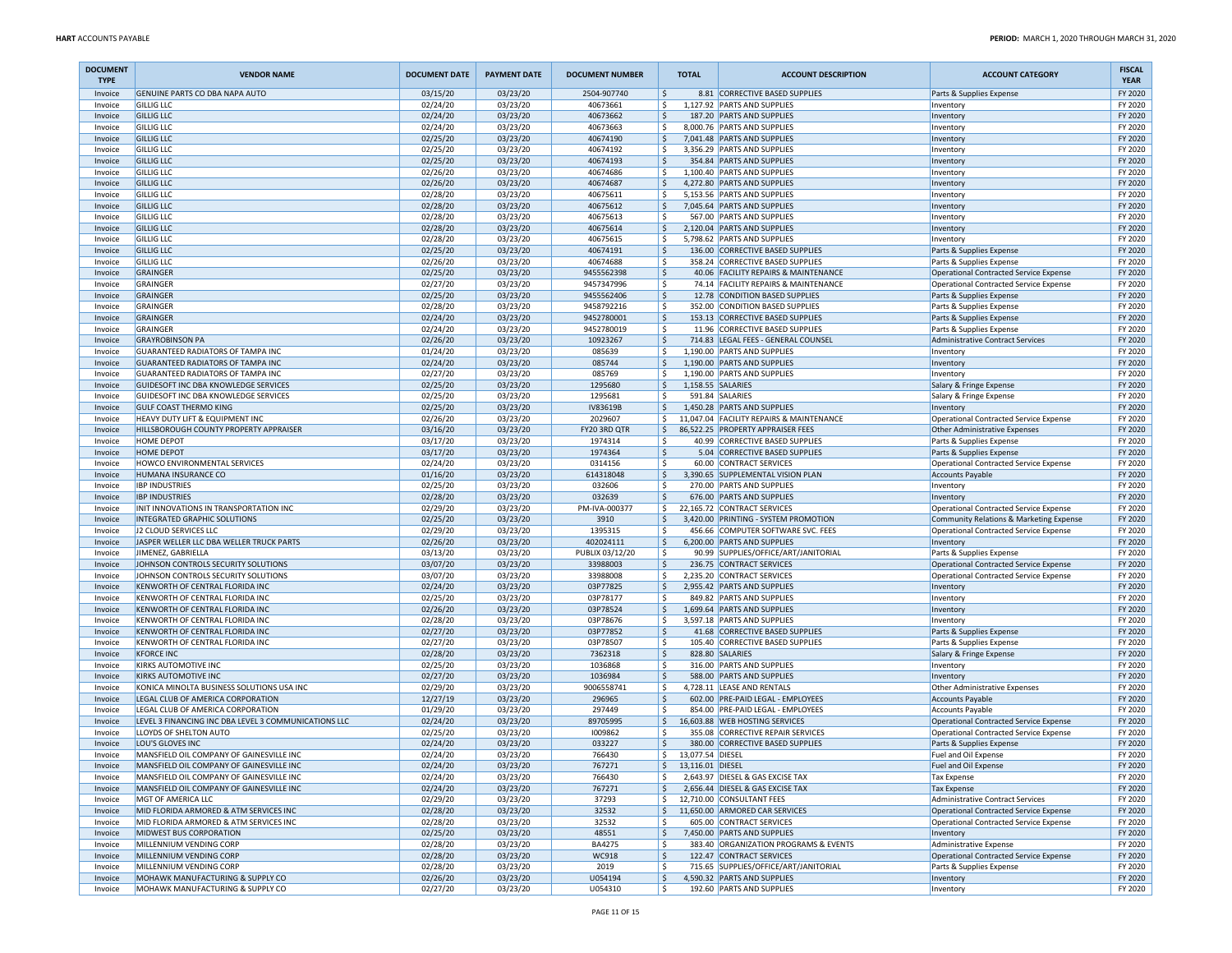| <b>DOCUMENT</b><br><b>TYPE</b> | <b>VENDOR NAME</b>                                                           | <b>DOCUMENT DATE</b> | <b>PAYMENT DATE</b>  | <b>DOCUMENT NUMBER</b>   |             | <b>TOTAL</b>                   | <b>ACCOUNT DESCRIPTION</b>                                          | <b>ACCOUNT CATEGORY</b>                                                  | <b>FISCAL</b><br><b>YEAR</b> |
|--------------------------------|------------------------------------------------------------------------------|----------------------|----------------------|--------------------------|-------------|--------------------------------|---------------------------------------------------------------------|--------------------------------------------------------------------------|------------------------------|
| Invoice                        | GENUINE PARTS CO DBA NAPA AUTO                                               | 03/15/20             | 03/23/20             | 2504-907740              | ۱\$         |                                | 8.81 CORRECTIVE BASED SUPPLIES                                      | Parts & Supplies Expense                                                 | FY 2020                      |
| Invoice<br>Invoice             | <b>GILLIG LLC</b><br><b>GILLIG LLC</b>                                       | 02/24/20<br>02/24/20 | 03/23/20<br>03/23/20 | 40673661<br>40673662     | l\$<br>l\$  |                                | 1.127.92 PARTS AND SUPPLIES<br>187.20 PARTS AND SUPPLIES            | Inventory<br>Inventory                                                   | FY 2020<br>FY 2020           |
| Invoice                        | <b>GILLIG LLC</b>                                                            | 02/24/20             | 03/23/20             | 40673663                 | l\$         |                                | 8,000.76 PARTS AND SUPPLIES                                         | Inventory                                                                | FY 2020                      |
| Invoice                        | <b>GILLIG LLC</b>                                                            | 02/25/20             | 03/23/20             | 40674190                 | ١\$         |                                | 7,041.48 PARTS AND SUPPLIES                                         | Inventory                                                                | FY 2020                      |
| Invoice                        | <b>GILLIG LLC</b>                                                            | 02/25/20             | 03/23/20             | 40674192                 | ١\$         |                                | 3,356.29 PARTS AND SUPPLIES                                         | Inventory                                                                | FY 2020                      |
| Invoice                        | <b>GILLIG LLC</b>                                                            | 02/25/20             | 03/23/20             | 40674193                 | l\$         |                                | 354.84 PARTS AND SUPPLIES                                           | Inventory                                                                | FY 2020                      |
| Invoice<br>Invoice             | <b>GILLIG LLC</b><br><b>GILLIG LLC</b>                                       | 02/26/20<br>02/26/20 | 03/23/20<br>03/23/20 | 40674686<br>40674687     | l \$<br>l\$ |                                | 1,100.40 PARTS AND SUPPLIES<br>4,272.80 PARTS AND SUPPLIES          | Inventory<br>Inventory                                                   | FY 2020<br>FY 2020           |
| Invoice                        | <b>GILLIG LLC</b>                                                            | 02/28/20             | 03/23/20             | 40675611                 | ١\$         |                                | 5,153.56 PARTS AND SUPPLIES                                         | Inventory                                                                | FY 2020                      |
| Invoice                        | <b>GILLIG LLC</b>                                                            | 02/28/20             | 03/23/20             | 40675612                 | ۱\$         |                                | 7,045.64 PARTS AND SUPPLIES                                         | Inventory                                                                | FY 2020                      |
| Invoice                        | <b>GILLIG LLC</b>                                                            | 02/28/20             | 03/23/20             | 40675613                 | ۱\$         |                                | 567.00 PARTS AND SUPPLIES                                           | Inventory                                                                | FY 2020                      |
| Invoice                        | <b>GILLIG LLC</b>                                                            | 02/28/20             | 03/23/20             | 40675614                 | l\$         |                                | 2,120.04 PARTS AND SUPPLIES                                         | Inventory                                                                | FY 2020                      |
| Invoice                        | <b>GILLIG LLC</b><br><b>GILLIG LLC</b>                                       | 02/28/20<br>02/25/20 | 03/23/20<br>03/23/20 | 40675615<br>40674191     | l\$<br>١\$  |                                | 5,798.62 PARTS AND SUPPLIES<br>136.00 CORRECTIVE BASED SUPPLIES     | Inventory<br>Parts & Supplies Expense                                    | FY 2020<br>FY 2020           |
| Invoice<br>Invoice             | <b>GILLIG LLC</b>                                                            | 02/26/20             | 03/23/20             | 40674688                 | ١\$         |                                | 358.24 CORRECTIVE BASED SUPPLIES                                    | Parts & Supplies Expense                                                 | FY 2020                      |
| Invoice                        | GRAINGER                                                                     | 02/25/20             | 03/23/20             | 9455562398               | l\$         |                                | 40.06 FACILITY REPAIRS & MAINTENANCE                                | Operational Contracted Service Expense                                   | FY 2020                      |
| Invoice                        | GRAINGER                                                                     | 02/27/20             | 03/23/20             | 9457347996               | l\$         |                                | 74.14 FACILITY REPAIRS & MAINTENANCE                                | Operational Contracted Service Expense                                   | FY 2020                      |
| Invoice                        | GRAINGER                                                                     | 02/25/20             | 03/23/20             | 9455562406               | ١\$         |                                | 12.78 CONDITION BASED SUPPLIES                                      | Parts & Supplies Expense                                                 | FY 2020                      |
| Invoice                        | GRAINGER                                                                     | 02/28/20             | 03/23/20             | 9458792216               | ١\$         |                                | 352.00 CONDITION BASED SUPPLIES                                     | Parts & Supplies Expense                                                 | FY 2020                      |
| Invoice<br>Invoice             | GRAINGER<br>GRAINGER                                                         | 02/24/20<br>02/24/20 | 03/23/20<br>03/23/20 | 9452780001<br>9452780019 | ١\$<br>١\$  |                                | 153.13 CORRECTIVE BASED SUPPLIES<br>11.96 CORRECTIVE BASED SUPPLIES | Parts & Supplies Expense<br>Parts & Supplies Expense                     | FY 2020<br>FY 2020           |
| Invoice                        | <b>GRAYROBINSON PA</b>                                                       | 02/26/20             | 03/23/20             | 10923267                 | l\$         |                                | 714.83 LEGAL FEES - GENERAL COUNSEL                                 | Administrative Contract Services                                         | FY 2020                      |
| Invoice                        | <b>GUARANTEED RADIATORS OF TAMPA INC</b>                                     | 01/24/20             | 03/23/20             | 085639                   | l\$         |                                | 1,190.00 PARTS AND SUPPLIES                                         | Inventory                                                                | FY 2020                      |
| Invoice                        | <b>GUARANTEED RADIATORS OF TAMPA INC</b>                                     | 02/24/20             | 03/23/20             | 085744                   | ١\$         |                                | 1,190.00 PARTS AND SUPPLIES                                         | Inventory                                                                | FY 2020                      |
| Invoice                        | <b>GUARANTEED RADIATORS OF TAMPA INC</b>                                     | 02/27/20             | 03/23/20             | 085769                   | ١\$         |                                | 1,190.00 PARTS AND SUPPLIES                                         | Inventory                                                                | FY 2020                      |
| Invoice<br>Invoice             | GUIDESOFT INC DBA KNOWLEDGE SERVICES<br>GUIDESOFT INC DBA KNOWLEDGE SERVICES | 02/25/20<br>02/25/20 | 03/23/20<br>03/23/20 | 1295680<br>1295681       | l\$<br>l\$  | 1,158.55 SALARIES              | 591.84 SALARIES                                                     | Salary & Fringe Expense                                                  | FY 2020<br>FY 2020           |
| Invoice                        | <b>GULF COAST THERMO KING</b>                                                | 02/25/20             | 03/23/20             | IV83619B                 | l\$         |                                | 1,450.28 PARTS AND SUPPLIES                                         | Salary & Fringe Expense<br>Inventory                                     | FY 2020                      |
| Invoice                        | HEAVY DUTY LIFT & EQUIPMENT INC                                              | 02/26/20             | 03/23/20             | 2029607                  | l \$        |                                | 11,047.04 FACILITY REPAIRS & MAINTENANCE                            | Operational Contracted Service Expense                                   | FY 2020                      |
| Invoice                        | HILLSBOROUGH COUNTY PROPERTY APPRAISER                                       | 03/16/20             | 03/23/20             | FY20 3RD QTR             | l\$.        |                                | 86,522.25 PROPERTY APPRAISER FEES                                   | Other Administrative Expenses                                            | FY 2020                      |
| Invoice                        | <b>HOME DEPOT</b>                                                            | 03/17/20             | 03/23/20             | 1974314                  | ۱\$         |                                | 40.99 CORRECTIVE BASED SUPPLIES                                     | Parts & Supplies Expense                                                 | FY 2020                      |
| Invoice                        | <b>HOME DEPOT</b>                                                            | 03/17/20             | 03/23/20             | 1974364                  | l\$         |                                | 5.04 CORRECTIVE BASED SUPPLIES                                      | Parts & Supplies Expense                                                 | FY 2020                      |
| Invoice<br>Invoice             | HOWCO ENVIRONMENTAL SERVICES<br>HUMANA INSURANCE CO                          | 02/24/20<br>01/16/20 | 03/23/20<br>03/23/20 | 0314156<br>614318048     | l\$<br>۱\$  |                                | 60.00 CONTRACT SERVICES<br>3,390.65 SUPPLEMENTAL VISION PLAN        | <b>Operational Contracted Service Expense</b><br><b>Accounts Payable</b> | FY 2020<br>FY 2020           |
| Invoice                        | <b>IBP INDUSTRIES</b>                                                        | 02/25/20             | 03/23/20             | 032606                   | ۱\$         |                                | 270.00 PARTS AND SUPPLIES                                           | Inventory                                                                | FY 2020                      |
| Invoice                        | <b>IBP INDUSTRIES</b>                                                        | 02/28/20             | 03/23/20             | 032639                   | ۱\$         |                                | 676.00 PARTS AND SUPPLIES                                           | Inventory                                                                | FY 2020                      |
| Invoice                        | INIT INNOVATIONS IN TRANSPORTATION INC                                       | 02/29/20             | 03/23/20             | PM-IVA-000377            | l \$        |                                | 22.165.72 CONTRACT SERVICES                                         | Operational Contracted Service Expense                                   | FY 2020                      |
| Invoice                        | <b>INTEGRATED GRAPHIC SOLUTIONS</b>                                          | 02/25/20             | 03/23/20             | 3910                     | l\$         |                                | 3,420.00 PRINTING - SYSTEM PROMOTION                                | Community Relations & Marketing Expense                                  | FY 2020                      |
| Invoice                        | J2 CLOUD SERVICES LLC<br>JASPER WELLER LLC DBA WELLER TRUCK PARTS            | 02/29/20<br>02/26/20 | 03/23/20<br>03/23/20 | 1395315<br>402024111     | ١\$<br>۱\$  |                                | 456.66 COMPUTER SOFTWARE SVC. FEES<br>6,200.00 PARTS AND SUPPLIES   | <b>Operational Contracted Service Expense</b>                            | FY 2020<br>FY 2020           |
| Invoice<br>Invoice             | JIMENEZ, GABRIELLA                                                           | 03/13/20             | 03/23/20             | PUBLIX 03/12/20          | l\$         |                                | 90.99 SUPPLIES/OFFICE/ART/JANITORIAL                                | Inventory<br>Parts & Supplies Expense                                    | FY 2020                      |
| Invoice                        | JOHNSON CONTROLS SECURITY SOLUTIONS                                          | 03/07/20             | 03/23/20             | 33988003                 | l\$         |                                | 236.75 CONTRACT SERVICES                                            | Operational Contracted Service Expense                                   | FY 2020                      |
| Invoice                        | JOHNSON CONTROLS SECURITY SOLUTIONS                                          | 03/07/20             | 03/23/20             | 33988008                 | l\$         |                                | 2,235.20 CONTRACT SERVICES                                          | <b>Operational Contracted Service Expense</b>                            | FY 2020                      |
| Invoice                        | KENWORTH OF CENTRAL FLORIDA INC                                              | 02/24/20             | 03/23/20             | 03P77825                 | ١\$         |                                | 2,955.42 PARTS AND SUPPLIES                                         | Inventory                                                                | FY 2020                      |
| Invoice<br>Invoice             | KENWORTH OF CENTRAL FLORIDA INC<br>KENWORTH OF CENTRAL FLORIDA INC           | 02/25/20             | 03/23/20             | 03P78177<br>03P78524     | ۱\$<br>l\$  |                                | 849.82 PARTS AND SUPPLIES<br>1,699.64 PARTS AND SUPPLIES            | Inventory                                                                | FY 2020<br>FY 2020           |
| Invoice                        | KENWORTH OF CENTRAL FLORIDA INC                                              | 02/26/20<br>02/28/20 | 03/23/20<br>03/23/20 | 03P78676                 | l\$         |                                | 3,597.18 PARTS AND SUPPLIES                                         | Inventory<br>Inventory                                                   | FY 2020                      |
| Invoice                        | KENWORTH OF CENTRAL FLORIDA INC                                              | 02/27/20             | 03/23/20             | 03P77852                 | ۱\$         |                                | 41.68 CORRECTIVE BASED SUPPLIES                                     | Parts & Supplies Expense                                                 | FY 2020                      |
| Invoice                        | KENWORTH OF CENTRAL FLORIDA INC                                              | 02/27/20             | 03/23/20             | 03P78507                 | ١\$         | 105.40                         | <b>CORRECTIVE BASED SUPPLIES</b>                                    | Parts & Supplies Expense                                                 | FY 2020                      |
| Invoice                        | <b>KFORCE INC</b>                                                            | 02/28/20             | 03/23/20             | 7362318                  | \$          |                                | 828.80 SALARIES                                                     | Salary & Fringe Expense                                                  | FY 2020                      |
| Invoice<br>Invoice             | <b>KIRKS AUTOMOTIVE INC</b><br><b>KIRKS AUTOMOTIVE INC</b>                   | 02/25/20<br>02/27/20 | 03/23/20<br>03/23/20 | 1036868<br>1036984       | ۱\$<br>l\$  |                                | 316.00 PARTS AND SUPPLIES<br>588.00 PARTS AND SUPPLIES              | Inventory                                                                | FY 2020<br>FY 2020           |
| Invoice                        | KONICA MINOLTA BUSINESS SOLUTIONS USA INC                                    | 02/29/20             | 03/23/20             | 9006558741               | ۱\$         |                                | 4,728.11 LEASE AND RENTALS                                          | Inventory<br>Other Administrative Expenses                               | FY 2020                      |
| Invoice                        | LEGAL CLUB OF AMERICA CORPORATION                                            | 12/27/19             | 03/23/20             | 296965                   | ١\$         |                                | 602.00 PRE-PAID LEGAL - EMPLOYEES                                   | <b>Accounts Payable</b>                                                  | FY 2020                      |
| Invoice                        | LEGAL CLUB OF AMERICA CORPORATION                                            | 01/29/20             | 03/23/20             | 297449                   | ۱\$         |                                | 854.00 PRE-PAID LEGAL - EMPLOYEES                                   | Accounts Payable                                                         | FY 2020                      |
| Invoice                        | LEVEL 3 FINANCING INC DBA LEVEL 3 COMMUNICATIONS LLC                         | 02/24/20             | 03/23/20             | 89705995                 | l\$         |                                | 16,603.88 WEB HOSTING SERVICES                                      | <b>Operational Contracted Service Expense</b>                            | FY 2020                      |
| Invoice                        | LLOYDS OF SHELTON AUTO                                                       | 02/25/20             | 03/23/20             | 1009862                  | ۱ś          |                                | 355.08 CORRECTIVE REPAIR SERVICES                                   | Operational Contracted Service Expense                                   | FY 2020                      |
| Invoice<br>Invoice             | LOU'S GLOVES INC<br>MANSFIELD OIL COMPANY OF GAINESVILLE INC                 | 02/24/20<br>02/24/20 | 03/23/20<br>03/23/20 | 033227<br>766430         | ۱\$<br>l\$  | 13,077.54 DIESEL               | 380.00 CORRECTIVE BASED SUPPLIES                                    | Parts & Supplies Expense<br>Fuel and Oil Expense                         | FY 2020<br>FY 2020           |
| Invoice                        | MANSFIELD OIL COMPANY OF GAINESVILLE INC                                     | 02/24/20             | 03/23/20             | 767271                   |             | $\frac{1}{2}$ 13,116.01 DIESEL |                                                                     | Fuel and Oil Expense                                                     | FY 2020                      |
| Invoice                        | MANSFIELD OIL COMPANY OF GAINESVILLE INC                                     | 02/24/20             | 03/23/20             | 766430                   | l\$         |                                | 2,643.97 DIESEL & GAS EXCISE TAX                                    | Tax Expense                                                              | FY 2020                      |
| Invoice                        | MANSFIELD OIL COMPANY OF GAINESVILLE INC                                     | 02/24/20             | 03/23/20             | 767271                   | I\$         |                                | 2,656.44 DIESEL & GAS EXCISE TAX                                    | <b>Tax Expense</b>                                                       | FY 2020                      |
| Invoice                        | MGT OF AMERICA LLC                                                           | 02/29/20             | 03/23/20             | 37293                    | l\$         |                                | 12,710.00 CONSULTANT FEES                                           | Administrative Contract Services                                         | FY 2020                      |
| Invoice                        | MID FLORIDA ARMORED & ATM SERVICES INC                                       | 02/28/20             | 03/23/20             | 32532                    | l \$        |                                | 11,650.00 ARMORED CAR SERVICES<br>605.00 CONTRACT SERVICES          | Operational Contracted Service Expense                                   | FY 2020                      |
| Invoice<br>Invoice             | MID FLORIDA ARMORED & ATM SERVICES INC<br><b>MIDWEST BUS CORPORATION</b>     | 02/28/20<br>02/25/20 | 03/23/20<br>03/23/20 | 32532<br>48551           | l\$<br>S,   |                                | 7,450.00 PARTS AND SUPPLIES                                         | Operational Contracted Service Expense<br>Inventory                      | FY 2020<br>FY 2020           |
| Invoice                        | MILLENNIUM VENDING CORP                                                      | 02/28/20             | 03/23/20             | <b>BA4275</b>            | l \$        |                                | 383.40 ORGANIZATION PROGRAMS & EVENTS                               | Administrative Expense                                                   | FY 2020                      |
| Invoice                        | MILLENNIUM VENDING CORP                                                      | 02/28/20             | 03/23/20             | WC918                    | ۱\$         |                                | 122.47 CONTRACT SERVICES                                            | Operational Contracted Service Expense                                   | FY 2020                      |
| Invoice                        | MILLENNIUM VENDING CORP                                                      | 02/28/20             | 03/23/20             | 2019                     | ١\$         |                                | 715.65 SUPPLIES/OFFICE/ART/JANITORIAL                               | Parts & Supplies Expense                                                 | FY 2020                      |
| Invoice                        | MOHAWK MANUFACTURING & SUPPLY CO                                             | 02/26/20             | 03/23/20             | U054194                  | ۱\$         |                                | 4,590.32 PARTS AND SUPPLIES                                         | Inventory                                                                | FY 2020                      |
| Invoice                        | MOHAWK MANUFACTURING & SUPPLY CO                                             | 02/27/20             | 03/23/20             | U054310                  | l \$        |                                | 192.60 PARTS AND SUPPLIES                                           | Inventory                                                                | FY 2020                      |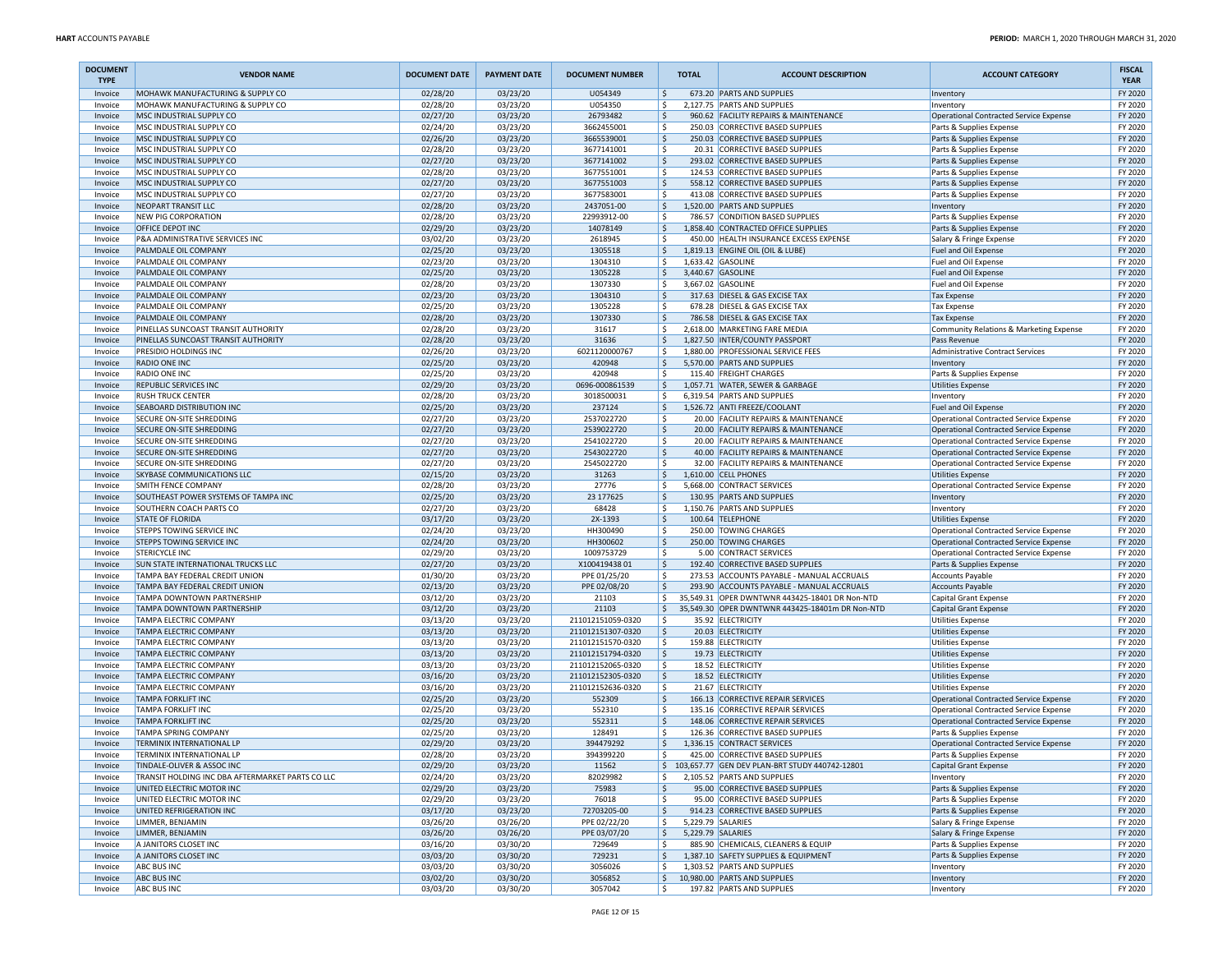| <b>DOCUMENT</b><br><b>TYPE</b> | <b>VENDOR NAME</b>                                              | <b>DOCUMENT DATE</b> | <b>PAYMENT DATE</b>  | <b>DOCUMENT NUMBER</b>     |              | <b>TOTAL</b>      | <b>ACCOUNT DESCRIPTION</b>                                                    | <b>ACCOUNT CATEGORY</b>                              | <b>FISCAL</b><br><b>YEAR</b> |
|--------------------------------|-----------------------------------------------------------------|----------------------|----------------------|----------------------------|--------------|-------------------|-------------------------------------------------------------------------------|------------------------------------------------------|------------------------------|
| Invoice                        | MOHAWK MANUFACTURING & SUPPLY CO                                | 02/28/20             | 03/23/20             | U054349                    | ۱\$.         |                   | 673.20 PARTS AND SUPPLIES                                                     | Inventory                                            | FY 2020                      |
| Invoice                        | MOHAWK MANUFACTURING & SUPPLY CO                                | 02/28/20             | 03/23/20             | U054350                    | ١\$          |                   | 2,127.75 PARTS AND SUPPLIES                                                   | Inventory                                            | FY 2020                      |
| Invoice<br>Invoice             | MSC INDUSTRIAL SUPPLY CO<br>MSC INDUSTRIAL SUPPLY CO            | 02/27/20<br>02/24/20 | 03/23/20<br>03/23/20 | 26793482<br>3662455001     | ۱\$<br>  \$  |                   | 960.62 FACILITY REPAIRS & MAINTENANCE<br>250.03 CORRECTIVE BASED SUPPLIES     | Operational Contracted Service Expense               | FY 2020<br>FY 2020           |
| Invoice                        | MSC INDUSTRIAL SUPPLY CO                                        | 02/26/20             | 03/23/20             | 3665539001                 | ۱\$          |                   | 250.03 CORRECTIVE BASED SUPPLIES                                              | Parts & Supplies Expense<br>Parts & Supplies Expense | FY 2020                      |
| Invoice                        | MSC INDUSTRIAL SUPPLY CO                                        | 02/28/20             | 03/23/20             | 3677141001                 | ا \$         |                   | 20.31 CORRECTIVE BASED SUPPLIES                                               | Parts & Supplies Expense                             | FY 2020                      |
| Invoice                        | MSC INDUSTRIAL SUPPLY CO                                        | 02/27/20             | 03/23/20             | 3677141002                 | ۱\$          |                   | 293.02 CORRECTIVE BASED SUPPLIES                                              | Parts & Supplies Expense                             | FY 2020                      |
| Invoice                        | MSC INDUSTRIAL SUPPLY CO                                        | 02/28/20             | 03/23/20             | 3677551001                 | ١\$          |                   | 124.53 CORRECTIVE BASED SUPPLIES                                              | Parts & Supplies Expense                             | FY 2020                      |
| Invoice                        | MSC INDUSTRIAL SUPPLY CO                                        | 02/27/20             | 03/23/20             | 3677551003                 | \$           |                   | 558.12 CORRECTIVE BASED SUPPLIES                                              | Parts & Supplies Expense                             | FY 2020                      |
| Invoice                        | MSC INDUSTRIAL SUPPLY CO                                        | 02/27/20             | 03/23/20             | 3677583001                 | l \$         |                   | 413.08 CORRECTIVE BASED SUPPLIES                                              | Parts & Supplies Expense                             | FY 2020                      |
| Invoice                        | <b>NEOPART TRANSIT LLC</b>                                      | 02/28/20             | 03/23/20             | 2437051-00                 | ۱\$          |                   | 1,520.00 PARTS AND SUPPLIES                                                   | Inventory                                            | FY 2020                      |
| Invoice                        | <b>NEW PIG CORPORATION</b>                                      | 02/28/20             | 03/23/20             | 22993912-00                | ۱\$          |                   | 786.57 CONDITION BASED SUPPLIES                                               | Parts & Supplies Expense                             | FY 2020                      |
| Invoice                        | OFFICE DEPOT INC                                                | 02/29/20             | 03/23/20             | 14078149                   | ۱\$<br>۱\$   |                   | 1,858.40 CONTRACTED OFFICE SUPPLIES<br>450.00 HEALTH INSURANCE EXCESS EXPENSE | Parts & Supplies Expense                             | FY 2020<br>FY 2020           |
| Invoice<br>Invoice             | P&A ADMINISTRATIVE SERVICES INC<br>PALMDALE OIL COMPANY         | 03/02/20<br>02/25/20 | 03/23/20<br>03/23/20 | 2618945<br>1305518         | ۱\$          |                   | 1,819.13 ENGINE OIL (OIL & LUBE)                                              | Salary & Fringe Expense<br>Fuel and Oil Expense      | FY 2020                      |
| Invoice                        | PALMDALE OIL COMPANY                                            | 02/23/20             | 03/23/20             | 1304310                    | ا \$         |                   | 1,633.42 GASOLINE                                                             | Fuel and Oil Expense                                 | FY 2020                      |
| Invoice                        | PALMDALE OIL COMPANY                                            | 02/25/20             | 03/23/20             | 1305228                    | ۱\$.         |                   | 3,440.67 GASOLINE                                                             | Fuel and Oil Expense                                 | FY 2020                      |
| Invoice                        | PALMDALE OIL COMPANY                                            | 02/28/20             | 03/23/20             | 1307330                    | ۱\$          |                   | 3,667.02 GASOLINE                                                             | Fuel and Oil Expense                                 | FY 2020                      |
| Invoice                        | PALMDALE OIL COMPANY                                            | 02/23/20             | 03/23/20             | 1304310                    | l \$         |                   | 317.63 DIESEL & GAS EXCISE TAX                                                | <b>Tax Expense</b>                                   | FY 2020                      |
| Invoice                        | PALMDALE OIL COMPANY                                            | 02/25/20             | 03/23/20             | 1305228                    | ۱\$          |                   | 678.28 DIESEL & GAS EXCISE TAX                                                | <b>Tax Expense</b>                                   | FY 2020                      |
| Invoice                        | PALMDALE OIL COMPANY                                            | 02/28/20             | 03/23/20             | 1307330                    | ۱\$          |                   | 786.58 DIESEL & GAS EXCISE TAX                                                | <b>Tax Expense</b>                                   | FY 2020                      |
| Invoice                        | PINELLAS SUNCOAST TRANSIT AUTHORITY                             | 02/28/20             | 03/23/20             | 31617                      | ١\$          |                   | 2,618.00 MARKETING FARE MEDIA                                                 | Community Relations & Marketing Expense              | FY 2020                      |
| Invoice                        | PINELLAS SUNCOAST TRANSIT AUTHORITY                             | 02/28/20             | 03/23/20             | 31636                      | ۱\$          |                   | 1,827.50 INTER/COUNTY PASSPORT                                                | Pass Revenue                                         | FY 2020                      |
| Invoice                        | PRESIDIO HOLDINGS INC                                           | 02/26/20             | 03/23/20             | 6021120000767              | ۱\$          |                   | 1,880.00 PROFESSIONAL SERVICE FEES                                            | <b>Administrative Contract Services</b>              | FY 2020                      |
| Invoice                        | RADIO ONE INC                                                   | 02/25/20             | 03/23/20             | 420948                     | ۱\$          |                   | 5,570.00 PARTS AND SUPPLIES                                                   | Inventory                                            | FY 2020                      |
| Invoice<br>Invoice             | RADIO ONE INC<br>REPUBLIC SERVICES INC                          | 02/25/20<br>02/29/20 | 03/23/20<br>03/23/20 | 420948<br>0696-000861539   | ا \$<br>۱\$. |                   | 115.40 FREIGHT CHARGES<br>1,057.71 WATER, SEWER & GARBAGE                     | Parts & Supplies Expense<br><b>Utilities Expense</b> | FY 2020<br>FY 2020           |
| Invoice                        | <b>RUSH TRUCK CENTER</b>                                        | 02/28/20             | 03/23/20             | 3018500031                 | ا \$         |                   | 6,319.54 PARTS AND SUPPLIES                                                   | Inventory                                            | FY 2020                      |
| Invoice                        | SEABOARD DISTRIBUTION INC                                       | 02/25/20             | 03/23/20             | 237124                     | \$           |                   | 1,526.72 ANTI FREEZE/COOLANT                                                  | Fuel and Oil Expense                                 | FY 2020                      |
| Invoice                        | SECURE ON-SITE SHREDDING                                        | 02/27/20             | 03/23/20             | 2537022720                 | ۱\$          |                   | 20.00 FACILITY REPAIRS & MAINTENANCE                                          | Operational Contracted Service Expense               | FY 2020                      |
| Invoice                        | <b>SECURE ON-SITE SHREDDING</b>                                 | 02/27/20             | 03/23/20             | 2539022720                 | ۱\$          |                   | 20.00 FACILITY REPAIRS & MAINTENANCE                                          | Operational Contracted Service Expense               | FY 2020                      |
| Invoice                        | SECURE ON-SITE SHREDDING                                        | 02/27/20             | 03/23/20             | 2541022720                 | ١\$          |                   | 20.00 FACILITY REPAIRS & MAINTENANCE                                          | <b>Operational Contracted Service Expense</b>        | FY 2020                      |
| Invoice                        | <b>SECURE ON-SITE SHREDDING</b>                                 | 02/27/20             | 03/23/20             | 2543022720                 | ۱\$          |                   | 40.00 FACILITY REPAIRS & MAINTENANCE                                          | Operational Contracted Service Expense               | FY 2020                      |
| Invoice                        | SECURE ON-SITE SHREDDING                                        | 02/27/20             | 03/23/20             | 2545022720                 | \$           |                   | 32.00 FACILITY REPAIRS & MAINTENANCE                                          | Operational Contracted Service Expense               | FY 2020                      |
| Invoice                        | SKYBASE COMMUNICATIONS LLC                                      | 02/15/20             | 03/23/20             | 31263                      | ۱\$          |                   | 1.610.00 CELL PHONES                                                          | <b>Utilities Expense</b>                             | FY 2020                      |
| Invoice                        | SMITH FENCE COMPANY                                             | 02/28/20             | 03/23/20             | 27776                      | ا \$<br>۱\$  |                   | 5,668.00 CONTRACT SERVICES                                                    | Operational Contracted Service Expense               | FY 2020<br>FY 2020           |
| Invoice<br>Invoice             | SOUTHEAST POWER SYSTEMS OF TAMPA INC<br>SOUTHERN COACH PARTS CO | 02/25/20<br>02/27/20 | 03/23/20<br>03/23/20 | 23 177625<br>68428         | ۱\$          |                   | 130.95 PARTS AND SUPPLIES<br>1,150.76 PARTS AND SUPPLIES                      | Inventory<br>Inventory                               | FY 2020                      |
| Invoice                        | <b>STATE OF FLORIDA</b>                                         | 03/17/20             | 03/23/20             | 2X-1393                    | \$           |                   | 100.64 TELEPHONE                                                              | <b>Utilities Expense</b>                             | FY 2020                      |
| Invoice                        | STEPPS TOWING SERVICE INC                                       | 02/24/20             | 03/23/20             | HH300490                   | ۱\$          |                   | 250.00 TOWING CHARGES                                                         | Operational Contracted Service Expense               | FY 2020                      |
| Invoice                        | <b>STEPPS TOWING SERVICE INC</b>                                | 02/24/20             | 03/23/20             | HH300602                   | ۱\$          |                   | 250.00 TOWING CHARGES                                                         | Operational Contracted Service Expense               | FY 2020                      |
| Invoice                        | <b>STERICYCLE INC</b>                                           | 02/29/20             | 03/23/20             | 1009753729                 | ١\$          |                   | 5.00 CONTRACT SERVICES                                                        | <b>Operational Contracted Service Expense</b>        | FY 2020                      |
| Invoice                        | <b>SUN STATE INTERNATIONAL TRUCKS LLC</b>                       | 02/27/20             | 03/23/20             | X10041943801               | ۱\$          |                   | 192.40 CORRECTIVE BASED SUPPLIES                                              | Parts & Supplies Expense                             | FY 2020                      |
| Invoice                        | TAMPA BAY FEDERAL CREDIT UNION                                  | 01/30/20             | 03/23/20             | PPE 01/25/20               | ۱\$          |                   | 273.53 ACCOUNTS PAYABLE - MANUAL ACCRUALS                                     | <b>Accounts Payable</b>                              | FY 2020                      |
| Invoice                        | TAMPA BAY FEDERAL CREDIT UNION                                  | 02/13/20             | 03/23/20             | PPE 02/08/20               | l \$         |                   | 293.90 ACCOUNTS PAYABLE - MANUAL ACCRUALS                                     | <b>Accounts Payable</b>                              | FY 2020                      |
| Invoice                        | TAMPA DOWNTOWN PARTNERSHIP                                      | 03/12/20             | 03/23/20             | 21103                      | l \$         |                   | 35,549.31 OPER DWNTWNR 443425-18401 DR Non-NTD                                | Capital Grant Expense                                | FY 2020                      |
| Invoice                        | TAMPA DOWNTOWN PARTNERSHIP                                      | 03/12/20             | 03/23/20             | 21103<br>211012151059-0320 | ا \$         |                   | 35,549.30 OPER DWNTWNR 443425-18401m DR Non-NTD                               | <b>Capital Grant Expense</b>                         | FY 2020                      |
| Invoice<br>Invoice             | TAMPA ELECTRIC COMPANY<br>TAMPA ELECTRIC COMPANY                | 03/13/20<br>03/13/20 | 03/23/20<br>03/23/20 | 211012151307-0320          | ۱\$<br>۱\$   |                   | 35.92 ELECTRICITY<br>20.03 ELECTRICITY                                        | <b>Utilities Expense</b><br><b>Utilities Expense</b> | FY 2020<br>FY 2020           |
| Invoice                        | TAMPA ELECTRIC COMPANY                                          | 03/13/20             | 03/23/20             | 211012151570-0320          | l \$         |                   | 159.88 ELECTRICITY                                                            | <b>Utilities Expense</b>                             | FY 2020                      |
| Invoice                        | TAMPA ELECTRIC COMPANY                                          | 03/13/20             | 03/23/20             | 211012151794-0320          | ا \$         |                   | 19.73 ELECTRICITY                                                             | <b>Utilities Expense</b>                             | FY 2020                      |
| Invoice                        | TAMPA ELECTRIC COMPANY                                          | 03/13/20             | 03/23/20             | 211012152065-0320          | ١\$          |                   | 18.52 ELECTRICITY                                                             | <b>Utilities Expense</b>                             | FY 2020                      |
| Invoice                        | TAMPA ELECTRIC COMPANY                                          | 03/16/20             | 03/23/20             | 211012152305-0320          | ۱\$          |                   | 18.52 ELECTRICITY                                                             | <b>Utilities Expense</b>                             | FY 2020                      |
| Invoice                        | TAMPA ELECTRIC COMPANY                                          | 03/16/20             | 03/23/20             | 211012152636-0320          | ا \$         |                   | 21.67 ELECTRICITY                                                             | <b>Utilities Expense</b>                             | FY 2020                      |
| Invoice                        | <b>TAMPA FORKLIFT INC</b>                                       | 02/25/20             | 03/23/20             | 552309                     | ۱\$          |                   | 166.13 CORRECTIVE REPAIR SERVICES                                             | <b>Operational Contracted Service Expense</b>        | FY 2020                      |
| Invoice                        | <b>TAMPA FORKLIFT INC</b>                                       | 02/25/20             | 03/23/20             | 552310                     | ا \$         |                   | 135.16 CORRECTIVE REPAIR SERVICES                                             | Operational Contracted Service Expense               | FY 2020                      |
| Invoice                        | <b>TAMPA FORKLIFT INC</b>                                       | 02/25/20             | 03/23/20             | 552311                     | ۱\$          |                   | 148.06 CORRECTIVE REPAIR SERVICES                                             | <b>Operational Contracted Service Expense</b>        | FY 2020                      |
| Invoice                        | <b>TAMPA SPRING COMPANY</b>                                     | 02/25/20             | 03/23/20             | 128491                     | ۱\$          |                   | 126.36 CORRECTIVE BASED SUPPLIES                                              | Parts & Supplies Expense                             | FY 2020                      |
| Invoice                        | TERMINIX INTERNATIONAL LP<br>TERMINIX INTERNATIONAL LP          | 02/29/20<br>02/28/20 | 03/23/20<br>03/23/20 | 394479292<br>394399220     | ۱\$<br>  \$  |                   | 1,336.15 CONTRACT SERVICES<br>425.00 CORRECTIVE BASED SUPPLIES                | <b>Operational Contracted Service Expense</b>        | FY 2020<br>FY 2020           |
| Invoice<br>Invoice             | TINDALE-OLIVER & ASSOC INC                                      | 02/29/20             | 03/23/20             | 11562                      |              |                   | \$103,657.77 GEN DEV PLAN-BRT STUDY 440742-12801                              | Parts & Supplies Expense<br>Capital Grant Expense    | FY 2020                      |
| Invoice                        | TRANSIT HOLDING INC DBA AFTERMARKET PARTS CO LLC                | 02/24/20             | 03/23/20             | 82029982                   | I\$          |                   | 2,105.52 PARTS AND SUPPLIES                                                   | Inventory                                            | FY 2020                      |
| Invoice                        | UNITED ELECTRIC MOTOR INC                                       | 02/29/20             | 03/23/20             | 75983                      | ۱\$.         |                   | 95.00 CORRECTIVE BASED SUPPLIES                                               | Parts & Supplies Expense                             | FY 2020                      |
| Invoice                        | UNITED ELECTRIC MOTOR INC                                       | 02/29/20             | 03/23/20             | 76018                      | ۱\$          |                   | 95.00 CORRECTIVE BASED SUPPLIES                                               | Parts & Supplies Expense                             | FY 2020                      |
| Invoice                        | UNITED REFRIGERATION INC                                        | 03/17/20             | 03/23/20             | 72703205-00                | ۱\$          |                   | 914.23 CORRECTIVE BASED SUPPLIES                                              | Parts & Supplies Expense                             | FY 2020                      |
| Invoice                        | LIMMER, BENJAMIN                                                | 03/26/20             | 03/26/20             | PPE 02/22/20               | l\$          | 5,229.79 SALARIES |                                                                               | Salary & Fringe Expense                              | FY 2020                      |
| Invoice                        | LIMMER, BENJAMIN                                                | 03/26/20             | 03/26/20             | PPE 03/07/20               | l \$         | 5,229.79 SALARIES |                                                                               | Salary & Fringe Expense                              | FY 2020                      |
| Invoice                        | A JANITORS CLOSET INC                                           | 03/16/20             | 03/30/20             | 729649                     | ۱\$          |                   | 885.90 CHEMICALS, CLEANERS & EQUIP                                            | Parts & Supplies Expense                             | FY 2020                      |
| Invoice                        | A JANITORS CLOSET INC                                           | 03/03/20             | 03/30/20             | 729231                     | l\$          |                   | 1,387.10 SAFETY SUPPLIES & EQUIPMENT                                          | Parts & Supplies Expense                             | FY 2020                      |
| Invoice<br>Invoice             | <b>ABC BUS INC</b><br><b>ABC BUS INC</b>                        | 03/03/20<br>03/02/20 | 03/30/20<br>03/30/20 | 3056026<br>3056852         | l \$<br>l\$  |                   | 1.303.52 PARTS AND SUPPLIES<br>10,980.00 PARTS AND SUPPLIES                   | Inventory<br>Inventory                               | FY 2020<br>FY 2020           |
| Invoice                        | ABC BUS INC                                                     | 03/03/20             | 03/30/20             | 3057042                    | ۱\$          |                   | 197.82 PARTS AND SUPPLIES                                                     | Inventory                                            | FY 2020                      |
|                                |                                                                 |                      |                      |                            |              |                   |                                                                               |                                                      |                              |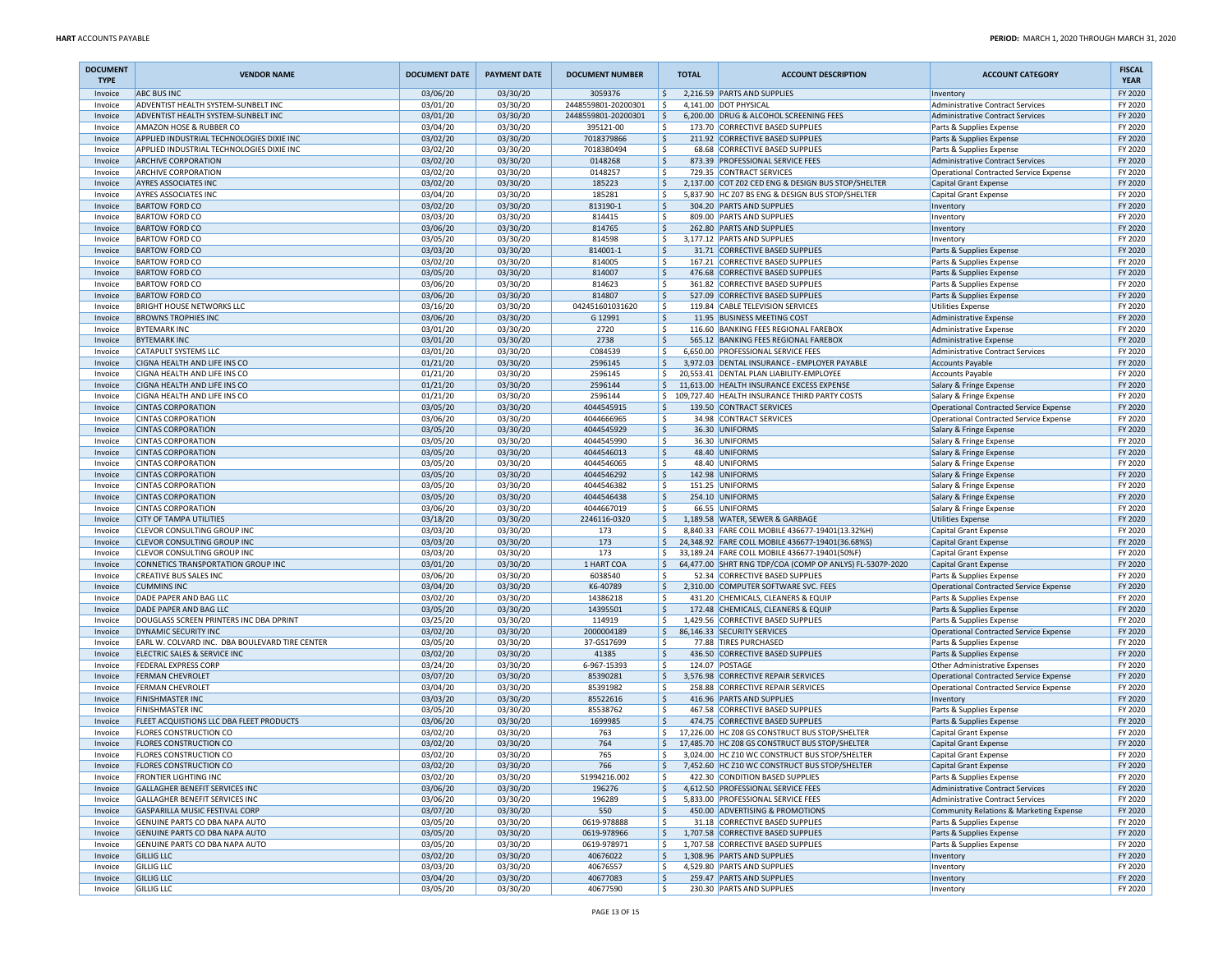| <b>DOCUMENT</b><br><b>TYPE</b> | <b>VENDOR NAME</b>                                                     | <b>DOCUMENT DATE</b> | <b>PAYMENT DATE</b>  | <b>DOCUMENT NUMBER</b>           | <b>TOTAL</b> | <b>ACCOUNT DESCRIPTION</b>                                                                                | <b>ACCOUNT CATEGORY</b>                                                     | <b>FISCAL</b><br><b>YEAR</b> |
|--------------------------------|------------------------------------------------------------------------|----------------------|----------------------|----------------------------------|--------------|-----------------------------------------------------------------------------------------------------------|-----------------------------------------------------------------------------|------------------------------|
| Invoice                        | <b>ABC BUS INC</b>                                                     | 03/06/20             | 03/30/20             | 3059376                          | l\$          | 2,216.59 PARTS AND SUPPLIES                                                                               | Inventory                                                                   | FY 2020                      |
| Invoice                        | ADVENTIST HEALTH SYSTEM-SUNBELT INC                                    | 03/01/20             | 03/30/20             | 2448559801-20200301              | l \$         | 4,141.00 DOT PHYSICAL                                                                                     | Administrative Contract Services                                            | FY 2020                      |
| Invoice<br>Invoice             | ADVENTIST HEALTH SYSTEM-SUNBELT INC<br>AMAZON HOSE & RUBBER CO         | 03/01/20<br>03/04/20 | 03/30/20<br>03/30/20 | 2448559801-20200301<br>395121-00 | \$ ا<br>۱\$  | 6,200.00 DRUG & ALCOHOL SCREENING FEES<br>173.70 CORRECTIVE BASED SUPPLIES                                | <b>Administrative Contract Services</b><br>Parts & Supplies Expense         | FY 2020<br>FY 2020           |
| Invoice                        | APPLIED INDUSTRIAL TECHNOLOGIES DIXIE INC                              | 03/02/20             | 03/30/20             | 7018379866                       | ١\$          | 211.92 CORRECTIVE BASED SUPPLIES                                                                          | Parts & Supplies Expense                                                    | FY 2020                      |
| Invoice                        | APPLIED INDUSTRIAL TECHNOLOGIES DIXIE INC                              | 03/02/20             | 03/30/20             | 7018380494                       | ١\$<br>68.68 | CORRECTIVE BASED SUPPLIES                                                                                 | Parts & Supplies Expense                                                    | FY 2020                      |
| Invoice                        | <b>ARCHIVE CORPORATION</b>                                             | 03/02/20             | 03/30/20             | 0148268                          | ۱\$.         | 873.39 PROFESSIONAL SERVICE FEES                                                                          | Administrative Contract Services                                            | FY 2020                      |
| Invoice                        | <b>ARCHIVE CORPORATION</b>                                             | 03/02/20             | 03/30/20             | 0148257                          | ۱\$          | 729.35 CONTRACT SERVICES                                                                                  | <b>Operational Contracted Service Expense</b>                               | FY 2020                      |
| Invoice                        | <b>AYRES ASSOCIATES INC</b>                                            | 03/02/20             | 03/30/20             | 185223                           | ۱\$.         | 2,137.00 COT Z02 CED ENG & DESIGN BUS STOP/SHELTER                                                        | Capital Grant Expense                                                       | FY 2020                      |
| Invoice                        | <b>AYRES ASSOCIATES INC</b>                                            | 03/04/20             | 03/30/20             | 185281                           | ۱\$          | 5,837.90 HC Z07 BS ENG & DESIGN BUS STOP/SHELTER                                                          | Capital Grant Expense                                                       | FY 2020                      |
| Invoice<br>Invoice             | <b>BARTOW FORD CO</b><br><b>BARTOW FORD CO</b>                         | 03/02/20<br>03/03/20 | 03/30/20<br>03/30/20 | 813190-1<br>814415               | \$<br>l \$   | 304.20 PARTS AND SUPPLIES<br>809.00 PARTS AND SUPPLIES                                                    | Inventory<br>Inventory                                                      | FY 2020<br>FY 2020           |
| Invoice                        | <b>BARTOW FORD CO</b>                                                  | 03/06/20             | 03/30/20             | 814765                           | ۱\$          | 262.80 PARTS AND SUPPLIES                                                                                 | Inventory                                                                   | FY 2020                      |
| Invoice                        | <b>BARTOW FORD CO</b>                                                  | 03/05/20             | 03/30/20             | 814598                           | ۱\$          | 3,177.12 PARTS AND SUPPLIES                                                                               | Inventory                                                                   | FY 2020                      |
| Invoice                        | <b>BARTOW FORD CO</b>                                                  | 03/03/20             | 03/30/20             | 814001-1                         | l \$         | 31.71 CORRECTIVE BASED SUPPLIES                                                                           | Parts & Supplies Expense                                                    | FY 2020                      |
| Invoice                        | <b>BARTOW FORD CO</b>                                                  | 03/02/20             | 03/30/20             | 814005                           | ۱\$          | 167.21 CORRECTIVE BASED SUPPLIES                                                                          | Parts & Supplies Expense                                                    | FY 2020                      |
| Invoice                        | <b>BARTOW FORD CO</b>                                                  | 03/05/20             | 03/30/20             | 814007                           | ۱\$          | 476.68 CORRECTIVE BASED SUPPLIES                                                                          | Parts & Supplies Expense                                                    | FY 2020                      |
| Invoice                        | <b>BARTOW FORD CO</b>                                                  | 03/06/20             | 03/30/20             | 814623                           | ۱\$          | 361.82 CORRECTIVE BASED SUPPLIES                                                                          | Parts & Supplies Expense                                                    | FY 2020                      |
| Invoice<br>Invoice             | <b>BARTOW FORD CO</b><br>BRIGHT HOUSE NETWORKS LLC                     | 03/06/20<br>03/16/20 | 03/30/20<br>03/30/20 | 814807<br>042451601031620        | ۱\$<br>۱\$   | 527.09 CORRECTIVE BASED SUPPLIES<br>119.84 CABLE TELEVISION SERVICES                                      | Parts & Supplies Expense                                                    | FY 2020<br>FY 2020           |
| Invoice                        | <b>BROWNS TROPHIES INC</b>                                             | 03/06/20             | 03/30/20             | G 12991                          | \$           | 11.95 BUSINESS MEETING COST                                                                               | Utilities Expense<br>Administrative Expense                                 | FY 2020                      |
| Invoice                        | <b>BYTEMARK INC</b>                                                    | 03/01/20             | 03/30/20             | 2720                             | ١\$          | 116.60 BANKING FEES REGIONAL FAREBOX                                                                      | <b>Administrative Expense</b>                                               | FY 2020                      |
| Invoice                        | <b>BYTEMARK INC</b>                                                    | 03/01/20             | 03/30/20             | 2738                             | \$ ا         | 565.12 BANKING FEES REGIONAL FAREBOX                                                                      | <b>Administrative Expense</b>                                               | FY 2020                      |
| Invoice                        | CATAPULT SYSTEMS LLC                                                   | 03/01/20             | 03/30/20             | C084539                          | ١\$          | 6,650.00 PROFESSIONAL SERVICE FEES                                                                        | <b>Administrative Contract Services</b>                                     | FY 2020                      |
| Invoice                        | CIGNA HEALTH AND LIFE INS CO                                           | 01/21/20             | 03/30/20             | 2596145                          | ۱\$.         | 3,972.03 DENTAL INSURANCE - EMPLOYER PAYABLE                                                              | <b>Accounts Payable</b>                                                     | FY 2020                      |
| Invoice                        | CIGNA HEALTH AND LIFE INS CO                                           | 01/21/20             | 03/30/20             | 2596145                          | l\$          | 20,553.41 DENTAL PLAN LIABILITY-EMPLOYEE                                                                  | <b>Accounts Payable</b>                                                     | FY 2020                      |
| Invoice<br>Invoice             | CIGNA HEALTH AND LIFE INS CO<br>CIGNA HEALTH AND LIFE INS CO           | 01/21/20<br>01/21/20 | 03/30/20<br>03/30/20 | 2596144<br>2596144               | ۱\$          | 11,613.00 HEALTH INSURANCE EXCESS EXPENSE<br>\$109,727.40 HEALTH INSURANCE THIRD PARTY COSTS              | Salary & Fringe Expense<br>Salary & Fringe Expense                          | FY 2020<br>FY 2020           |
| Invoice                        | <b>CINTAS CORPORATION</b>                                              | 03/05/20             | 03/30/20             | 4044545915                       | ۱\$          | 139.50 CONTRACT SERVICES                                                                                  | Operational Contracted Service Expense                                      | FY 2020                      |
| Invoice                        | <b>CINTAS CORPORATION</b>                                              | 03/06/20             | 03/30/20             | 4044666965                       | ١\$          | 34.98 CONTRACT SERVICES                                                                                   | Operational Contracted Service Expense                                      | FY 2020                      |
| Invoice                        | <b>CINTAS CORPORATION</b>                                              | 03/05/20             | 03/30/20             | 4044545929                       | \$           | 36.30 UNIFORMS                                                                                            | Salary & Fringe Expense                                                     | FY 2020                      |
| Invoice                        | <b>CINTAS CORPORATION</b>                                              | 03/05/20             | 03/30/20             | 4044545990                       | ١\$          | 36.30 UNIFORMS                                                                                            | Salary & Fringe Expense                                                     | FY 2020                      |
| Invoice                        | <b>CINTAS CORPORATION</b>                                              | 03/05/20             | 03/30/20             | 4044546013                       | ١\$          | 48.40 UNIFORMS                                                                                            | Salary & Fringe Expense                                                     | FY 2020                      |
| Invoice                        | <b>CINTAS CORPORATION</b>                                              | 03/05/20             | 03/30/20             | 4044546065                       | ۱\$          | 48.40 UNIFORMS                                                                                            | Salary & Fringe Expense                                                     | FY 2020                      |
| Invoice<br>Invoice             | <b>CINTAS CORPORATION</b><br><b>CINTAS CORPORATION</b>                 | 03/05/20<br>03/05/20 | 03/30/20<br>03/30/20 | 4044546292<br>4044546382         | ۱\$<br>١\$   | 142.98 UNIFORMS<br>151.25 UNIFORMS                                                                        | Salary & Fringe Expense<br>Salary & Fringe Expense                          | FY 2020<br>FY 2020           |
| Invoice                        | <b>CINTAS CORPORATION</b>                                              | 03/05/20             | 03/30/20             | 4044546438                       | ۱\$          | 254.10 UNIFORMS                                                                                           | Salary & Fringe Expense                                                     | FY 2020                      |
| Invoice                        | <b>CINTAS CORPORATION</b>                                              | 03/06/20             | 03/30/20             | 4044667019                       | ۱\$          | 66.55 UNIFORMS                                                                                            | Salary & Fringe Expense                                                     | FY 2020                      |
| Invoice                        | <b>CITY OF TAMPA UTILITIES</b>                                         | 03/18/20             | 03/30/20             | 2246116-0320                     | ١\$          | 1,189.58 WATER, SEWER & GARBAGE                                                                           | <b>Utilities Expense</b>                                                    | FY 2020                      |
| Invoice                        | CLEVOR CONSULTING GROUP INC                                            | 03/03/20             | 03/30/20             | 173                              | ١\$          | 8,840.33 FARE COLL MOBILE 436677-19401(13.32%H)                                                           | Capital Grant Expense                                                       | FY 2020                      |
| Invoice                        | CLEVOR CONSULTING GROUP INC                                            | 03/03/20             | 03/30/20             | 173                              | l\$          | 24,348.92 FARE COLL MOBILE 436677-19401(36.68%S)                                                          | Capital Grant Expense                                                       | FY 2020                      |
| Invoice<br>Invoice             | CLEVOR CONSULTING GROUP INC<br>CONNETICS TRANSPORTATION GROUP INC      | 03/03/20<br>03/01/20 | 03/30/20<br>03/30/20 | 173<br>1 HART COA                | l \$<br>۱\$. | 33,189.24 FARE COLL MOBILE 436677-19401(50%F)<br>64,477.00 SHRT RNG TDP/COA (COMP OP ANLYS) FL-5307P-2020 | Capital Grant Expense<br><b>Capital Grant Expense</b>                       | FY 2020<br>FY 2020           |
| Invoice                        | CREATIVE BUS SALES INC                                                 | 03/06/20             | 03/30/20             | 6038540                          | ۱\$          | 52.34 CORRECTIVE BASED SUPPLIES                                                                           | Parts & Supplies Expense                                                    | FY 2020                      |
| Invoice                        | <b>CUMMINS INC</b>                                                     | 03/04/20             | 03/30/20             | K6-40789                         | ۱\$.         | 2,310.00 COMPUTER SOFTWARE SVC. FEES                                                                      | Operational Contracted Service Expense                                      | FY 2020                      |
| Invoice                        | DADE PAPER AND BAG LLC                                                 | 03/02/20             | 03/30/20             | 14386218                         | ١\$          | 431.20 CHEMICALS, CLEANERS & EQUIP                                                                        | Parts & Supplies Expense                                                    | FY 2020                      |
| Invoice                        | DADE PAPER AND BAG LLC                                                 | 03/05/20             | 03/30/20             | 14395501                         | ۱\$.         | 172.48 CHEMICALS, CLEANERS & EQUIP                                                                        | Parts & Supplies Expense                                                    | FY 2020                      |
| Invoice                        | DOUGLASS SCREEN PRINTERS INC DBA DPRINT                                | 03/25/20             | 03/30/20             | 114919                           | ١\$          | 1,429.56 CORRECTIVE BASED SUPPLIES                                                                        | Parts & Supplies Expense                                                    | FY 2020                      |
| Invoice                        | DYNAMIC SECURITY INC<br>EARL W. COLVARD INC. DBA BOULEVARD TIRE CENTER | 03/02/20<br>03/05/20 | 03/30/20<br>03/30/20 | 2000004189<br>37-GS17699         | l \$<br>١\$  | 86,146.33 SECURITY SERVICES<br>77.88 TIRES PURCHASED                                                      | Operational Contracted Service Expense                                      | FY 2020<br>FY 2020           |
| Invoice<br>Invoice             | ELECTRIC SALES & SERVICE INC                                           | 03/02/20             | 03/30/20             | 41385                            | \$           | 436.50 CORRECTIVE BASED SUPPLIES                                                                          | Parts & Supplies Expense<br>Parts & Supplies Expense                        | FY 2020                      |
| Invoice                        | <b>FEDERAL EXPRESS CORP</b>                                            | 03/24/20             | 03/30/20             | 6-967-15393                      | l \$         | 124.07 POSTAGE                                                                                            | Other Administrative Expenses                                               | FY 2020                      |
| Invoice                        | <b>FERMAN CHEVROLET</b>                                                | 03/07/20             | 03/30/20             | 85390281                         | ١\$          | 3,576.98 CORRECTIVE REPAIR SERVICES                                                                       | <b>Operational Contracted Service Expense</b>                               | FY 2020                      |
| Invoice                        | <b>FERMAN CHEVROLET</b>                                                | 03/04/20             | 03/30/20             | 85391982                         | ۱\$          | 258.88 CORRECTIVE REPAIR SERVICES                                                                         | Operational Contracted Service Expense                                      | FY 2020                      |
| Invoice                        | <b>FINISHMASTER INC</b>                                                | 03/03/20             | 03/30/20             | 85522616                         | ۱\$          | 416.96 PARTS AND SUPPLIES                                                                                 | Inventory                                                                   | FY 2020                      |
| Invoice<br>Invoice             | <b>FINISHMASTER INC</b><br>FLEET ACQUISTIONS LLC DBA FLEET PRODUCTS    | 03/05/20<br>03/06/20 | 03/30/20<br>03/30/20 | 85538762<br>1699985              | ١\$<br>l\$   | 467.58 CORRECTIVE BASED SUPPLIES<br>474.75 CORRECTIVE BASED SUPPLIES                                      | Parts & Supplies Expense<br>Parts & Supplies Expense                        | FY 2020<br>FY 2020           |
| Invoice                        | <b>FLORES CONSTRUCTION CO</b>                                          | 03/02/20             | 03/30/20             | 763                              | S,           | 17,226.00 HC Z08 GS CONSTRUCT BUS STOP/SHELTER                                                            | <b>Capital Grant Expense</b>                                                | FY 2020                      |
| Invoice                        | <b>FLORES CONSTRUCTION CO</b>                                          | 03/02/20             | 03/30/20             | 764                              | \$           | 17,485.70 HC Z08 GS CONSTRUCT BUS STOP/SHELTER                                                            | Capital Grant Expense                                                       | FY 2020                      |
| Invoice                        | <b>FLORES CONSTRUCTION CO</b>                                          | 03/02/20             | 03/30/20             | 765                              | \$           | 3,024.00 HC Z10 WC CONSTRUCT BUS STOP/SHELTER                                                             | Capital Grant Expense                                                       | FY 2020                      |
| Invoice                        | <b>FLORES CONSTRUCTION CO</b>                                          | 03/02/20             | 03/30/20             | 766                              | ۱\$.         | 7,452.60 HC Z10 WC CONSTRUCT BUS STOP/SHELTER                                                             | Capital Grant Expense                                                       | FY 2020                      |
| Invoice                        | <b>FRONTIER LIGHTING INC</b>                                           | 03/02/20             | 03/30/20             | S1994216.002                     | S,           | 422.30 CONDITION BASED SUPPLIES                                                                           | Parts & Supplies Expense                                                    | FY 2020                      |
| Invoice                        | GALLAGHER BENEFIT SERVICES INC                                         | 03/06/20             | 03/30/20             | 196276                           | ۱\$.         | 4,612.50 PROFESSIONAL SERVICE FEES                                                                        | Administrative Contract Services                                            | FY 2020                      |
| Invoice<br>Invoice             | GALLAGHER BENEFIT SERVICES INC<br>GASPARILLA MUSIC FESTIVAL CORP       | 03/06/20<br>03/07/20 | 03/30/20<br>03/30/20 | 196289<br>550                    | ١\$<br>۱\$.  | 5,833.00 PROFESSIONAL SERVICE FEES<br>450.00 ADVERTISING & PROMOTIONS                                     | Administrative Contract Services<br>Community Relations & Marketing Expense | FY 2020<br>FY 2020           |
| Invoice                        | GENUINE PARTS CO DBA NAPA AUTO                                         | 03/05/20             | 03/30/20             | 0619-978888                      | l\$          | 31.18 CORRECTIVE BASED SUPPLIES                                                                           | Parts & Supplies Expense                                                    | FY 2020                      |
| Invoice                        | GENUINE PARTS CO DBA NAPA AUTO                                         | 03/05/20             | 03/30/20             | 0619-978966                      | I\$          | 1.707.58 CORRECTIVE BASED SUPPLIES                                                                        | Parts & Supplies Expense                                                    | FY 2020                      |
| Invoice                        | GENUINE PARTS CO DBA NAPA AUTO                                         | 03/05/20             | 03/30/20             | 0619-978971                      | ١\$          | 1,707.58 CORRECTIVE BASED SUPPLIES                                                                        | Parts & Supplies Expense                                                    | FY 2020                      |
| Invoice                        | <b>GILLIG LLC</b>                                                      | 03/02/20             | 03/30/20             | 40676022                         | \$           | 1,308.96 PARTS AND SUPPLIES                                                                               | Inventory                                                                   | FY 2020                      |
| Invoice                        | <b>GILLIG LLC</b>                                                      | 03/03/20             | 03/30/20             | 40676557                         | \$           | 4,529.80 PARTS AND SUPPLIES                                                                               | Inventory                                                                   | FY 2020                      |
| Invoice                        | <b>GILLIG LLC</b>                                                      | 03/04/20             | 03/30/20             | 40677083                         | ۱\$.         | 259.47 PARTS AND SUPPLIES                                                                                 | Inventory                                                                   | FY 2020<br>FY 2020           |
| Invoice                        | <b>GILLIG LLC</b>                                                      | 03/05/20             | 03/30/20             | 40677590                         | l \$         | 230.30 PARTS AND SUPPLIES                                                                                 | Inventory                                                                   |                              |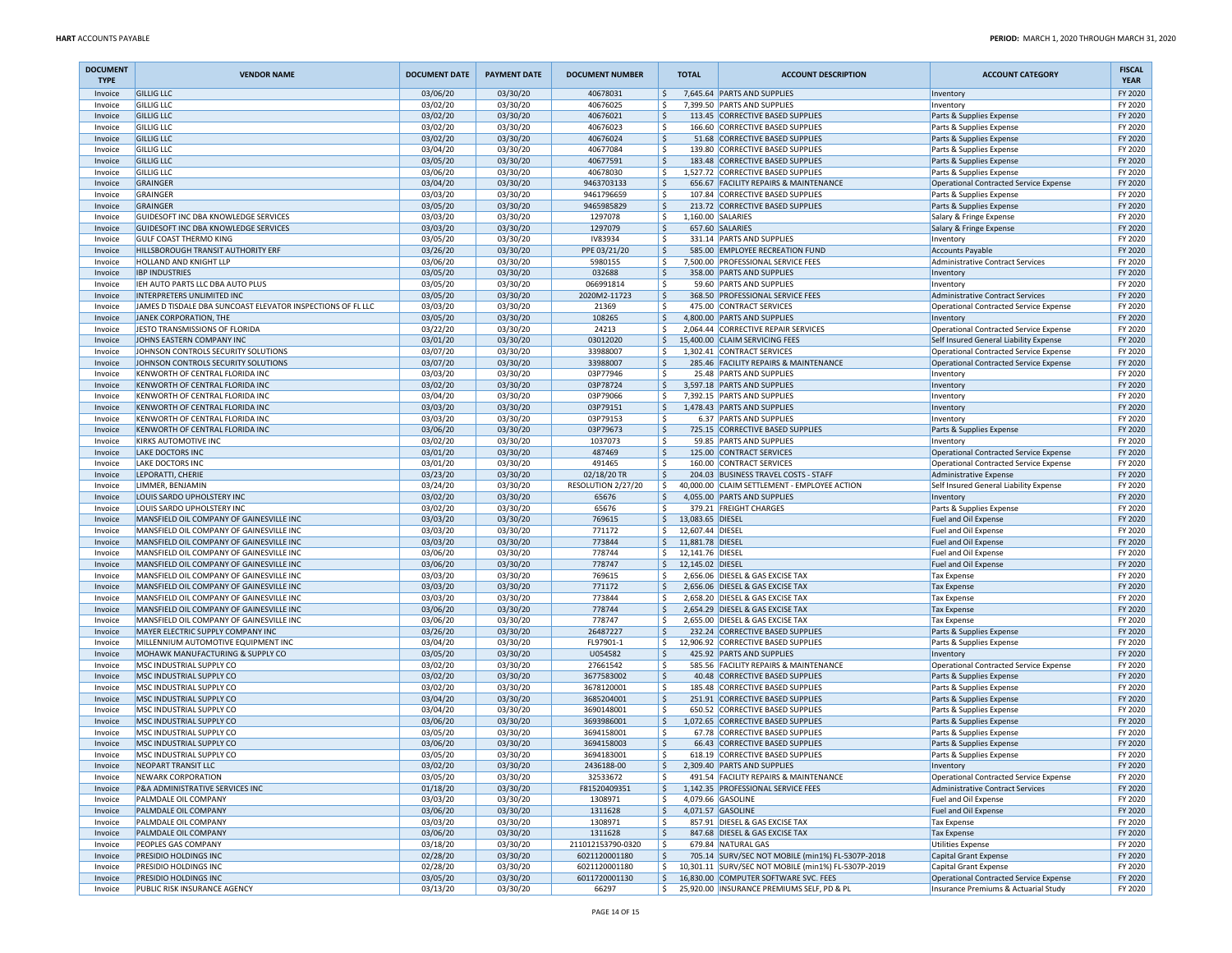| <b>DOCUMENT</b><br><b>TYPE</b> | <b>VENDOR NAME</b>                                                                   | <b>DOCUMENT DATE</b> | <b>PAYMENT DATE</b>  | <b>DOCUMENT NUMBER</b>         | <b>TOTAL</b>                    | <b>ACCOUNT DESCRIPTION</b>                                                                   | <b>ACCOUNT CATEGORY</b>                                                                 | <b>FISCAL</b><br><b>YEAR</b> |
|--------------------------------|--------------------------------------------------------------------------------------|----------------------|----------------------|--------------------------------|---------------------------------|----------------------------------------------------------------------------------------------|-----------------------------------------------------------------------------------------|------------------------------|
| Invoice                        | <b>GILLIG LLC</b>                                                                    | 03/06/20             | 03/30/20             | 40678031                       | \$                              | 7,645.64 PARTS AND SUPPLIES                                                                  | Inventory                                                                               | FY 2020                      |
| Invoice                        | <b>GILLIG LLC</b>                                                                    | 03/02/20             | 03/30/20             | 40676025                       | ١\$                             | 7,399.50 PARTS AND SUPPLIES                                                                  | Inventory                                                                               | FY 2020                      |
| Invoice<br>Invoice             | <b>GILLIG LLC</b><br><b>GILLIG LLC</b>                                               | 03/02/20<br>03/02/20 | 03/30/20<br>03/30/20 | 40676021<br>40676023           | ۱\$<br>ا \$                     | 113.45 CORRECTIVE BASED SUPPLIES<br>166.60 CORRECTIVE BASED SUPPLIES                         | Parts & Supplies Expense<br>Parts & Supplies Expense                                    | FY 2020<br>FY 2020           |
| Invoice                        | <b>GILLIG LLC</b>                                                                    | 03/02/20             | 03/30/20             | 40676024                       | ١s                              | 51.68 CORRECTIVE BASED SUPPLIES                                                              | Parts & Supplies Expense                                                                | FY 2020                      |
| Invoice                        | <b>GILLIG LLC</b>                                                                    | 03/04/20             | 03/30/20             | 40677084                       | ١\$                             | 139.80 CORRECTIVE BASED SUPPLIES                                                             | Parts & Supplies Expense                                                                | FY 2020                      |
| Invoice                        | <b>GILLIG LLC</b>                                                                    | 03/05/20             | 03/30/20             | 40677591                       | ۱\$                             | 183.48 CORRECTIVE BASED SUPPLIES                                                             | Parts & Supplies Expense                                                                | FY 2020                      |
| Invoice                        | <b>GILLIG LLC</b>                                                                    | 03/06/20             | 03/30/20             | 40678030                       | ۱\$                             | 1.527.72 CORRECTIVE BASED SUPPLIES                                                           | Parts & Supplies Expense                                                                | FY 2020                      |
| Invoice                        | <b>GRAINGER</b>                                                                      | 03/04/20             | 03/30/20             | 9463703133                     | l \$<br>١s                      | 656.67 FACILITY REPAIRS & MAINTENANCE                                                        | Operational Contracted Service Expense                                                  | FY 2020                      |
| Invoice<br>Invoice             | GRAINGER<br>GRAINGER                                                                 | 03/03/20<br>03/05/20 | 03/30/20<br>03/30/20 | 9461796659<br>9465985829       | ١\$                             | 107.84 CORRECTIVE BASED SUPPLIES<br>213.72 CORRECTIVE BASED SUPPLIES                         | Parts & Supplies Expense<br>Parts & Supplies Expense                                    | FY 2020<br>FY 2020           |
| Invoice                        | GUIDESOFT INC DBA KNOWLEDGE SERVICES                                                 | 03/03/20             | 03/30/20             | 1297078                        | ١\$                             | 1,160.00 SALARIES                                                                            | Salary & Fringe Expense                                                                 | FY 2020                      |
| Invoice                        | GUIDESOFT INC DBA KNOWLEDGE SERVICES                                                 | 03/03/20             | 03/30/20             | 1297079                        | ۱\$                             | 657.60 SALARIES                                                                              | Salary & Fringe Expense                                                                 | FY 2020                      |
| Invoice                        | <b>GULF COAST THERMO KING</b>                                                        | 03/05/20             | 03/30/20             | IV83934                        | ا \$                            | 331.14 PARTS AND SUPPLIES                                                                    | Inventory                                                                               | FY 2020                      |
| Invoice                        | HILLSBOROUGH TRANSIT AUTHORITY ERF                                                   | 03/26/20             | 03/30/20             | PPE 03/21/20                   | ١s                              | 585.00 EMPLOYEE RECREATION FUND                                                              | <b>Accounts Payable</b>                                                                 | FY 2020                      |
| Invoice<br>Invoice             | HOLLAND AND KNIGHT LLP<br><b>IBP INDUSTRIES</b>                                      | 03/06/20<br>03/05/20 | 03/30/20<br>03/30/20 | 5980155<br>032688              | ۱\$<br>۱\$                      | 7,500.00 PROFESSIONAL SERVICE FEES<br>358.00 PARTS AND SUPPLIES                              | <b>Administrative Contract Services</b><br>Inventory                                    | FY 2020<br>FY 2020           |
| Invoice                        | IEH AUTO PARTS LLC DBA AUTO PLUS                                                     | 03/05/20             | 03/30/20             | 066991814                      | ١\$                             | 59.60 PARTS AND SUPPLIES                                                                     | Inventory                                                                               | FY 2020                      |
| Invoice                        | INTERPRETERS UNLIMITED INC                                                           | 03/05/20             | 03/30/20             | 2020M2-11723                   | l \$                            | 368.50 PROFESSIONAL SERVICE FEES                                                             | <b>Administrative Contract Services</b>                                                 | FY 2020                      |
| Invoice                        | JAMES D TISDALE DBA SUNCOAST ELEVATOR INSPECTIONS OF FL LLC                          | 03/03/20             | 03/30/20             | 21369                          | ١s                              | 475.00 CONTRACT SERVICES                                                                     | Operational Contracted Service Expense                                                  | FY 2020                      |
| Invoice                        | JANEK CORPORATION, THE                                                               | 03/05/20             | 03/30/20             | 108265                         | ۱\$.                            | 4,800.00 PARTS AND SUPPLIES                                                                  | Inventory                                                                               | FY 2020                      |
| Invoice                        | JESTO TRANSMISSIONS OF FLORIDA                                                       | 03/22/20             | 03/30/20             | 24213                          | ۱\$                             | 2,064.44 CORRECTIVE REPAIR SERVICES                                                          | Operational Contracted Service Expense                                                  | FY 2020                      |
| Invoice<br>Invoice             | JOHNS EASTERN COMPANY INC<br>JOHNSON CONTROLS SECURITY SOLUTIONS                     | 03/01/20<br>03/07/20 | 03/30/20<br>03/30/20 | 03012020<br>33988007           | ۱\$<br>l\$                      | 15,400.00 CLAIM SERVICING FEES<br>1,302.41 CONTRACT SERVICES                                 | Self Insured General Liability Expense<br><b>Operational Contracted Service Expense</b> | FY 2020<br>FY 2020           |
| Invoice                        | JOHNSON CONTROLS SECURITY SOLUTIONS                                                  | 03/07/20             | 03/30/20             | 33988007                       | ١s                              | 285.46 FACILITY REPAIRS & MAINTENANCE                                                        | <b>Operational Contracted Service Expense</b>                                           | FY 2020                      |
| Invoice                        | KENWORTH OF CENTRAL FLORIDA INC                                                      | 03/03/20             | 03/30/20             | 03P77946                       | ۱\$                             | 25.48 PARTS AND SUPPLIES                                                                     | Inventory                                                                               | FY 2020                      |
| Invoice                        | KENWORTH OF CENTRAL FLORIDA INC                                                      | 03/02/20             | 03/30/20             | 03P78724                       | ۱\$.                            | 3,597.18 PARTS AND SUPPLIES                                                                  | Inventory                                                                               | FY 2020                      |
| Invoice                        | KENWORTH OF CENTRAL FLORIDA INC                                                      | 03/04/20             | 03/30/20             | 03P79066                       | ا \$                            | 7,392.15 PARTS AND SUPPLIES                                                                  | Inventory                                                                               | FY 2020                      |
| Invoice                        | KENWORTH OF CENTRAL FLORIDA INC                                                      | 03/03/20             | 03/30/20             | 03P79151                       | I \$                            | 1,478.43 PARTS AND SUPPLIES                                                                  | Inventory                                                                               | FY 2020                      |
| Invoice<br>Invoice             | KENWORTH OF CENTRAL FLORIDA INC<br>KENWORTH OF CENTRAL FLORIDA INC                   | 03/03/20<br>03/06/20 | 03/30/20<br>03/30/20 | 03P79153<br>03P79673           | ١s<br>۱\$                       | 6.37 PARTS AND SUPPLIES<br>725.15 CORRECTIVE BASED SUPPLIES                                  | Inventory<br>Parts & Supplies Expense                                                   | FY 2020<br>FY 2020           |
| Invoice                        | <b>KIRKS AUTOMOTIVE INC</b>                                                          | 03/02/20             | 03/30/20             | 1037073                        | ۱\$                             | 59.85 PARTS AND SUPPLIES                                                                     | Inventory                                                                               | FY 2020                      |
| Invoice                        | <b>LAKE DOCTORS INC</b>                                                              | 03/01/20             | 03/30/20             | 487469                         | ۱\$                             | 125.00 CONTRACT SERVICES                                                                     | Operational Contracted Service Expense                                                  | FY 2020                      |
| Invoice                        | LAKE DOCTORS INC                                                                     | 03/01/20             | 03/30/20             | 491465                         | ا \$                            | 160.00 CONTRACT SERVICES                                                                     | Operational Contracted Service Expense                                                  | FY 2020                      |
| Invoice                        | LEPORATTI, CHERIE                                                                    | 03/23/20             | 03/30/20             | 02/18/20 TR                    | ١s                              | 204.03 BUSINESS TRAVEL COSTS - STAFF                                                         | <b>Administrative Expense</b>                                                           | FY 2020                      |
| Invoice                        | LIMMER, BENJAMIN                                                                     | 03/24/20<br>03/02/20 | 03/30/20<br>03/30/20 | RESOLUTION 2/27/20             | ۱\$<br>۱\$                      | 40,000.00 CLAIM SETTLEMENT - EMPLOYEE ACTION                                                 | Self Insured General Liability Expense                                                  | FY 2020<br>FY 2020           |
| Invoice<br>Invoice             | LOUIS SARDO UPHOLSTERY INC<br>LOUIS SARDO UPHOLSTERY INC                             | 03/02/20             | 03/30/20             | 65676<br>65676                 | l \$                            | 4,055.00 PARTS AND SUPPLIES<br>379.21 FREIGHT CHARGES                                        | Inventory<br>Parts & Supplies Expense                                                   | FY 2020                      |
| Invoice                        | MANSFIELD OIL COMPANY OF GAINESVILLE INC                                             | 03/03/20             | 03/30/20             | 769615                         | I \$<br>13,083.65 DIESEL        |                                                                                              | Fuel and Oil Expense                                                                    | FY 2020                      |
| Invoice                        | MANSFIELD OIL COMPANY OF GAINESVILLE INC                                             | 03/03/20             | 03/30/20             | 771172                         | ١s<br>12,607.44 DIESEL          |                                                                                              | Fuel and Oil Expense                                                                    | FY 2020                      |
| Invoice                        | MANSFIELD OIL COMPANY OF GAINESVILLE INC                                             | 03/03/20             | 03/30/20             | 773844                         | l \$<br>11,881.78 DIESEL        |                                                                                              | Fuel and Oil Expense                                                                    | FY 2020                      |
| Invoice                        | MANSFIELD OIL COMPANY OF GAINESVILLE INC                                             | 03/06/20             | 03/30/20             | 778744                         | l\$<br>12,141.76 DIESEL         |                                                                                              | Fuel and Oil Expense                                                                    | FY 2020                      |
| Invoice<br>Invoice             | MANSFIELD OIL COMPANY OF GAINESVILLE INC<br>MANSFIELD OIL COMPANY OF GAINESVILLE INC | 03/06/20<br>03/03/20 | 03/30/20<br>03/30/20 | 778747<br>769615               | l\$<br>12,145.02 DIESEL<br>l \$ | 2,656.06 DIESEL & GAS EXCISE TAX                                                             | Fuel and Oil Expense<br><b>Tax Expense</b>                                              | FY 2020<br>FY 2020           |
| Invoice                        | MANSFIELD OIL COMPANY OF GAINESVILLE INC                                             | 03/03/20             | 03/30/20             | 771172                         | ١s                              | 2,656.06 DIESEL & GAS EXCISE TAX                                                             | <b>Tax Expense</b>                                                                      | FY 2020                      |
| Invoice                        | MANSFIELD OIL COMPANY OF GAINESVILLE INC                                             | 03/03/20             | 03/30/20             | 773844                         | ١\$                             | 2,658.20 DIESEL & GAS EXCISE TAX                                                             | <b>Tax Expense</b>                                                                      | FY 2020                      |
| Invoice                        | MANSFIELD OIL COMPANY OF GAINESVILLE INC                                             | 03/06/20             | 03/30/20             | 778744                         | ۱\$                             | 2,654.29 DIESEL & GAS EXCISE TAX                                                             | <b>Tax Expense</b>                                                                      | FY 2020                      |
| Invoice                        | MANSFIELD OIL COMPANY OF GAINESVILLE INC                                             | 03/06/20             | 03/30/20             | 778747                         | ا \$                            | 2,655.00 DIESEL & GAS EXCISE TAX                                                             | Tax Expense                                                                             | FY 2020                      |
| Invoice                        | MAYER ELECTRIC SUPPLY COMPANY INC<br>MILLENNIUM AUTOMOTIVE EQUIPMENT INC             | 03/26/20             | 03/30/20             | 26487227<br>FL97901-1          | l \$<br>١s                      | 232.24 CORRECTIVE BASED SUPPLIES<br>12,906.92 CORRECTIVE BASED SUPPLIES                      | Parts & Supplies Expense                                                                | FY 2020<br>FY 2020           |
| Invoice<br>Invoice             | MOHAWK MANUFACTURING & SUPPLY CO                                                     | 03/04/20<br>03/05/20 | 03/30/20<br>03/30/20 | U054582                        | ۱\$                             | 425.92 PARTS AND SUPPLIES                                                                    | Parts & Supplies Expense<br>Inventory                                                   | FY 2020                      |
| Invoice                        | MSC INDUSTRIAL SUPPLY CO                                                             | 03/02/20             | 03/30/20             | 27661542                       | ١\$                             | 585.56 FACILITY REPAIRS & MAINTENANCE                                                        | Operational Contracted Service Expense                                                  | FY 2020                      |
| Invoice                        | MSC INDUSTRIAL SUPPLY CO                                                             | 03/02/20             | 03/30/20             | 3677583002                     | ۱\$                             | 40.48 CORRECTIVE BASED SUPPLIES                                                              | Parts & Supplies Expense                                                                | FY 2020                      |
| Invoice                        | MSC INDUSTRIAL SUPPLY CO                                                             | 03/02/20             | 03/30/20             | 3678120001                     | ا \$                            | 185.48 CORRECTIVE BASED SUPPLIES                                                             | Parts & Supplies Expense                                                                | FY 2020                      |
| Invoice                        | MSC INDUSTRIAL SUPPLY CO                                                             | 03/04/20             | 03/30/20             | 3685204001                     | ۱\$.                            | 251.91 CORRECTIVE BASED SUPPLIES                                                             | Parts & Supplies Expense                                                                | FY 2020                      |
| Invoice<br>Invoice             | MSC INDUSTRIAL SUPPLY CO<br>MSC INDUSTRIAL SUPPLY CO                                 | 03/04/20<br>03/06/20 | 03/30/20<br>03/30/20 | 3690148001<br>3693986001       | ۱\$<br>۱\$.                     | 650.52 CORRECTIVE BASED SUPPLIES<br>1,072.65 CORRECTIVE BASED SUPPLIES                       | Parts & Supplies Expense<br>Parts & Supplies Expense                                    | FY 2020<br>FY 2020           |
| Invoice                        | MSC INDUSTRIAL SUPPLY CO                                                             | 03/05/20             | 03/30/20             | 3694158001                     | ۱\$                             | 67.78 CORRECTIVE BASED SUPPLIES                                                              | Parts & Supplies Expense                                                                | FY 2020                      |
| Invoice                        | MSC INDUSTRIAL SUPPLY CO                                                             | 03/06/20             | 03/30/20             | 3694158003                     | l \$                            | 66.43 CORRECTIVE BASED SUPPLIES                                                              | Parts & Supplies Expense                                                                | FY 2020                      |
| Invoice                        | MSC INDUSTRIAL SUPPLY CO                                                             | 03/05/20             | 03/30/20             | 3694183001                     | ١s                              | 618.19 CORRECTIVE BASED SUPPLIES                                                             | Parts & Supplies Expense                                                                | FY 2020                      |
| Invoice                        | NEOPART TRANSIT LLC                                                                  | 03/02/20             | 03/30/20             | 2436188-00                     | S.                              | 2,309.40 PARTS AND SUPPLIES                                                                  | Inventory                                                                               | FY 2020                      |
| Invoice                        | <b>NEWARK CORPORATION</b>                                                            | 03/05/20             | 03/30/20             | 32533672                       | ا \$                            | 491.54 FACILITY REPAIRS & MAINTENANCE                                                        | Operational Contracted Service Expense                                                  | FY 2020                      |
| Invoice<br>Invoice             | P&A ADMINISTRATIVE SERVICES INC<br>PALMDALE OIL COMPANY                              | 01/18/20<br>03/03/20 | 03/30/20<br>03/30/20 | F81520409351<br>1308971        | l\$<br>I \$                     | 1,142.35 PROFESSIONAL SERVICE FEES<br>4,079.66 GASOLINE                                      | Administrative Contract Services<br>Fuel and Oil Expense                                | FY 2020<br>FY 2020           |
| Invoice                        | PALMDALE OIL COMPANY                                                                 | 03/06/20             | 03/30/20             | 1311628                        | ۱\$                             | 4,071.57 GASOLINE                                                                            | Fuel and Oil Expense                                                                    | FY 2020                      |
| Invoice                        | PALMDALE OIL COMPANY                                                                 | 03/03/20             | 03/30/20             | 1308971                        | ۱\$                             | 857.91 DIESEL & GAS EXCISE TAX                                                               | <b>Tax Expense</b>                                                                      | FY 2020                      |
| Invoice                        | PALMDALE OIL COMPANY                                                                 | 03/06/20             | 03/30/20             | 1311628                        | ۱\$.                            | 847.68 DIESEL & GAS EXCISE TAX                                                               | <b>Tax Expense</b>                                                                      | FY 2020                      |
| Invoice                        | PEOPLES GAS COMPANY                                                                  | 03/18/20             | 03/30/20             | 211012153790-0320              | ا \$                            | 679.84 NATURAL GAS                                                                           | <b>Utilities Expense</b>                                                                | FY 2020                      |
| Invoice                        | <b>PRESIDIO HOLDINGS INC</b>                                                         | 02/28/20             | 03/30/20             | 6021120001180                  | I \$                            | 705.14 SURV/SEC NOT MOBILE (min1%) FL-5307P-2018                                             | Capital Grant Expense                                                                   | FY 2020                      |
| Invoice<br>Invoice             | PRESIDIO HOLDINGS INC<br><b>PRESIDIO HOLDINGS INC</b>                                | 02/28/20<br>03/05/20 | 03/30/20<br>03/30/20 | 6021120001180<br>6011720001130 | l\$<br>l\$                      | 10.301.11 SURV/SEC NOT MOBILE (min1%) FL-5307P-2019<br>16,830.00 COMPUTER SOFTWARE SVC. FEES | <b>Capital Grant Expense</b><br>Operational Contracted Service Expense                  | FY 2020<br>FY 2020           |
| Invoice                        | PUBLIC RISK INSURANCE AGENCY                                                         | 03/13/20             | 03/30/20             | 66297                          | l \$                            | 25,920.00 INSURANCE PREMIUMS SELF, PD & PL                                                   | Insurance Premiums & Actuarial Study                                                    | FY 2020                      |